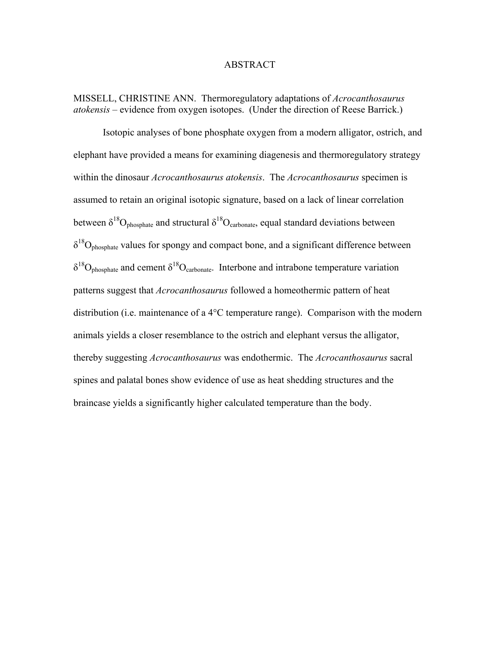#### ABSTRACT

MISSELL, CHRISTINE ANN. Thermoregulatory adaptations of *Acrocanthosaurus atokensis* – evidence from oxygen isotopes. (Under the direction of Reese Barrick.)

 Isotopic analyses of bone phosphate oxygen from a modern alligator, ostrich, and elephant have provided a means for examining diagenesis and thermoregulatory strategy within the dinosaur *Acrocanthosaurus atokensis*. The *Acrocanthosaurus* specimen is assumed to retain an original isotopic signature, based on a lack of linear correlation between  $\delta^{18}O_{\text{phosphate}}$  and structural  $\delta^{18}O_{\text{carbonate}}$ , equal standard deviations between  $\delta^{18}O_{\text{phosphate}}$  values for spongy and compact bone, and a significant difference between  $\delta^{18}O_{\text{phosphate}}$  and cement  $\delta^{18}O_{\text{carbonate}}$ . Interbone and intrabone temperature variation patterns suggest that *Acrocanthosaurus* followed a homeothermic pattern of heat distribution (i.e. maintenance of a 4°C temperature range). Comparison with the modern animals yields a closer resemblance to the ostrich and elephant versus the alligator, thereby suggesting *Acrocanthosaurus* was endothermic. The *Acrocanthosaurus* sacral spines and palatal bones show evidence of use as heat shedding structures and the braincase yields a significantly higher calculated temperature than the body.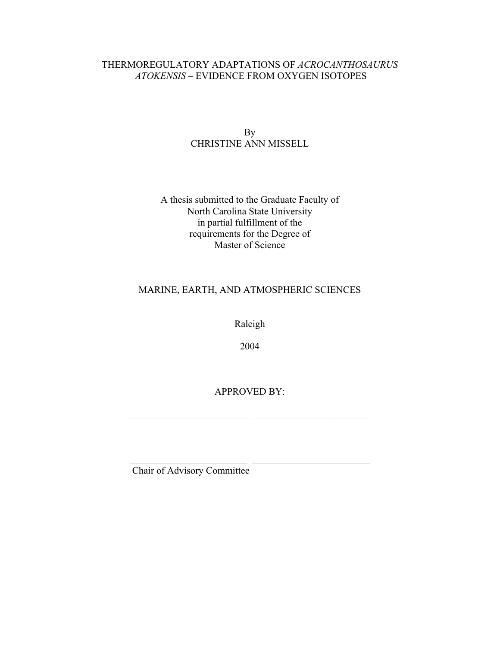## THERMOREGULATORY ADAPTATIONS OF *ACROCANTHOSAURUS ATOKENSIS* – EVIDENCE FROM OXYGEN ISOTOPES

## By CHRISTINE ANN MISSELL

## A thesis submitted to the Graduate Faculty of North Carolina State University in partial fulfillment of the requirements for the Degree of Master of Science

# MARINE, EARTH, AND ATMOSPHERIC SCIENCES

Raleigh

2004

APPROVED BY:

 $\mathcal{L}_\text{max}$  , and the set of the set of the set of the set of the set of the set of the set of the set of the set of the set of the set of the set of the set of the set of the set of the set of the set of the set of the

 $\mathcal{L}_\text{max}$  , and the set of the set of the set of the set of the set of the set of the set of the set of the set of the set of the set of the set of the set of the set of the set of the set of the set of the set of the

Chair of Advisory Committee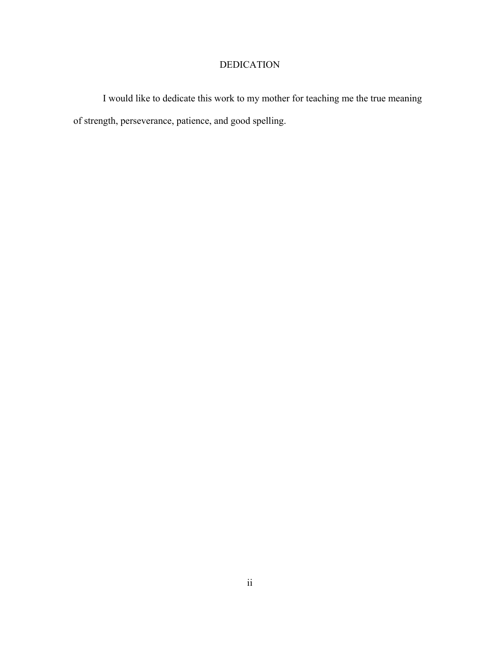# DEDICATION

 I would like to dedicate this work to my mother for teaching me the true meaning of strength, perseverance, patience, and good spelling.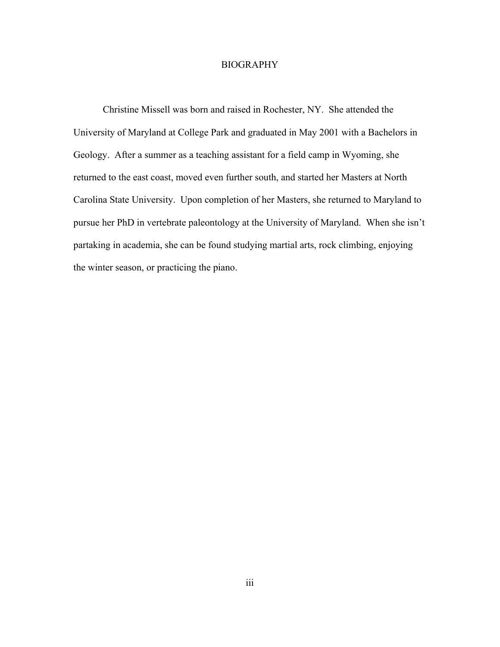#### BIOGRAPHY

 Christine Missell was born and raised in Rochester, NY. She attended the University of Maryland at College Park and graduated in May 2001 with a Bachelors in Geology. After a summer as a teaching assistant for a field camp in Wyoming, she returned to the east coast, moved even further south, and started her Masters at North Carolina State University. Upon completion of her Masters, she returned to Maryland to pursue her PhD in vertebrate paleontology at the University of Maryland. When she isn't partaking in academia, she can be found studying martial arts, rock climbing, enjoying the winter season, or practicing the piano.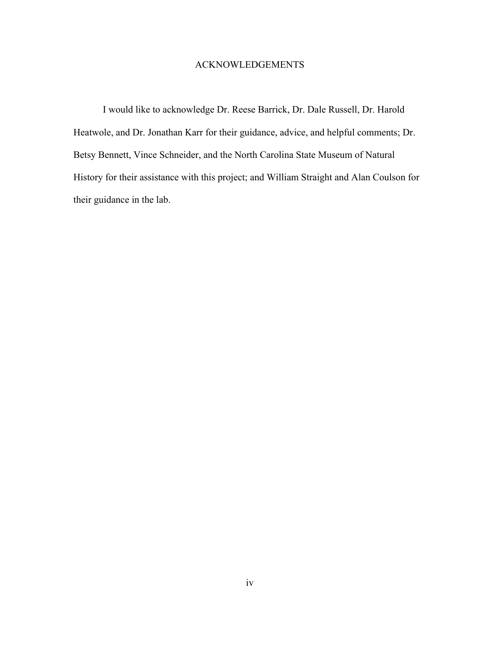### ACKNOWLEDGEMENTS

 I would like to acknowledge Dr. Reese Barrick, Dr. Dale Russell, Dr. Harold Heatwole, and Dr. Jonathan Karr for their guidance, advice, and helpful comments; Dr. Betsy Bennett, Vince Schneider, and the North Carolina State Museum of Natural History for their assistance with this project; and William Straight and Alan Coulson for their guidance in the lab.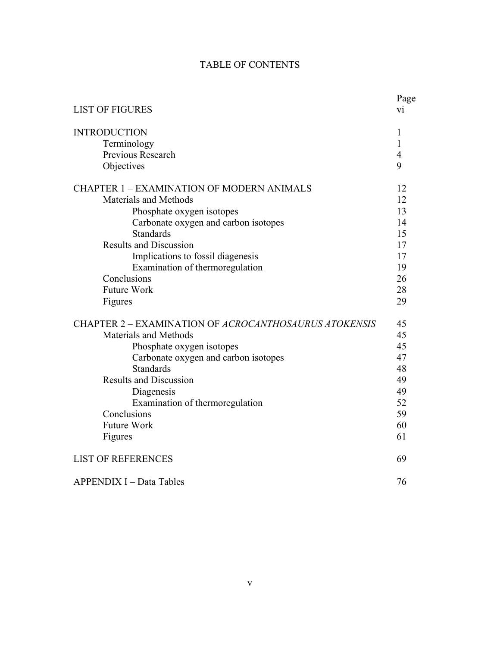| <b>LIST OF FIGURES</b>                                | Page<br>V1 |
|-------------------------------------------------------|------------|
| <b>INTRODUCTION</b>                                   | 1          |
| Terminology                                           | 1          |
| Previous Research                                     | 4          |
| Objectives                                            | 9          |
| <b>CHAPTER 1 - EXAMINATION OF MODERN ANIMALS</b>      | 12         |
| Materials and Methods                                 | 12         |
| Phosphate oxygen isotopes                             | 13         |
| Carbonate oxygen and carbon isotopes                  | 14         |
| <b>Standards</b>                                      | 15         |
| <b>Results and Discussion</b>                         | 17         |
| Implications to fossil diagenesis                     | 17         |
| Examination of thermoregulation                       | 19         |
| Conclusions                                           | 26         |
| <b>Future Work</b>                                    | 28         |
| Figures                                               | 29         |
| CHAPTER 2 - EXAMINATION OF ACROCANTHOSAURUS ATOKENSIS | 45         |
| Materials and Methods                                 | 45         |
| Phosphate oxygen isotopes                             | 45         |
| Carbonate oxygen and carbon isotopes                  | 47         |
| <b>Standards</b>                                      | 48         |
| <b>Results and Discussion</b>                         | 49         |
| Diagenesis                                            | 49         |
| Examination of thermoregulation                       | 52         |
| Conclusions                                           | 59         |
| <b>Future Work</b>                                    | 60         |
| Figures                                               | 61         |
| <b>LIST OF REFERENCES</b>                             | 69         |
| <b>APPENDIX I - Data Tables</b>                       | 76         |

# TABLE OF CONTENTS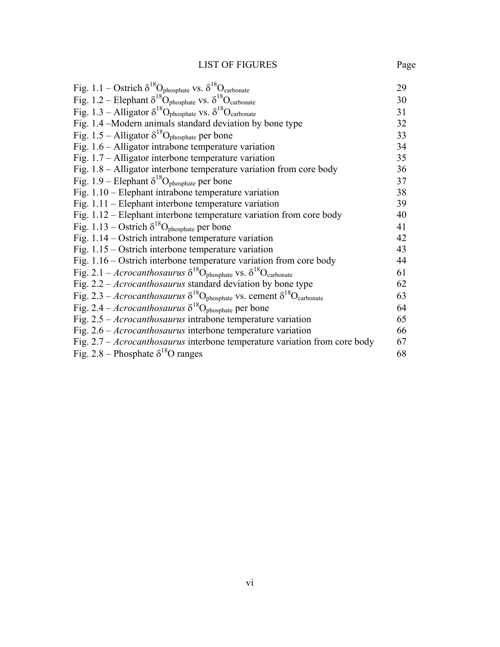# LIST OF FIGURES Page

| Fig. 1.1 – Ostrich $\delta^{18}O_{\text{phosphate}}$ vs. $\delta^{18}O_{\text{carbonate}}$                 | 29 |
|------------------------------------------------------------------------------------------------------------|----|
| Fig. 1.2 – Elephant $\delta^{18}O_{\text{phosphate}}$ vs. $\delta^{18}O_{\text{carbonate}}$                | 30 |
| Fig. 1.3 - Alligator $\delta^{18}O_{\text{phosphate}}$ vs. $\delta^{18}O_{\text{carbonate}}$               | 31 |
| Fig. 1.4 –Modern animals standard deviation by bone type                                                   | 32 |
| Fig. 1.5 – Alligator $\delta^{18}O_{\text{phosphate}}$ per bone                                            | 33 |
| Fig. $1.6$ – Alligator intrabone temperature variation                                                     | 34 |
| Fig. $1.7$ – Alligator interbone temperature variation                                                     | 35 |
| Fig. $1.8$ – Alligator interbone temperature variation from core body                                      | 36 |
| Fig. 1.9 – Elephant $\delta^{18}O_{\text{phosphate}}$ per bone                                             | 37 |
| Fig. $1.10$ – Elephant intrabone temperature variation                                                     | 38 |
| Fig. $1.11$ – Elephant interbone temperature variation                                                     | 39 |
| Fig. 1.12 – Elephant interbone temperature variation from core body                                        | 40 |
| Fig. 1.13 – Ostrich $\delta^{18}O_{\text{phosphate}}$ per bone                                             | 41 |
| Fig. $1.14$ – Ostrich intrabone temperature variation                                                      | 42 |
| Fig. $1.15$ – Ostrich interbone temperature variation                                                      | 43 |
| Fig. $1.16$ – Ostrich interbone temperature variation from core body                                       | 44 |
| Fig. 2.1 – Acrocanthosaurus $\delta^{18}O_{\text{phosphate}}$ vs. $\delta^{18}O_{\text{carbonate}}$        | 61 |
| Fig. $2.2 - Arcrocanthosaurus$ standard deviation by bone type                                             | 62 |
| Fig. 2.3 – Acrocanthosaurus $\delta^{18}O_{\text{phosphate}}$ vs. cement $\delta^{18}O_{\text{carbonate}}$ | 63 |
| Fig. 2.4 – <i>Acrocanthosaurus</i> $\delta^{18}O_{\text{phosphate}}$ per bone                              | 64 |
| Fig. $2.5$ – <i>Acrocanthosaurus</i> intrabone temperature variation                                       | 65 |
| Fig. $2.6$ – <i>Acrocanthosaurus</i> interbone temperature variation                                       | 66 |
| Fig. $2.7 - A crocanthosaurus$ interbone temperature variation from core body                              | 67 |
| Fig. 2.8 – Phosphate $\delta^{18}$ O ranges                                                                | 68 |
|                                                                                                            |    |

vi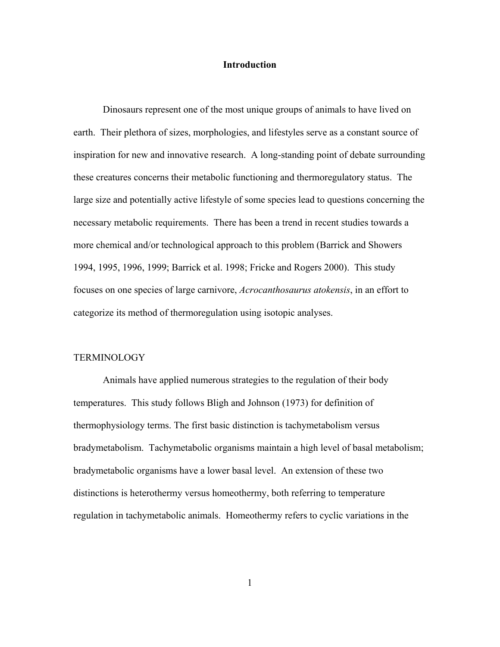#### **Introduction**

 Dinosaurs represent one of the most unique groups of animals to have lived on earth. Their plethora of sizes, morphologies, and lifestyles serve as a constant source of inspiration for new and innovative research. A long-standing point of debate surrounding these creatures concerns their metabolic functioning and thermoregulatory status. The large size and potentially active lifestyle of some species lead to questions concerning the necessary metabolic requirements. There has been a trend in recent studies towards a more chemical and/or technological approach to this problem (Barrick and Showers 1994, 1995, 1996, 1999; Barrick et al. 1998; Fricke and Rogers 2000). This study focuses on one species of large carnivore, *Acrocanthosaurus atokensis*, in an effort to categorize its method of thermoregulation using isotopic analyses.

#### **TERMINOLOGY**

 Animals have applied numerous strategies to the regulation of their body temperatures. This study follows Bligh and Johnson (1973) for definition of thermophysiology terms. The first basic distinction is tachymetabolism versus bradymetabolism. Tachymetabolic organisms maintain a high level of basal metabolism; bradymetabolic organisms have a lower basal level. An extension of these two distinctions is heterothermy versus homeothermy, both referring to temperature regulation in tachymetabolic animals. Homeothermy refers to cyclic variations in the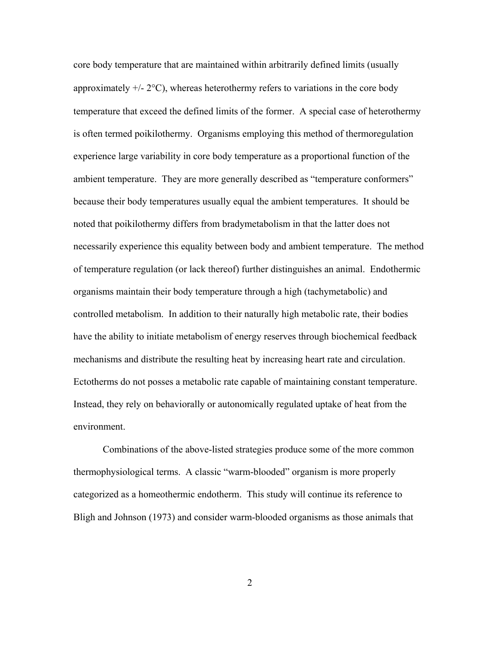core body temperature that are maintained within arbitrarily defined limits (usually approximately  $+/- 2^{\circ}$ C), whereas heterothermy refers to variations in the core body temperature that exceed the defined limits of the former. A special case of heterothermy is often termed poikilothermy. Organisms employing this method of thermoregulation experience large variability in core body temperature as a proportional function of the ambient temperature. They are more generally described as "temperature conformers" because their body temperatures usually equal the ambient temperatures. It should be noted that poikilothermy differs from bradymetabolism in that the latter does not necessarily experience this equality between body and ambient temperature. The method of temperature regulation (or lack thereof) further distinguishes an animal. Endothermic organisms maintain their body temperature through a high (tachymetabolic) and controlled metabolism. In addition to their naturally high metabolic rate, their bodies have the ability to initiate metabolism of energy reserves through biochemical feedback mechanisms and distribute the resulting heat by increasing heart rate and circulation. Ectotherms do not posses a metabolic rate capable of maintaining constant temperature. Instead, they rely on behaviorally or autonomically regulated uptake of heat from the environment.

Combinations of the above-listed strategies produce some of the more common thermophysiological terms. A classic "warm-blooded" organism is more properly categorized as a homeothermic endotherm. This study will continue its reference to Bligh and Johnson (1973) and consider warm-blooded organisms as those animals that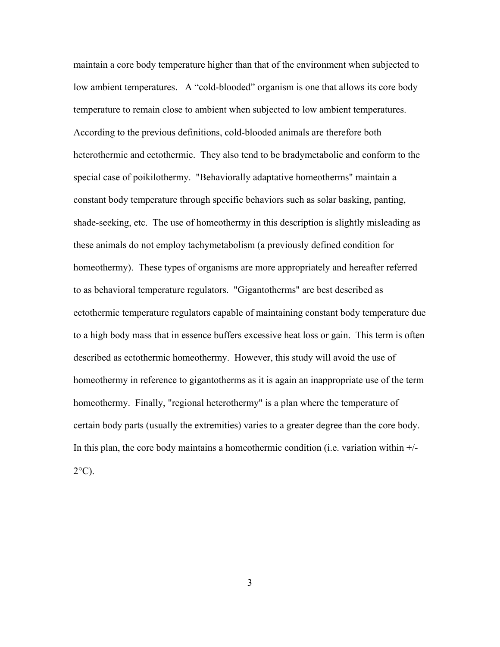maintain a core body temperature higher than that of the environment when subjected to low ambient temperatures. A "cold-blooded" organism is one that allows its core body temperature to remain close to ambient when subjected to low ambient temperatures. According to the previous definitions, cold-blooded animals are therefore both heterothermic and ectothermic. They also tend to be bradymetabolic and conform to the special case of poikilothermy. "Behaviorally adaptative homeotherms" maintain a constant body temperature through specific behaviors such as solar basking, panting, shade-seeking, etc. The use of homeothermy in this description is slightly misleading as these animals do not employ tachymetabolism (a previously defined condition for homeothermy). These types of organisms are more appropriately and hereafter referred to as behavioral temperature regulators. "Gigantotherms" are best described as ectothermic temperature regulators capable of maintaining constant body temperature due to a high body mass that in essence buffers excessive heat loss or gain. This term is often described as ectothermic homeothermy. However, this study will avoid the use of homeothermy in reference to gigantotherms as it is again an inappropriate use of the term homeothermy. Finally, "regional heterothermy" is a plan where the temperature of certain body parts (usually the extremities) varies to a greater degree than the core body. In this plan, the core body maintains a homeothermic condition (i.e. variation within  $+/ 2^{\circ}$ C).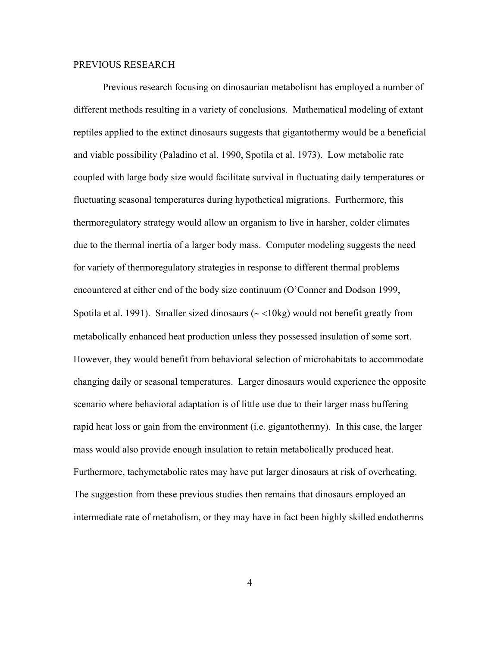#### PREVIOUS RESEARCH

 Previous research focusing on dinosaurian metabolism has employed a number of different methods resulting in a variety of conclusions. Mathematical modeling of extant reptiles applied to the extinct dinosaurs suggests that gigantothermy would be a beneficial and viable possibility (Paladino et al. 1990, Spotila et al. 1973). Low metabolic rate coupled with large body size would facilitate survival in fluctuating daily temperatures or fluctuating seasonal temperatures during hypothetical migrations. Furthermore, this thermoregulatory strategy would allow an organism to live in harsher, colder climates due to the thermal inertia of a larger body mass. Computer modeling suggests the need for variety of thermoregulatory strategies in response to different thermal problems encountered at either end of the body size continuum (O'Conner and Dodson 1999, Spotila et al. 1991). Smaller sized dinosaurs (∼ <10kg) would not benefit greatly from metabolically enhanced heat production unless they possessed insulation of some sort. However, they would benefit from behavioral selection of microhabitats to accommodate changing daily or seasonal temperatures. Larger dinosaurs would experience the opposite scenario where behavioral adaptation is of little use due to their larger mass buffering rapid heat loss or gain from the environment (i.e. gigantothermy). In this case, the larger mass would also provide enough insulation to retain metabolically produced heat. Furthermore, tachymetabolic rates may have put larger dinosaurs at risk of overheating. The suggestion from these previous studies then remains that dinosaurs employed an intermediate rate of metabolism, or they may have in fact been highly skilled endotherms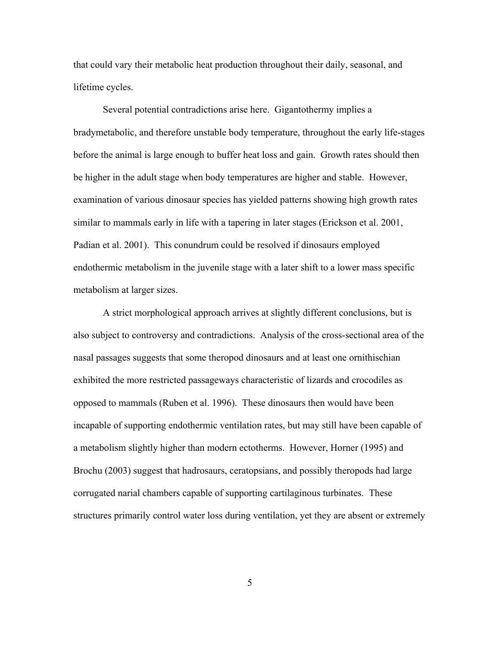that could vary their metabolic heat production throughout their daily, seasonal, and lifetime cycles.

 Several potential contradictions arise here. Gigantothermy implies a bradymetabolic, and therefore unstable body temperature, throughout the early life-stages before the animal is large enough to buffer heat loss and gain. Growth rates should then be higher in the adult stage when body temperatures are higher and stable. However, examination of various dinosaur species has yielded patterns showing high growth rates similar to mammals early in life with a tapering in later stages (Erickson et al. 2001, Padian et al. 2001). This conundrum could be resolved if dinosaurs employed endothermic metabolism in the juvenile stage with a later shift to a lower mass specific metabolism at larger sizes.

 A strict morphological approach arrives at slightly different conclusions, but is also subject to controversy and contradictions. Analysis of the cross-sectional area of the nasal passages suggests that some theropod dinosaurs and at least one ornithischian exhibited the more restricted passageways characteristic of lizards and crocodiles as opposed to mammals (Ruben et al. 1996). These dinosaurs then would have been incapable of supporting endothermic ventilation rates, but may still have been capable of a metabolism slightly higher than modern ectotherms. However, Horner (1995) and Brochu (2003) suggest that hadrosaurs, ceratopsians, and possibly theropods had large corrugated narial chambers capable of supporting cartilaginous turbinates. These structures primarily control water loss during ventilation, yet they are absent or extremely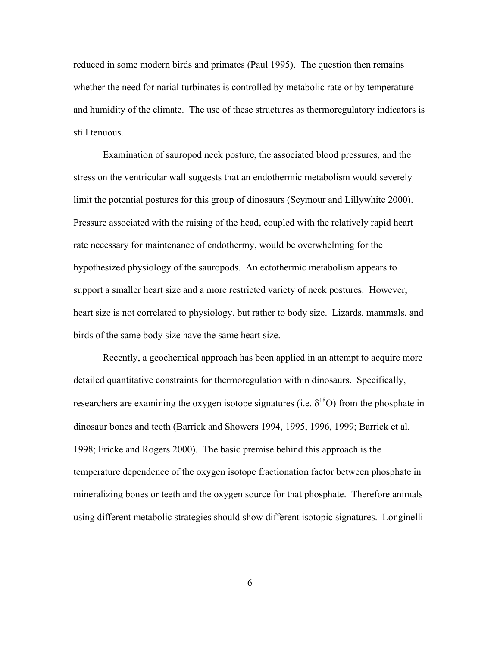reduced in some modern birds and primates (Paul 1995). The question then remains whether the need for narial turbinates is controlled by metabolic rate or by temperature and humidity of the climate. The use of these structures as thermoregulatory indicators is still tenuous.

Examination of sauropod neck posture, the associated blood pressures, and the stress on the ventricular wall suggests that an endothermic metabolism would severely limit the potential postures for this group of dinosaurs (Seymour and Lillywhite 2000). Pressure associated with the raising of the head, coupled with the relatively rapid heart rate necessary for maintenance of endothermy, would be overwhelming for the hypothesized physiology of the sauropods. An ectothermic metabolism appears to support a smaller heart size and a more restricted variety of neck postures. However, heart size is not correlated to physiology, but rather to body size. Lizards, mammals, and birds of the same body size have the same heart size.

Recently, a geochemical approach has been applied in an attempt to acquire more detailed quantitative constraints for thermoregulation within dinosaurs. Specifically, researchers are examining the oxygen isotope signatures (i.e.  $\delta^{18}O$ ) from the phosphate in dinosaur bones and teeth (Barrick and Showers 1994, 1995, 1996, 1999; Barrick et al. 1998; Fricke and Rogers 2000). The basic premise behind this approach is the temperature dependence of the oxygen isotope fractionation factor between phosphate in mineralizing bones or teeth and the oxygen source for that phosphate. Therefore animals using different metabolic strategies should show different isotopic signatures. Longinelli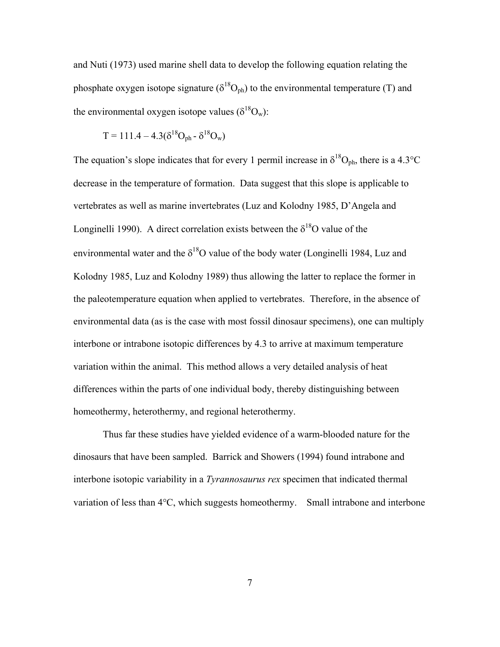and Nuti (1973) used marine shell data to develop the following equation relating the phosphate oxygen isotope signature ( $\delta^{18}O_{ph}$ ) to the environmental temperature (T) and the environmental oxygen isotope values ( $\delta^{18}O_w$ ):

$$
T = 111.4 - 4.3(\delta^{18}O_{ph} - \delta^{18}O_w)
$$

The equation's slope indicates that for every 1 permil increase in  $\delta^{18}O_{\text{ph}}$ , there is a 4.3°C decrease in the temperature of formation. Data suggest that this slope is applicable to vertebrates as well as marine invertebrates (Luz and Kolodny 1985, D'Angela and Longinelli 1990). A direct correlation exists between the  $\delta^{18}O$  value of the environmental water and the  $\delta^{18}O$  value of the body water (Longinelli 1984, Luz and Kolodny 1985, Luz and Kolodny 1989) thus allowing the latter to replace the former in the paleotemperature equation when applied to vertebrates. Therefore, in the absence of environmental data (as is the case with most fossil dinosaur specimens), one can multiply interbone or intrabone isotopic differences by 4.3 to arrive at maximum temperature variation within the animal. This method allows a very detailed analysis of heat differences within the parts of one individual body, thereby distinguishing between homeothermy, heterothermy, and regional heterothermy.

Thus far these studies have yielded evidence of a warm-blooded nature for the dinosaurs that have been sampled. Barrick and Showers (1994) found intrabone and interbone isotopic variability in a *Tyrannosaurus rex* specimen that indicated thermal variation of less than 4°C, which suggests homeothermy. Small intrabone and interbone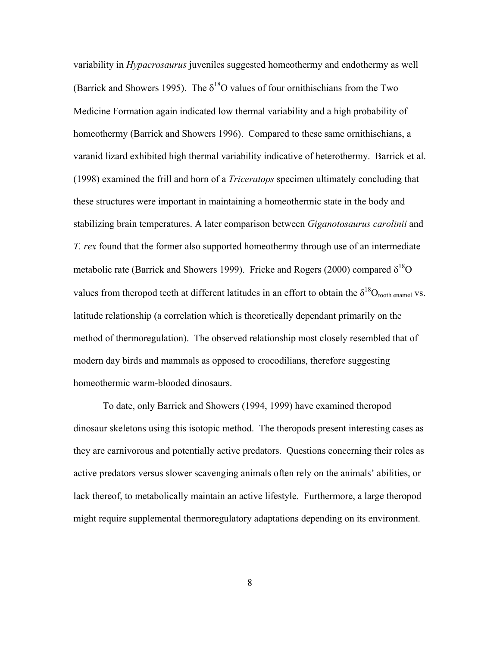variability in *Hypacrosaurus* juveniles suggested homeothermy and endothermy as well (Barrick and Showers 1995). The  $\delta^{18}$ O values of four ornithischians from the Two Medicine Formation again indicated low thermal variability and a high probability of homeothermy (Barrick and Showers 1996). Compared to these same ornithischians, a varanid lizard exhibited high thermal variability indicative of heterothermy. Barrick et al. (1998) examined the frill and horn of a *Triceratops* specimen ultimately concluding that these structures were important in maintaining a homeothermic state in the body and stabilizing brain temperatures. A later comparison between *Giganotosaurus carolinii* and *T. rex* found that the former also supported homeothermy through use of an intermediate metabolic rate (Barrick and Showers 1999). Fricke and Rogers (2000) compared  $\delta^{18}O$ values from theropod teeth at different latitudes in an effort to obtain the  $\delta^{18}O_{\text{tooth ensemble}}$  vs. latitude relationship (a correlation which is theoretically dependant primarily on the method of thermoregulation). The observed relationship most closely resembled that of modern day birds and mammals as opposed to crocodilians, therefore suggesting homeothermic warm-blooded dinosaurs.

To date, only Barrick and Showers (1994, 1999) have examined theropod dinosaur skeletons using this isotopic method. The theropods present interesting cases as they are carnivorous and potentially active predators. Questions concerning their roles as active predators versus slower scavenging animals often rely on the animals' abilities, or lack thereof, to metabolically maintain an active lifestyle. Furthermore, a large theropod might require supplemental thermoregulatory adaptations depending on its environment.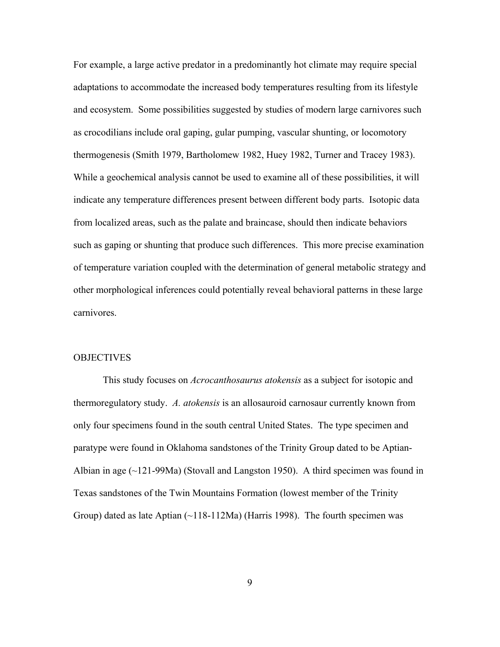For example, a large active predator in a predominantly hot climate may require special adaptations to accommodate the increased body temperatures resulting from its lifestyle and ecosystem. Some possibilities suggested by studies of modern large carnivores such as crocodilians include oral gaping, gular pumping, vascular shunting, or locomotory thermogenesis (Smith 1979, Bartholomew 1982, Huey 1982, Turner and Tracey 1983). While a geochemical analysis cannot be used to examine all of these possibilities, it will indicate any temperature differences present between different body parts. Isotopic data from localized areas, such as the palate and braincase, should then indicate behaviors such as gaping or shunting that produce such differences. This more precise examination of temperature variation coupled with the determination of general metabolic strategy and other morphological inferences could potentially reveal behavioral patterns in these large carnivores.

#### **OBJECTIVES**

This study focuses on *Acrocanthosaurus atokensis* as a subject for isotopic and thermoregulatory study. *A. atokensis* is an allosauroid carnosaur currently known from only four specimens found in the south central United States. The type specimen and paratype were found in Oklahoma sandstones of the Trinity Group dated to be Aptian-Albian in age  $(\sim 121-99$ Ma) (Stovall and Langston 1950). A third specimen was found in Texas sandstones of the Twin Mountains Formation (lowest member of the Trinity Group) dated as late Aptian  $(\sim 118-112 \text{Ma})$  (Harris 1998). The fourth specimen was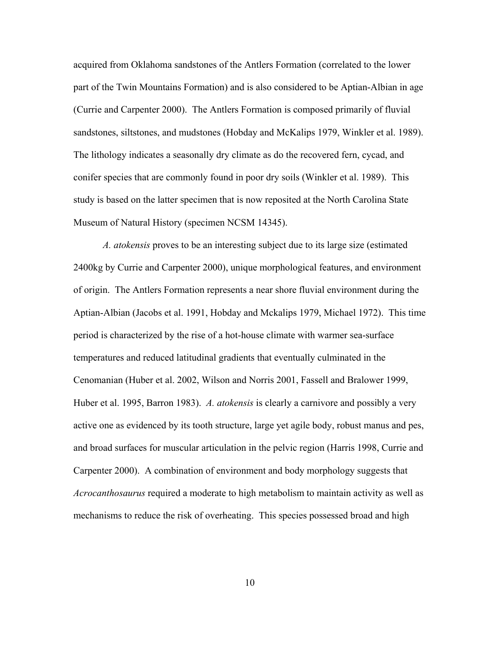acquired from Oklahoma sandstones of the Antlers Formation (correlated to the lower part of the Twin Mountains Formation) and is also considered to be Aptian-Albian in age (Currie and Carpenter 2000). The Antlers Formation is composed primarily of fluvial sandstones, siltstones, and mudstones (Hobday and McKalips 1979, Winkler et al. 1989). The lithology indicates a seasonally dry climate as do the recovered fern, cycad, and conifer species that are commonly found in poor dry soils (Winkler et al. 1989). This study is based on the latter specimen that is now reposited at the North Carolina State Museum of Natural History (specimen NCSM 14345).

*A. atokensis* proves to be an interesting subject due to its large size (estimated 2400kg by Currie and Carpenter 2000), unique morphological features, and environment of origin. The Antlers Formation represents a near shore fluvial environment during the Aptian-Albian (Jacobs et al. 1991, Hobday and Mckalips 1979, Michael 1972). This time period is characterized by the rise of a hot-house climate with warmer sea-surface temperatures and reduced latitudinal gradients that eventually culminated in the Cenomanian (Huber et al. 2002, Wilson and Norris 2001, Fassell and Bralower 1999, Huber et al. 1995, Barron 1983). *A. atokensis* is clearly a carnivore and possibly a very active one as evidenced by its tooth structure, large yet agile body, robust manus and pes, and broad surfaces for muscular articulation in the pelvic region (Harris 1998, Currie and Carpenter 2000). A combination of environment and body morphology suggests that *Acrocanthosaurus* required a moderate to high metabolism to maintain activity as well as mechanisms to reduce the risk of overheating. This species possessed broad and high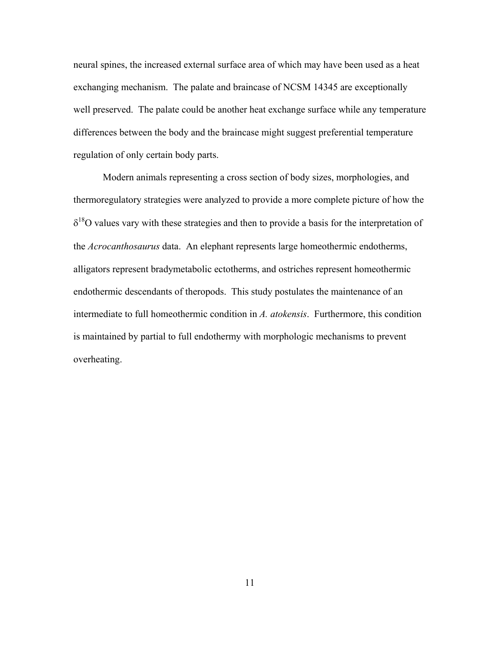neural spines, the increased external surface area of which may have been used as a heat exchanging mechanism. The palate and braincase of NCSM 14345 are exceptionally well preserved. The palate could be another heat exchange surface while any temperature differences between the body and the braincase might suggest preferential temperature regulation of only certain body parts.

Modern animals representing a cross section of body sizes, morphologies, and thermoregulatory strategies were analyzed to provide a more complete picture of how the  $\delta^{18}$ O values vary with these strategies and then to provide a basis for the interpretation of the *Acrocanthosaurus* data. An elephant represents large homeothermic endotherms, alligators represent bradymetabolic ectotherms, and ostriches represent homeothermic endothermic descendants of theropods. This study postulates the maintenance of an intermediate to full homeothermic condition in *A. atokensis*. Furthermore, this condition is maintained by partial to full endothermy with morphologic mechanisms to prevent overheating.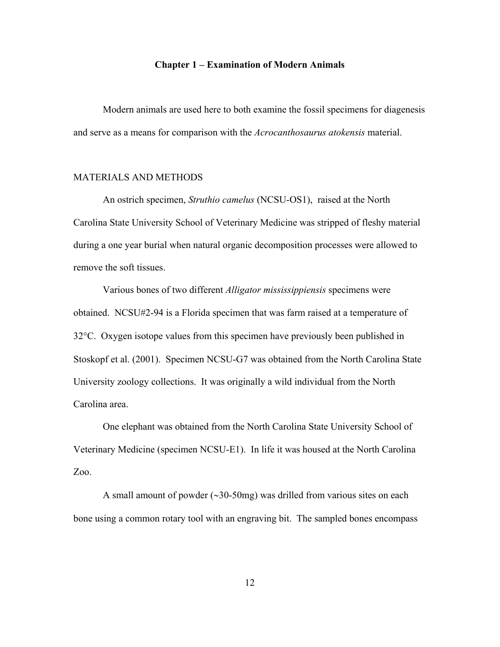#### **Chapter 1 – Examination of Modern Animals**

 Modern animals are used here to both examine the fossil specimens for diagenesis and serve as a means for comparison with the *Acrocanthosaurus atokensis* material.

#### MATERIALS AND METHODS

 An ostrich specimen, *Struthio camelus* (NCSU-OS1), raised at the North Carolina State University School of Veterinary Medicine was stripped of fleshy material during a one year burial when natural organic decomposition processes were allowed to remove the soft tissues.

 Various bones of two different *Alligator mississippiensis* specimens were obtained. NCSU#2-94 is a Florida specimen that was farm raised at a temperature of 32°C. Oxygen isotope values from this specimen have previously been published in Stoskopf et al. (2001). Specimen NCSU-G7 was obtained from the North Carolina State University zoology collections. It was originally a wild individual from the North Carolina area.

 One elephant was obtained from the North Carolina State University School of Veterinary Medicine (specimen NCSU-E1). In life it was housed at the North Carolina Zoo.

 A small amount of powder (∼30-50mg) was drilled from various sites on each bone using a common rotary tool with an engraving bit. The sampled bones encompass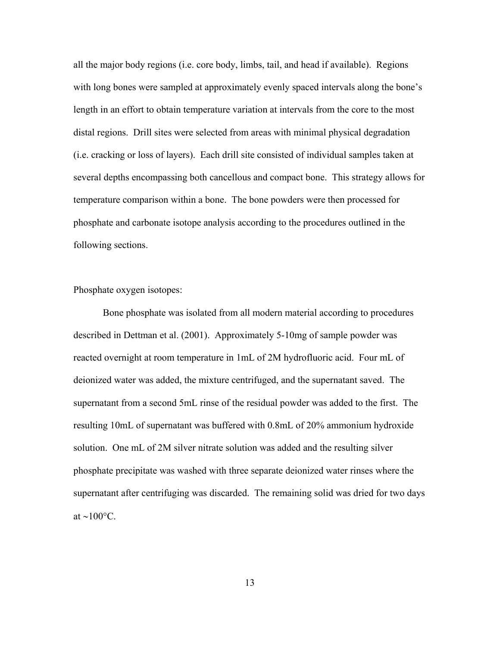all the major body regions (i.e. core body, limbs, tail, and head if available). Regions with long bones were sampled at approximately evenly spaced intervals along the bone's length in an effort to obtain temperature variation at intervals from the core to the most distal regions. Drill sites were selected from areas with minimal physical degradation (i.e. cracking or loss of layers). Each drill site consisted of individual samples taken at several depths encompassing both cancellous and compact bone. This strategy allows for temperature comparison within a bone. The bone powders were then processed for phosphate and carbonate isotope analysis according to the procedures outlined in the following sections.

Phosphate oxygen isotopes:

 Bone phosphate was isolated from all modern material according to procedures described in Dettman et al. (2001). Approximately 5-10mg of sample powder was reacted overnight at room temperature in 1mL of 2M hydrofluoric acid. Four mL of deionized water was added, the mixture centrifuged, and the supernatant saved. The supernatant from a second 5mL rinse of the residual powder was added to the first. The resulting 10mL of supernatant was buffered with 0.8mL of 20% ammonium hydroxide solution. One mL of 2M silver nitrate solution was added and the resulting silver phosphate precipitate was washed with three separate deionized water rinses where the supernatant after centrifuging was discarded. The remaining solid was dried for two days at ~100 $\rm{°C}$ .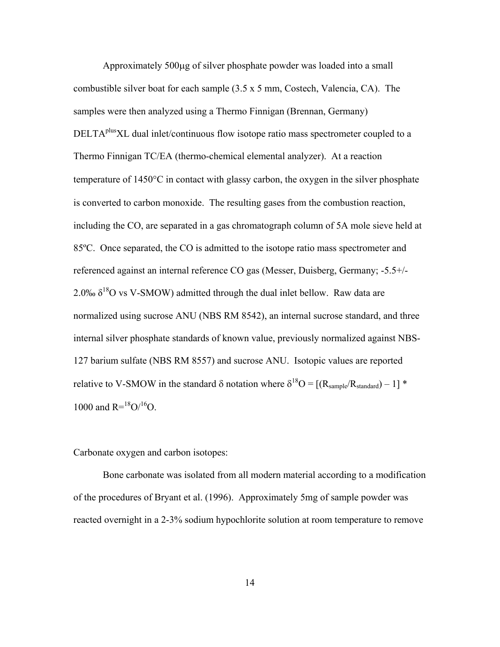Approximately 500µg of silver phosphate powder was loaded into a small combustible silver boat for each sample  $(3.5 \times 5 \text{ mm})$ , Costech, Valencia, CA). The samples were then analyzed using a Thermo Finnigan (Brennan, Germany) DELTA<sup>plus</sup>XL dual inlet/continuous flow isotope ratio mass spectrometer coupled to a Thermo Finnigan TC/EA (thermo-chemical elemental analyzer). At a reaction temperature of 1450°C in contact with glassy carbon, the oxygen in the silver phosphate is converted to carbon monoxide. The resulting gases from the combustion reaction, including the CO, are separated in a gas chromatograph column of 5A mole sieve held at 85ºC. Once separated, the CO is admitted to the isotope ratio mass spectrometer and referenced against an internal reference CO gas (Messer, Duisberg, Germany; -5.5+/- 2.0‰  $\delta^{18}$ O vs V-SMOW) admitted through the dual inlet bellow. Raw data are normalized using sucrose ANU (NBS RM 8542), an internal sucrose standard, and three internal silver phosphate standards of known value, previously normalized against NBS-127 barium sulfate (NBS RM 8557) and sucrose ANU. Isotopic values are reported relative to V-SMOW in the standard  $\delta$  notation where  $\delta^{18}O = [(R_{sample}/R_{standard}) - 1]$  \* 1000 and  $R = {^{18}O}/{^{16}O}$ .

Carbonate oxygen and carbon isotopes:

 Bone carbonate was isolated from all modern material according to a modification of the procedures of Bryant et al. (1996). Approximately 5mg of sample powder was reacted overnight in a 2-3% sodium hypochlorite solution at room temperature to remove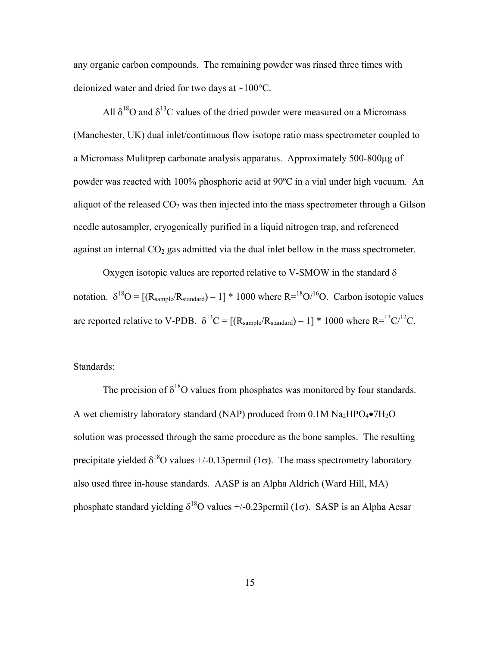any organic carbon compounds. The remaining powder was rinsed three times with deionized water and dried for two days at ∼100°C.

All  $\delta^{18}$ O and  $\delta^{13}$ C values of the dried powder were measured on a Micromass (Manchester, UK) dual inlet/continuous flow isotope ratio mass spectrometer coupled to a Micromass Mulitprep carbonate analysis apparatus. Approximately 500-800µg of powder was reacted with 100% phosphoric acid at 90ºC in a vial under high vacuum. An aliquot of the released  $CO<sub>2</sub>$  was then injected into the mass spectrometer through a Gilson needle autosampler, cryogenically purified in a liquid nitrogen trap, and referenced against an internal  $CO<sub>2</sub>$  gas admitted via the dual inlet bellow in the mass spectrometer.

Oxygen isotopic values are reported relative to V-SMOW in the standard  $\delta$ notation.  $\delta^{18}O = [(R_{sample}/R_{standard}) - 1] * 1000$  where  $R = {^{18}O}/{^{16}O}$ . Carbon isotopic values are reported relative to V-PDB.  $\delta^{13}C = [(R_{sample}/R_{standard}) - 1] * 1000$  where  $R = {^{13}C}/{^{12}C}$ .

Standards:

The precision of  $\delta^{18}$ O values from phosphates was monitored by four standards. A wet chemistry laboratory standard (NAP) produced from  $0.1M$  Na<sub>2</sub>HPO<sub>4</sub> $\bullet$ 7H<sub>2</sub>O solution was processed through the same procedure as the bone samples. The resulting precipitate yielded  $\delta^{18}$ O values +/-0.13 permil (1 $\sigma$ ). The mass spectrometry laboratory also used three in-house standards. AASP is an Alpha Aldrich (Ward Hill, MA) phosphate standard yielding  $\delta^{18}$ O values +/-0.23 permil (1 $\sigma$ ). SASP is an Alpha Aesar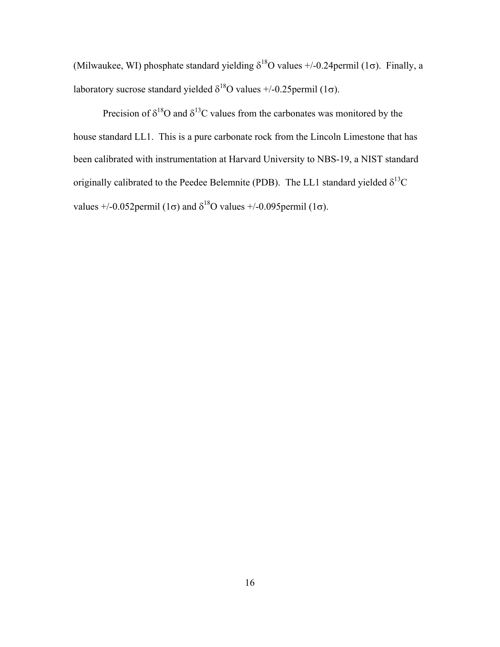(Milwaukee, WI) phosphate standard yielding  $\delta^{18}$ O values +/-0.24permil (1 $\sigma$ ). Finally, a laboratory sucrose standard yielded  $\delta^{18}$ O values +/-0.25permil (1 $\sigma$ ).

Precision of  $\delta^{18}$ O and  $\delta^{13}$ C values from the carbonates was monitored by the house standard LL1. This is a pure carbonate rock from the Lincoln Limestone that has been calibrated with instrumentation at Harvard University to NBS-19, a NIST standard originally calibrated to the Peedee Belemnite (PDB). The LL1 standard yielded  $\delta^{13}C$ values +/-0.052 permil (1 $\sigma$ ) and  $\delta^{18}$ O values +/-0.095 permil (1 $\sigma$ ).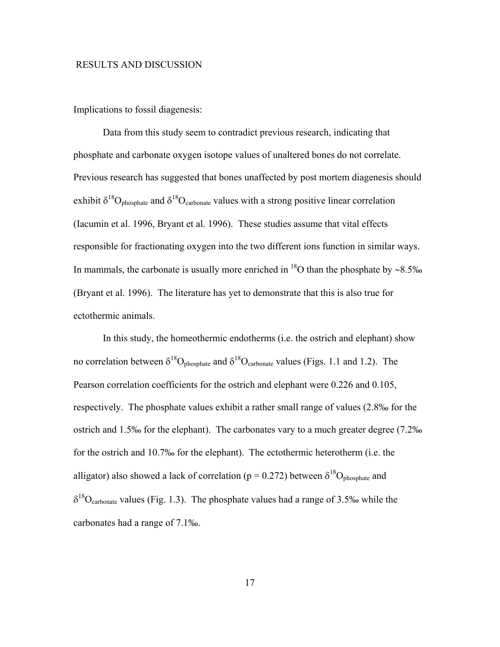#### RESULTS AND DISCUSSION

Implications to fossil diagenesis:

 Data from this study seem to contradict previous research, indicating that phosphate and carbonate oxygen isotope values of unaltered bones do not correlate. Previous research has suggested that bones unaffected by post mortem diagenesis should exhibit  $\delta^{18}O_{\text{phosphate}}$  and  $\delta^{18}O_{\text{carbonate}}$  values with a strong positive linear correlation (Iacumin et al. 1996, Bryant et al. 1996). These studies assume that vital effects responsible for fractionating oxygen into the two different ions function in similar ways. In mammals, the carbonate is usually more enriched in <sup>18</sup>O than the phosphate by ~8.5‰ (Bryant et al. 1996). The literature has yet to demonstrate that this is also true for ectothermic animals.

 In this study, the homeothermic endotherms (i.e. the ostrich and elephant) show no correlation between  $\delta^{18}O_{\text{phosphate}}$  and  $\delta^{18}O_{\text{carbonate}}$  values (Figs. 1.1 and 1.2). The Pearson correlation coefficients for the ostrich and elephant were 0.226 and 0.105, respectively. The phosphate values exhibit a rather small range of values (2.8‰ for the ostrich and 1.5‰ for the elephant). The carbonates vary to a much greater degree (7.2‰ for the ostrich and 10.7‰ for the elephant). The ectothermic heterotherm (i.e. the alligator) also showed a lack of correlation ( $p = 0.272$ ) between  $\delta^{18}O_{\text{phosphate}}$  and  $\delta^{18}O_{\text{carbonate}}$  values (Fig. 1.3). The phosphate values had a range of 3.5‰ while the carbonates had a range of 7.1‰.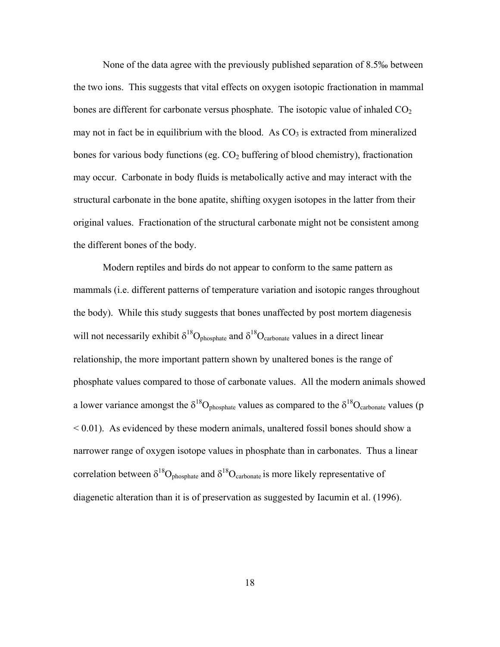None of the data agree with the previously published separation of 8.5‰ between the two ions. This suggests that vital effects on oxygen isotopic fractionation in mammal bones are different for carbonate versus phosphate. The isotopic value of inhaled  $CO<sub>2</sub>$ may not in fact be in equilibrium with the blood. As  $CO<sub>3</sub>$  is extracted from mineralized bones for various body functions (eg.  $CO<sub>2</sub>$  buffering of blood chemistry), fractionation may occur. Carbonate in body fluids is metabolically active and may interact with the structural carbonate in the bone apatite, shifting oxygen isotopes in the latter from their original values. Fractionation of the structural carbonate might not be consistent among the different bones of the body.

Modern reptiles and birds do not appear to conform to the same pattern as mammals (i.e. different patterns of temperature variation and isotopic ranges throughout the body). While this study suggests that bones unaffected by post mortem diagenesis will not necessarily exhibit  $\delta^{18}O_{\text{phosphate}}$  and  $\delta^{18}O_{\text{carbonate}}$  values in a direct linear relationship, the more important pattern shown by unaltered bones is the range of phosphate values compared to those of carbonate values. All the modern animals showed a lower variance amongst the  $\delta^{18}O_{\text{phosphate}}$  values as compared to the  $\delta^{18}O_{\text{carbonate}}$  values (p  $< 0.01$ ). As evidenced by these modern animals, unaltered fossil bones should show a narrower range of oxygen isotope values in phosphate than in carbonates. Thus a linear correlation between  $\delta^{18}O_{\text{phosphate}}$  and  $\delta^{18}O_{\text{carbonate}}$  is more likely representative of diagenetic alteration than it is of preservation as suggested by Iacumin et al. (1996).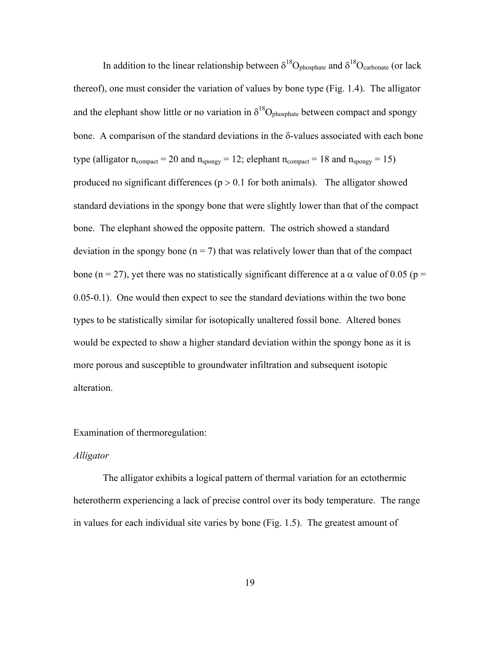In addition to the linear relationship between  $\delta^{18}O_{\text{phosphate}}$  and  $\delta^{18}O_{\text{carbonate}}$  (or lack thereof), one must consider the variation of values by bone type (Fig. 1.4). The alligator and the elephant show little or no variation in  $\delta^{18}O_{\text{phosphate}}$  between compact and spongy bone. A comparison of the standard deviations in the δ-values associated with each bone type (alligator  $n_{compact} = 20$  and  $n_{spongy} = 12$ ; elephant  $n_{compact} = 18$  and  $n_{spongy} = 15$ ) produced no significant differences ( $p > 0.1$  for both animals). The alligator showed standard deviations in the spongy bone that were slightly lower than that of the compact bone. The elephant showed the opposite pattern. The ostrich showed a standard deviation in the spongy bone ( $n = 7$ ) that was relatively lower than that of the compact bone (n = 27), yet there was no statistically significant difference at a α value of 0.05 (p = 0.05-0.1). One would then expect to see the standard deviations within the two bone types to be statistically similar for isotopically unaltered fossil bone. Altered bones would be expected to show a higher standard deviation within the spongy bone as it is more porous and susceptible to groundwater infiltration and subsequent isotopic alteration.

#### Examination of thermoregulation:

#### *Alligator*

 The alligator exhibits a logical pattern of thermal variation for an ectothermic heterotherm experiencing a lack of precise control over its body temperature. The range in values for each individual site varies by bone (Fig. 1.5). The greatest amount of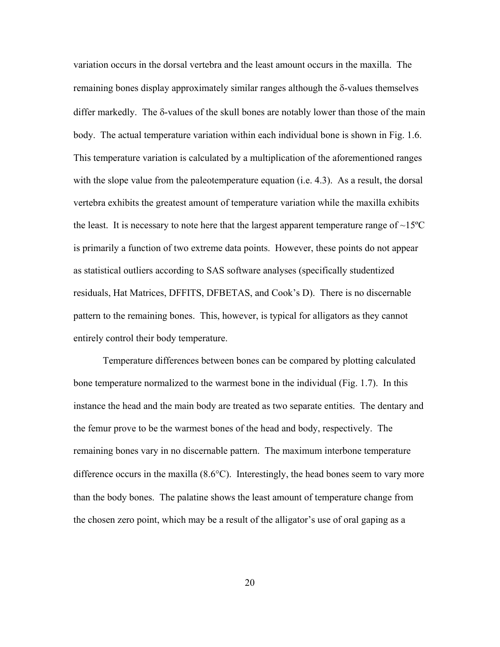variation occurs in the dorsal vertebra and the least amount occurs in the maxilla. The remaining bones display approximately similar ranges although the δ-values themselves differ markedly. The δ-values of the skull bones are notably lower than those of the main body. The actual temperature variation within each individual bone is shown in Fig. 1.6. This temperature variation is calculated by a multiplication of the aforementioned ranges with the slope value from the paleotemperature equation (i.e. 4.3). As a result, the dorsal vertebra exhibits the greatest amount of temperature variation while the maxilla exhibits the least. It is necessary to note here that the largest apparent temperature range of  $\sim15^{\circ}\text{C}$ is primarily a function of two extreme data points. However, these points do not appear as statistical outliers according to SAS software analyses (specifically studentized residuals, Hat Matrices, DFFITS, DFBETAS, and Cook's D). There is no discernable pattern to the remaining bones. This, however, is typical for alligators as they cannot entirely control their body temperature.

 Temperature differences between bones can be compared by plotting calculated bone temperature normalized to the warmest bone in the individual (Fig. 1.7). In this instance the head and the main body are treated as two separate entities. The dentary and the femur prove to be the warmest bones of the head and body, respectively. The remaining bones vary in no discernable pattern. The maximum interbone temperature difference occurs in the maxilla (8.6°C). Interestingly, the head bones seem to vary more than the body bones. The palatine shows the least amount of temperature change from the chosen zero point, which may be a result of the alligator's use of oral gaping as a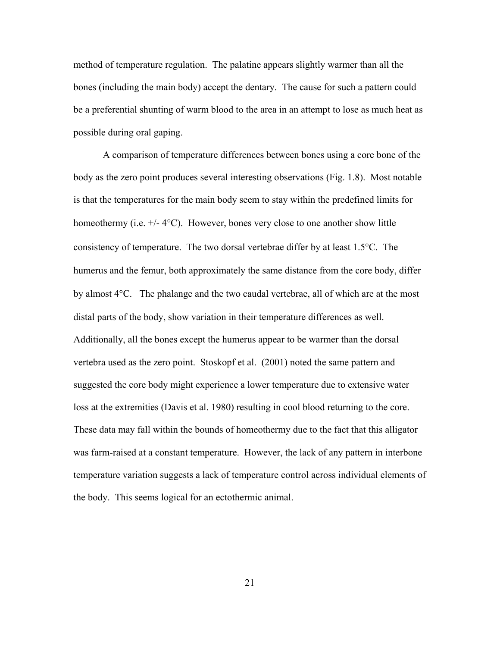method of temperature regulation. The palatine appears slightly warmer than all the bones (including the main body) accept the dentary. The cause for such a pattern could be a preferential shunting of warm blood to the area in an attempt to lose as much heat as possible during oral gaping.

 A comparison of temperature differences between bones using a core bone of the body as the zero point produces several interesting observations (Fig. 1.8). Most notable is that the temperatures for the main body seem to stay within the predefined limits for homeothermy (i.e.  $+/- 4$ °C). However, bones very close to one another show little consistency of temperature. The two dorsal vertebrae differ by at least 1.5°C. The humerus and the femur, both approximately the same distance from the core body, differ by almost 4°C. The phalange and the two caudal vertebrae, all of which are at the most distal parts of the body, show variation in their temperature differences as well. Additionally, all the bones except the humerus appear to be warmer than the dorsal vertebra used as the zero point. Stoskopf et al. (2001) noted the same pattern and suggested the core body might experience a lower temperature due to extensive water loss at the extremities (Davis et al. 1980) resulting in cool blood returning to the core. These data may fall within the bounds of homeothermy due to the fact that this alligator was farm-raised at a constant temperature. However, the lack of any pattern in interbone temperature variation suggests a lack of temperature control across individual elements of the body. This seems logical for an ectothermic animal.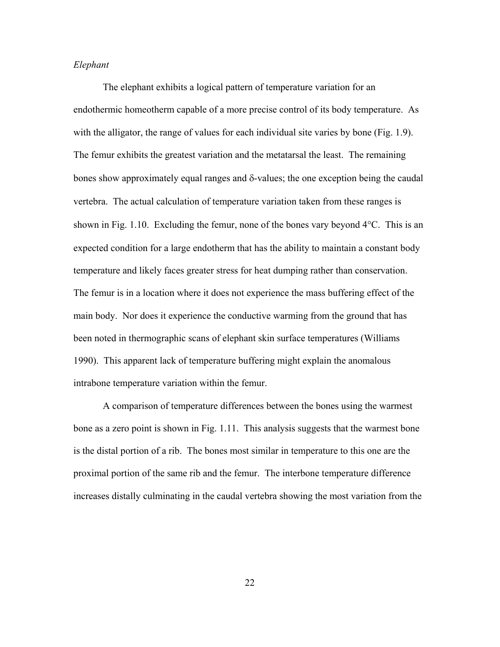#### *Elephant*

 The elephant exhibits a logical pattern of temperature variation for an endothermic homeotherm capable of a more precise control of its body temperature. As with the alligator, the range of values for each individual site varies by bone (Fig. 1.9). The femur exhibits the greatest variation and the metatarsal the least. The remaining bones show approximately equal ranges and δ-values; the one exception being the caudal vertebra. The actual calculation of temperature variation taken from these ranges is shown in Fig. 1.10. Excluding the femur, none of the bones vary beyond 4°C. This is an expected condition for a large endotherm that has the ability to maintain a constant body temperature and likely faces greater stress for heat dumping rather than conservation. The femur is in a location where it does not experience the mass buffering effect of the main body. Nor does it experience the conductive warming from the ground that has been noted in thermographic scans of elephant skin surface temperatures (Williams 1990). This apparent lack of temperature buffering might explain the anomalous intrabone temperature variation within the femur.

 A comparison of temperature differences between the bones using the warmest bone as a zero point is shown in Fig. 1.11. This analysis suggests that the warmest bone is the distal portion of a rib. The bones most similar in temperature to this one are the proximal portion of the same rib and the femur. The interbone temperature difference increases distally culminating in the caudal vertebra showing the most variation from the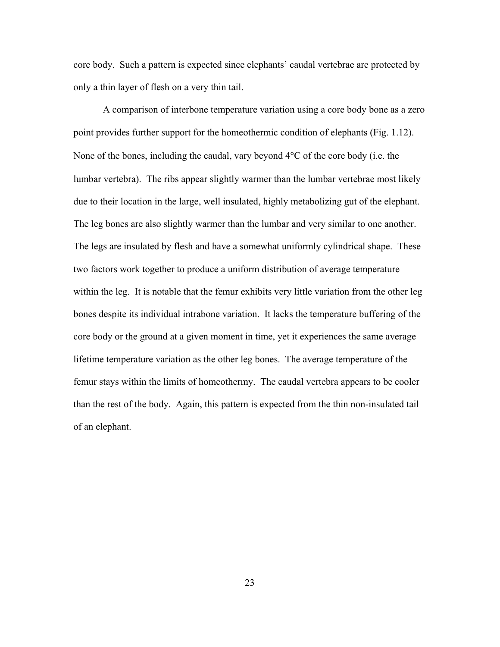core body. Such a pattern is expected since elephants' caudal vertebrae are protected by only a thin layer of flesh on a very thin tail.

 A comparison of interbone temperature variation using a core body bone as a zero point provides further support for the homeothermic condition of elephants (Fig. 1.12). None of the bones, including the caudal, vary beyond 4°C of the core body (i.e. the lumbar vertebra). The ribs appear slightly warmer than the lumbar vertebrae most likely due to their location in the large, well insulated, highly metabolizing gut of the elephant. The leg bones are also slightly warmer than the lumbar and very similar to one another. The legs are insulated by flesh and have a somewhat uniformly cylindrical shape. These two factors work together to produce a uniform distribution of average temperature within the leg. It is notable that the femur exhibits very little variation from the other leg bones despite its individual intrabone variation. It lacks the temperature buffering of the core body or the ground at a given moment in time, yet it experiences the same average lifetime temperature variation as the other leg bones. The average temperature of the femur stays within the limits of homeothermy. The caudal vertebra appears to be cooler than the rest of the body. Again, this pattern is expected from the thin non-insulated tail of an elephant.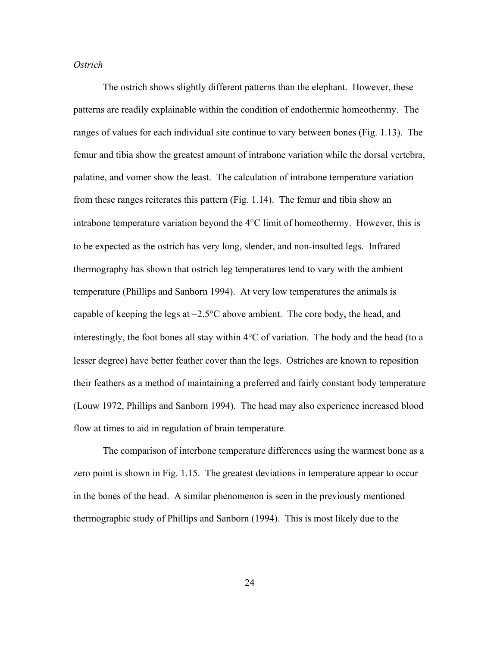#### *Ostrich*

 The ostrich shows slightly different patterns than the elephant. However, these patterns are readily explainable within the condition of endothermic homeothermy. The ranges of values for each individual site continue to vary between bones (Fig. 1.13). The femur and tibia show the greatest amount of intrabone variation while the dorsal vertebra, palatine, and vomer show the least. The calculation of intrabone temperature variation from these ranges reiterates this pattern (Fig. 1.14). The femur and tibia show an intrabone temperature variation beyond the 4°C limit of homeothermy. However, this is to be expected as the ostrich has very long, slender, and non-insulted legs. Infrared thermography has shown that ostrich leg temperatures tend to vary with the ambient temperature (Phillips and Sanborn 1994). At very low temperatures the animals is capable of keeping the legs at  $\sim$ 2.5 $\degree$ C above ambient. The core body, the head, and interestingly, the foot bones all stay within 4°C of variation. The body and the head (to a lesser degree) have better feather cover than the legs. Ostriches are known to reposition their feathers as a method of maintaining a preferred and fairly constant body temperature (Louw 1972, Phillips and Sanborn 1994). The head may also experience increased blood flow at times to aid in regulation of brain temperature.

 The comparison of interbone temperature differences using the warmest bone as a zero point is shown in Fig. 1.15. The greatest deviations in temperature appear to occur in the bones of the head. A similar phenomenon is seen in the previously mentioned thermographic study of Phillips and Sanborn (1994). This is most likely due to the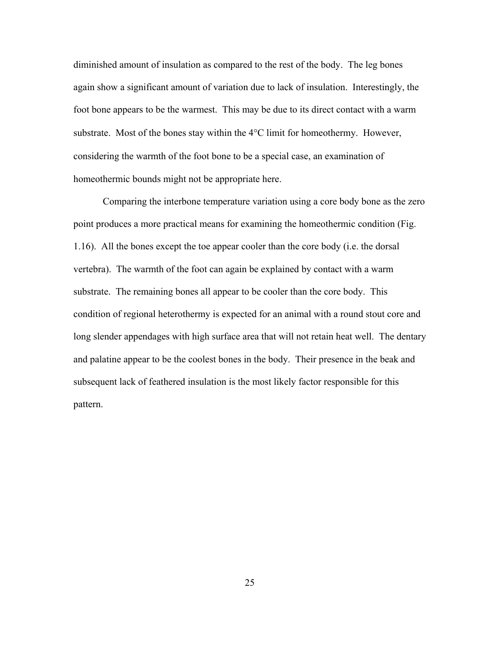diminished amount of insulation as compared to the rest of the body. The leg bones again show a significant amount of variation due to lack of insulation. Interestingly, the foot bone appears to be the warmest. This may be due to its direct contact with a warm substrate. Most of the bones stay within the 4°C limit for homeothermy. However, considering the warmth of the foot bone to be a special case, an examination of homeothermic bounds might not be appropriate here.

 Comparing the interbone temperature variation using a core body bone as the zero point produces a more practical means for examining the homeothermic condition (Fig. 1.16). All the bones except the toe appear cooler than the core body (i.e. the dorsal vertebra). The warmth of the foot can again be explained by contact with a warm substrate. The remaining bones all appear to be cooler than the core body. This condition of regional heterothermy is expected for an animal with a round stout core and long slender appendages with high surface area that will not retain heat well. The dentary and palatine appear to be the coolest bones in the body. Their presence in the beak and subsequent lack of feathered insulation is the most likely factor responsible for this pattern.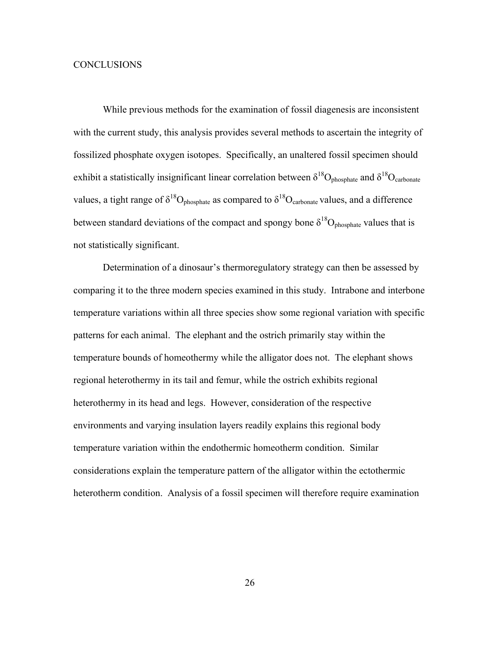#### CONCLUSIONS

 While previous methods for the examination of fossil diagenesis are inconsistent with the current study, this analysis provides several methods to ascertain the integrity of fossilized phosphate oxygen isotopes. Specifically, an unaltered fossil specimen should exhibit a statistically insignificant linear correlation between  $\delta^{18}O_{\text{phosphate}}$  and  $\delta^{18}O_{\text{carbonate}}$ values, a tight range of  $\delta^{18}O_{\text{phosphate}}$  as compared to  $\delta^{18}O_{\text{carbonate}}$  values, and a difference between standard deviations of the compact and spongy bone  $\delta^{18}O_{\text{phosphate}}$  values that is not statistically significant.

 Determination of a dinosaur's thermoregulatory strategy can then be assessed by comparing it to the three modern species examined in this study. Intrabone and interbone temperature variations within all three species show some regional variation with specific patterns for each animal. The elephant and the ostrich primarily stay within the temperature bounds of homeothermy while the alligator does not. The elephant shows regional heterothermy in its tail and femur, while the ostrich exhibits regional heterothermy in its head and legs. However, consideration of the respective environments and varying insulation layers readily explains this regional body temperature variation within the endothermic homeotherm condition. Similar considerations explain the temperature pattern of the alligator within the ectothermic heterotherm condition. Analysis of a fossil specimen will therefore require examination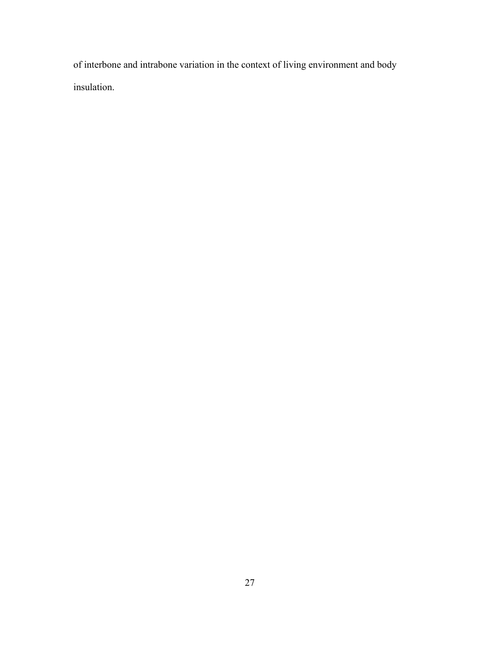of interbone and intrabone variation in the context of living environment and body insulation.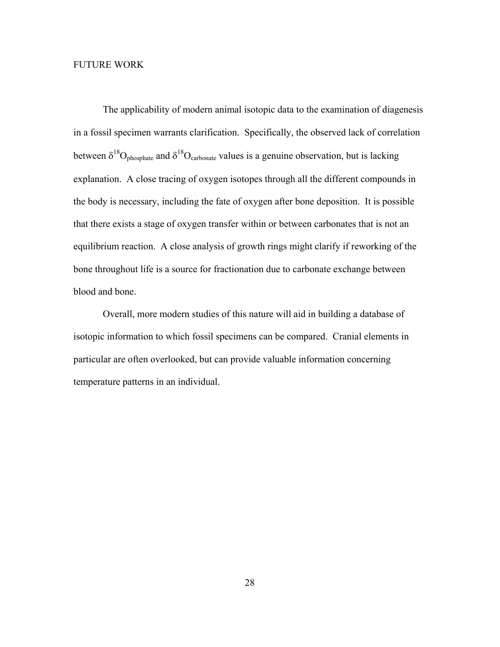#### FUTURE WORK

 The applicability of modern animal isotopic data to the examination of diagenesis in a fossil specimen warrants clarification. Specifically, the observed lack of correlation between  $\delta^{18}O_{\text{phosphate}}$  and  $\delta^{18}O_{\text{carbonate}}$  values is a genuine observation, but is lacking explanation. A close tracing of oxygen isotopes through all the different compounds in the body is necessary, including the fate of oxygen after bone deposition. It is possible that there exists a stage of oxygen transfer within or between carbonates that is not an equilibrium reaction. A close analysis of growth rings might clarify if reworking of the bone throughout life is a source for fractionation due to carbonate exchange between blood and bone.

 Overall, more modern studies of this nature will aid in building a database of isotopic information to which fossil specimens can be compared. Cranial elements in particular are often overlooked, but can provide valuable information concerning temperature patterns in an individual.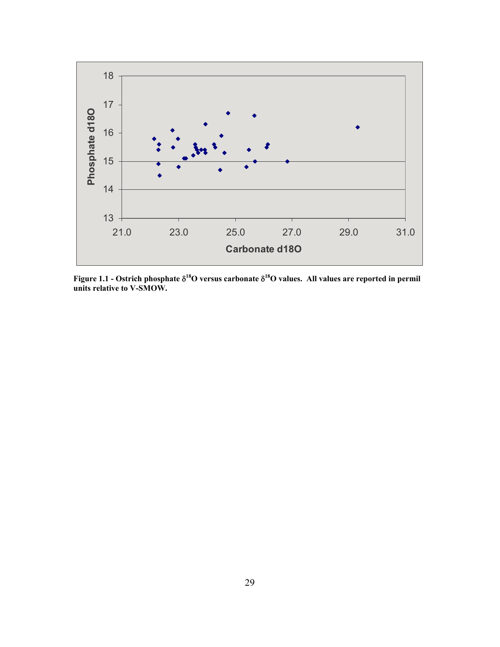

**Figure 1.1 - Ostrich phosphate** δ**18O versus carbonate** δ**18O values. All values are reported in permil units relative to V-SMOW.**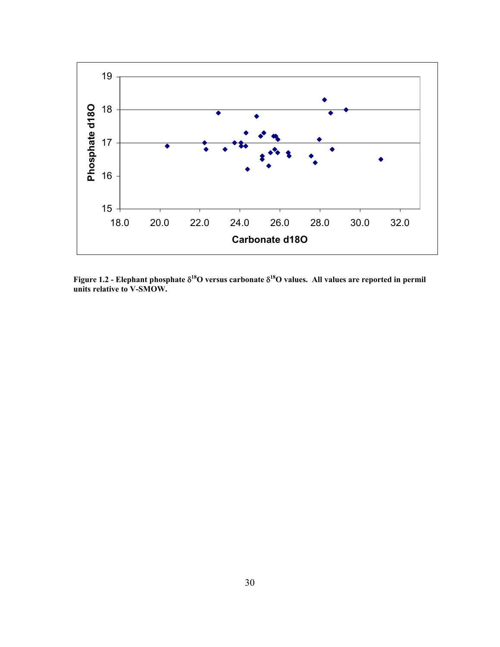

**Figure 1.2 - Elephant phosphate** δ**18O versus carbonate** δ**18O values. All values are reported in permil units relative to V-SMOW.**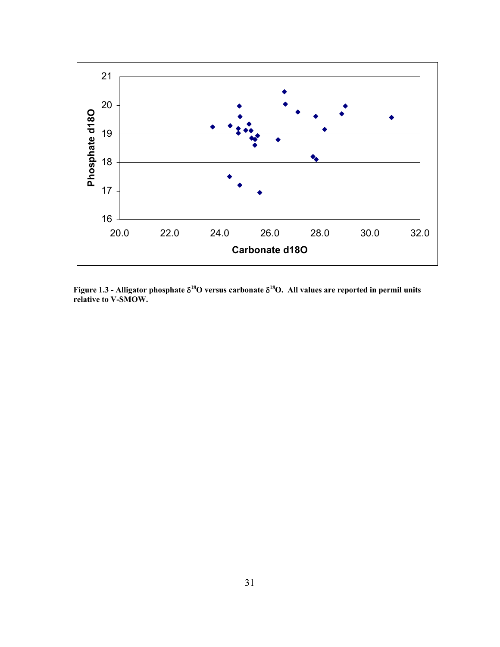

**Figure 1.3 - Alligator phosphate** δ**18O versus carbonate** δ**18O. All values are reported in permil units relative to V-SMOW.**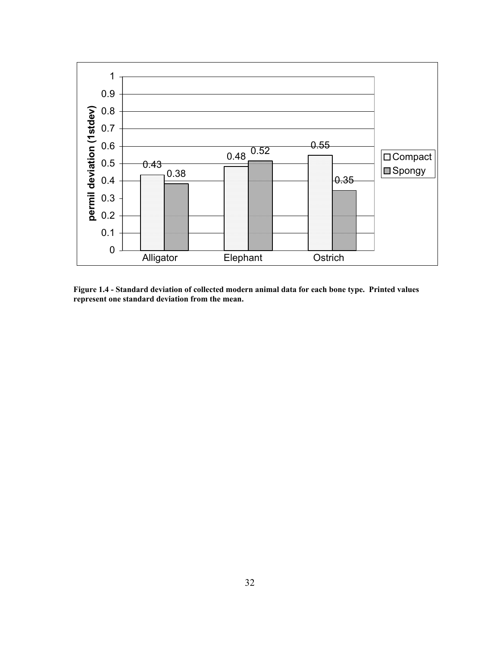

**Figure 1.4 - Standard deviation of collected modern animal data for each bone type. Printed values represent one standard deviation from the mean.**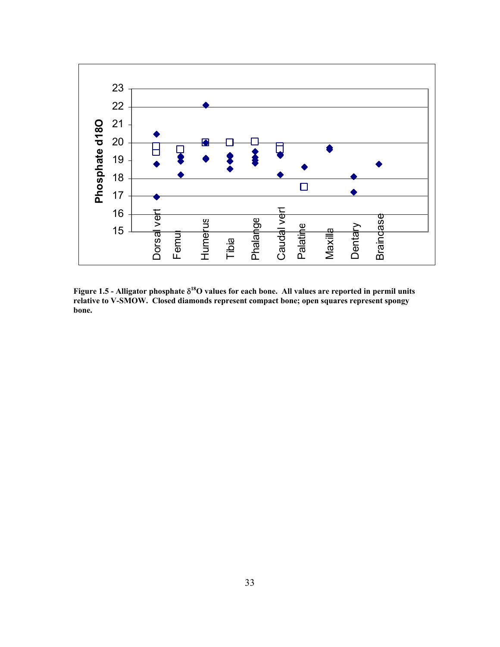

**Figure 1.5 - Alligator phosphate** δ**18O values for each bone. All values are reported in permil units relative to V-SMOW. Closed diamonds represent compact bone; open squares represent spongy bone.**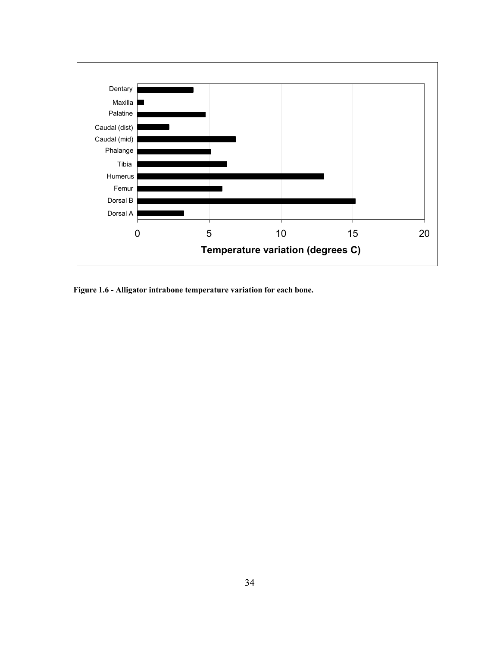

**Figure 1.6 - Alligator intrabone temperature variation for each bone.**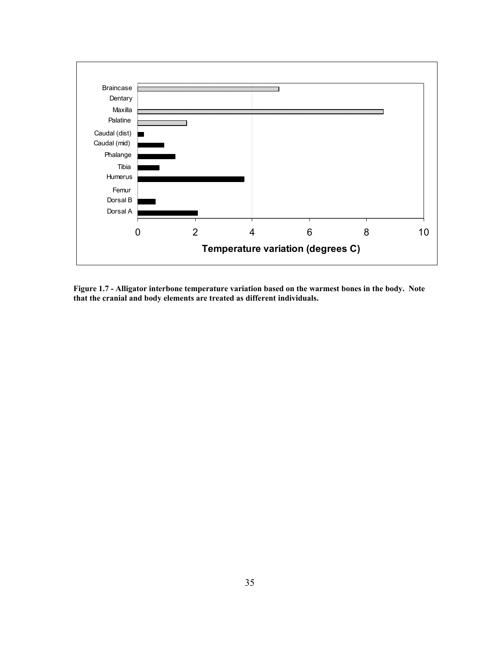

**Figure 1.7 - Alligator interbone temperature variation based on the warmest bones in the body. Note that the cranial and body elements are treated as different individuals.**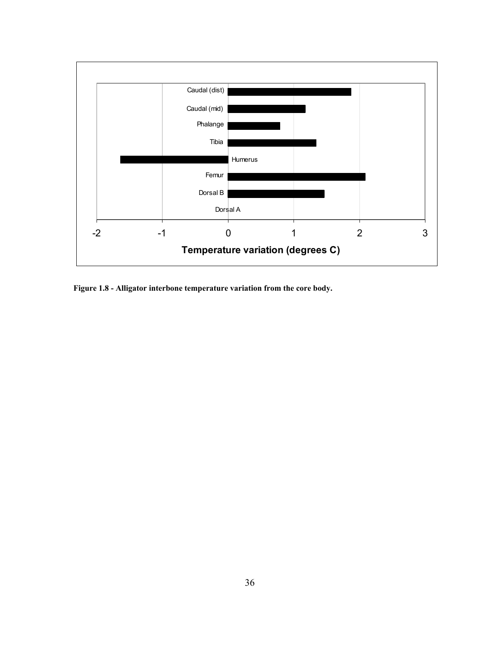

**Figure 1.8 - Alligator interbone temperature variation from the core body.**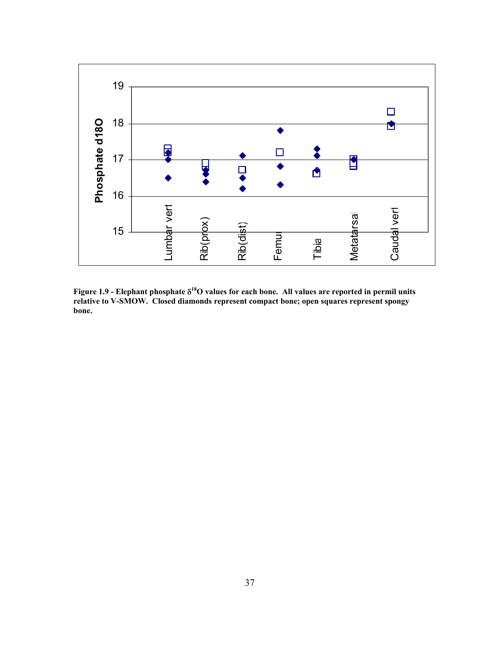

**Figure 1.9 - Elephant phosphate** δ**18O values for each bone. All values are reported in permil units relative to V-SMOW. Closed diamonds represent compact bone; open squares represent spongy bone.**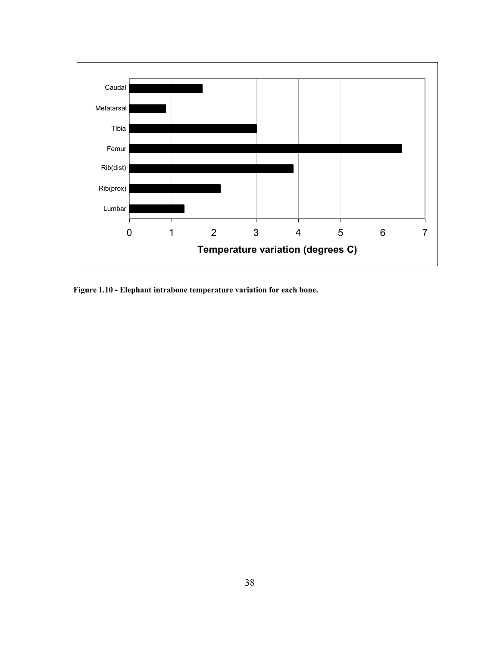

**Figure 1.10 - Elephant intrabone temperature variation for each bone.**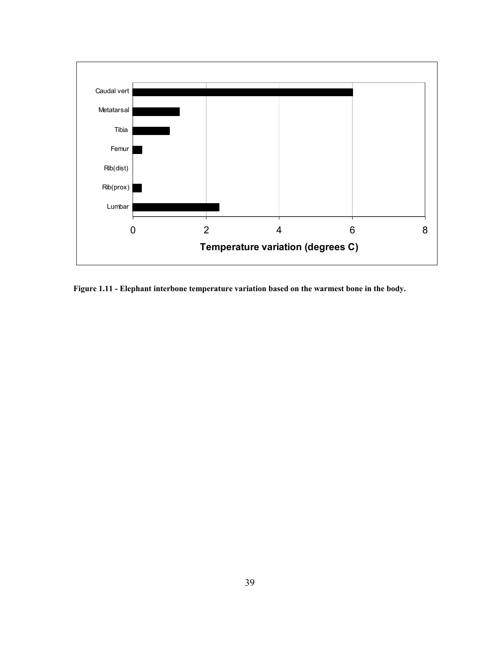

**Figure 1.11 - Elephant interbone temperature variation based on the warmest bone in the body.**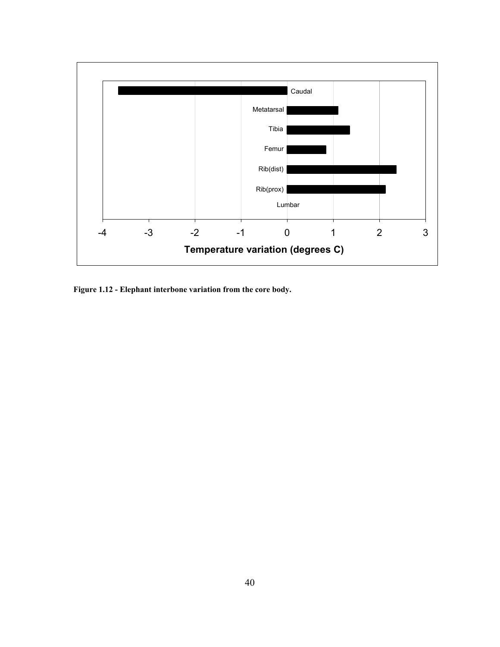

**Figure 1.12 - Elephant interbone variation from the core body.**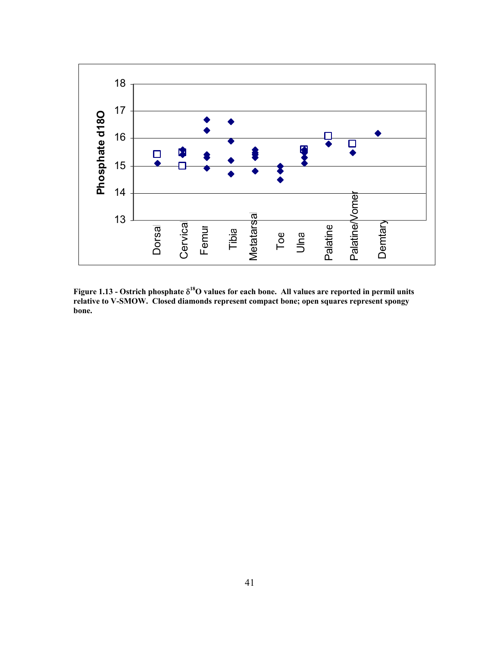

**Figure 1.13 - Ostrich phosphate** δ**18O values for each bone. All values are reported in permil units relative to V-SMOW. Closed diamonds represent compact bone; open squares represent spongy bone.**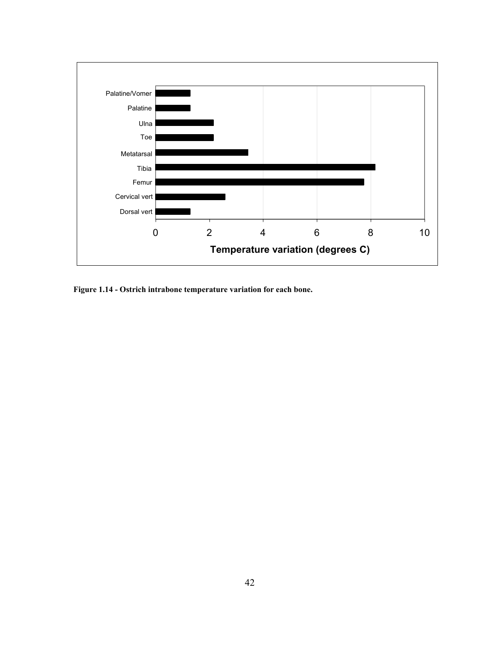

**Figure 1.14 - Ostrich intrabone temperature variation for each bone.**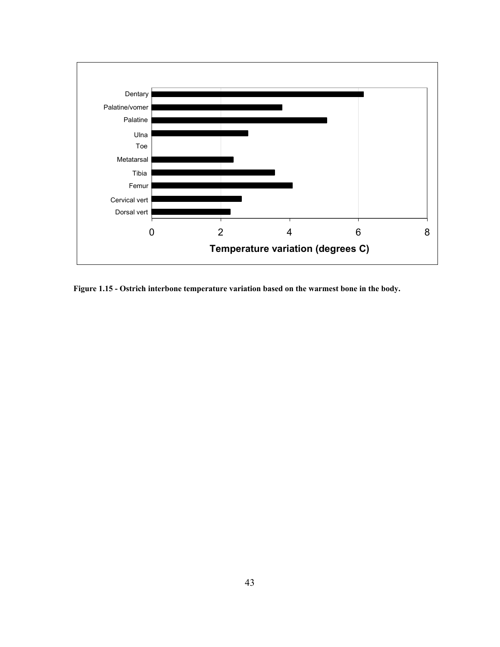

**Figure 1.15 - Ostrich interbone temperature variation based on the warmest bone in the body.**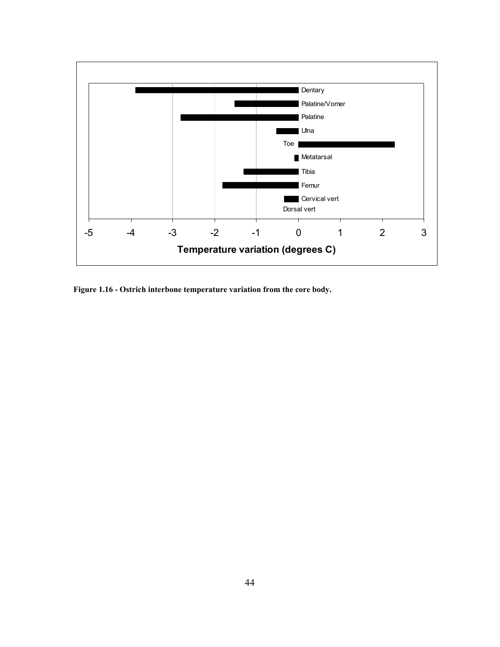

**Figure 1.16 - Ostrich interbone temperature variation from the core body.**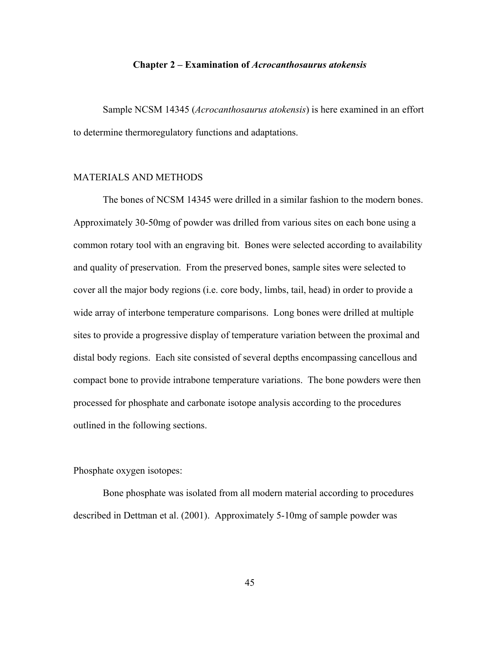#### **Chapter 2 – Examination of** *Acrocanthosaurus atokensis*

 Sample NCSM 14345 (*Acrocanthosaurus atokensis*) is here examined in an effort to determine thermoregulatory functions and adaptations.

## MATERIALS AND METHODS

 The bones of NCSM 14345 were drilled in a similar fashion to the modern bones. Approximately 30-50mg of powder was drilled from various sites on each bone using a common rotary tool with an engraving bit. Bones were selected according to availability and quality of preservation. From the preserved bones, sample sites were selected to cover all the major body regions (i.e. core body, limbs, tail, head) in order to provide a wide array of interbone temperature comparisons. Long bones were drilled at multiple sites to provide a progressive display of temperature variation between the proximal and distal body regions. Each site consisted of several depths encompassing cancellous and compact bone to provide intrabone temperature variations. The bone powders were then processed for phosphate and carbonate isotope analysis according to the procedures outlined in the following sections.

Phosphate oxygen isotopes:

 Bone phosphate was isolated from all modern material according to procedures described in Dettman et al. (2001). Approximately 5-10mg of sample powder was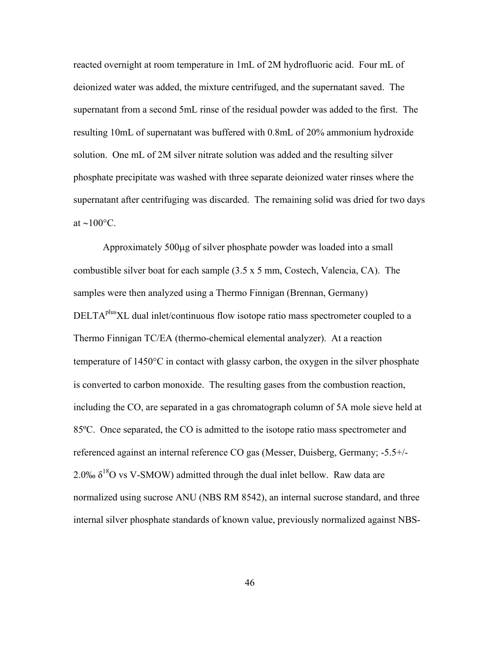reacted overnight at room temperature in 1mL of 2M hydrofluoric acid. Four mL of deionized water was added, the mixture centrifuged, and the supernatant saved. The supernatant from a second 5mL rinse of the residual powder was added to the first. The resulting 10mL of supernatant was buffered with 0.8mL of 20% ammonium hydroxide solution. One mL of 2M silver nitrate solution was added and the resulting silver phosphate precipitate was washed with three separate deionized water rinses where the supernatant after centrifuging was discarded. The remaining solid was dried for two days at ∼100°C.

 Approximately 500µg of silver phosphate powder was loaded into a small combustible silver boat for each sample (3.5 x 5 mm, Costech, Valencia, CA). The samples were then analyzed using a Thermo Finnigan (Brennan, Germany)  $DELTA<sup>plus</sup>XL$  dual inlet/continuous flow isotope ratio mass spectrometer coupled to a Thermo Finnigan TC/EA (thermo-chemical elemental analyzer). At a reaction temperature of 1450°C in contact with glassy carbon, the oxygen in the silver phosphate is converted to carbon monoxide. The resulting gases from the combustion reaction, including the CO, are separated in a gas chromatograph column of 5A mole sieve held at 85ºC. Once separated, the CO is admitted to the isotope ratio mass spectrometer and referenced against an internal reference CO gas (Messer, Duisberg, Germany; -5.5+/- 2.0‰  $\delta^{18}$ O vs V-SMOW) admitted through the dual inlet bellow. Raw data are normalized using sucrose ANU (NBS RM 8542), an internal sucrose standard, and three internal silver phosphate standards of known value, previously normalized against NBS-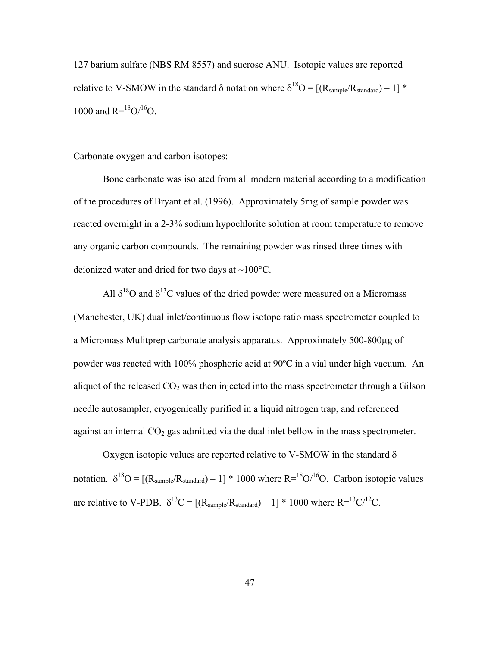127 barium sulfate (NBS RM 8557) and sucrose ANU. Isotopic values are reported relative to V-SMOW in the standard  $\delta$  notation where  $\delta^{18}O = [(R_{sample}/R_{standard}) - 1]$  \* 1000 and  $R=^{18}O/^{16}O$ .

Carbonate oxygen and carbon isotopes:

 Bone carbonate was isolated from all modern material according to a modification of the procedures of Bryant et al. (1996). Approximately 5mg of sample powder was reacted overnight in a 2-3% sodium hypochlorite solution at room temperature to remove any organic carbon compounds. The remaining powder was rinsed three times with deionized water and dried for two days at ∼100°C.

All  $\delta^{18}$ O and  $\delta^{13}$ C values of the dried powder were measured on a Micromass (Manchester, UK) dual inlet/continuous flow isotope ratio mass spectrometer coupled to a Micromass Mulitprep carbonate analysis apparatus. Approximately 500-800µg of powder was reacted with 100% phosphoric acid at 90ºC in a vial under high vacuum. An aliquot of the released  $CO<sub>2</sub>$  was then injected into the mass spectrometer through a Gilson needle autosampler, cryogenically purified in a liquid nitrogen trap, and referenced against an internal  $CO<sub>2</sub>$  gas admitted via the dual inlet bellow in the mass spectrometer.

Oxygen isotopic values are reported relative to V-SMOW in the standard  $\delta$ notation.  $\delta^{18}O = [(R_{sample}/R_{standard}) - 1] * 1000$  where  $R = {^{18}O}/{^{16}O}$ . Carbon isotopic values are relative to V-PDB.  $\delta^{13}C = [(R_{sample}/R_{standard}) - 1] * 1000$  where  $R = {^{13}C}/{^{12}C}$ .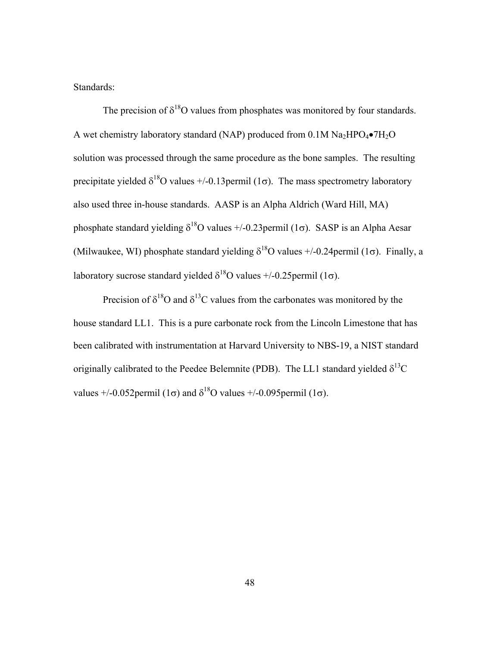Standards:

The precision of  $\delta^{18}$ O values from phosphates was monitored by four standards. A wet chemistry laboratory standard (NAP) produced from  $0.1M$  Na<sub>2</sub>HPO<sub>4</sub> $\bullet$ 7H<sub>2</sub>O solution was processed through the same procedure as the bone samples. The resulting precipitate yielded  $\delta^{18}$ O values +/-0.13 permil (1 $\sigma$ ). The mass spectrometry laboratory also used three in-house standards. AASP is an Alpha Aldrich (Ward Hill, MA) phosphate standard yielding  $\delta^{18}$ O values +/-0.23 permil (1 $\sigma$ ). SASP is an Alpha Aesar (Milwaukee, WI) phosphate standard yielding  $\delta^{18}O$  values  $+/-0.24$ permil (1 $\sigma$ ). Finally, a laboratory sucrose standard yielded  $\delta^{18}$ O values +/-0.25 permil (1 $\sigma$ ).

Precision of  $\delta^{18}$ O and  $\delta^{13}$ C values from the carbonates was monitored by the house standard LL1. This is a pure carbonate rock from the Lincoln Limestone that has been calibrated with instrumentation at Harvard University to NBS-19, a NIST standard originally calibrated to the Peedee Belemnite (PDB). The LL1 standard yielded  $\delta^{13}C$ values  $+/-0.052$ permil (1 $\sigma$ ) and  $\delta^{18}$ O values  $+/-0.095$ permil (1 $\sigma$ ).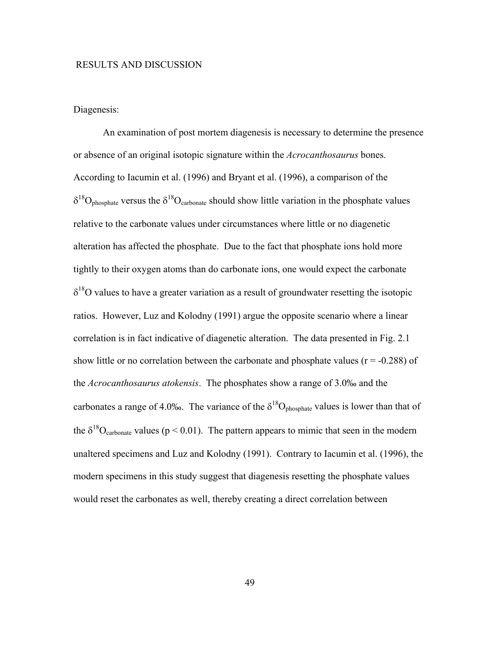## RESULTS AND DISCUSSION

#### Diagenesis:

 An examination of post mortem diagenesis is necessary to determine the presence or absence of an original isotopic signature within the *Acrocanthosaurus* bones. According to Iacumin et al. (1996) and Bryant et al. (1996), a comparison of the  $\delta^{18}O_{\text{phosphate}}$  versus the  $\delta^{18}O_{\text{carbonate}}$  should show little variation in the phosphate values relative to the carbonate values under circumstances where little or no diagenetic alteration has affected the phosphate. Due to the fact that phosphate ions hold more tightly to their oxygen atoms than do carbonate ions, one would expect the carbonate  $\delta^{18}$ O values to have a greater variation as a result of groundwater resetting the isotopic ratios. However, Luz and Kolodny (1991) argue the opposite scenario where a linear correlation is in fact indicative of diagenetic alteration. The data presented in Fig. 2.1 show little or no correlation between the carbonate and phosphate values ( $r = -0.288$ ) of the *Acrocanthosaurus atokensis*. The phosphates show a range of 3.0‰ and the carbonates a range of 4.0‰. The variance of the  $\delta^{18}O_{\text{phosphate}}$  values is lower than that of the  $\delta^{18}O_{\text{carbonate}}$  values (p < 0.01). The pattern appears to mimic that seen in the modern unaltered specimens and Luz and Kolodny (1991). Contrary to Iacumin et al. (1996), the modern specimens in this study suggest that diagenesis resetting the phosphate values would reset the carbonates as well, thereby creating a direct correlation between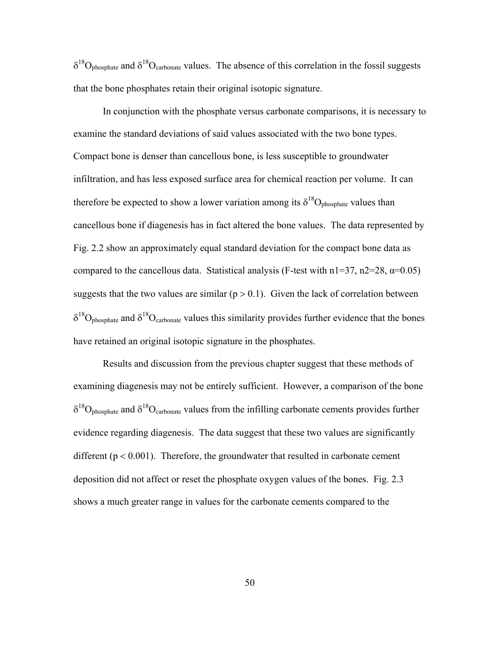$\delta^{18}O_{\text{phosphate}}$  and  $\delta^{18}O_{\text{carbonate}}$  values. The absence of this correlation in the fossil suggests that the bone phosphates retain their original isotopic signature.

 In conjunction with the phosphate versus carbonate comparisons, it is necessary to examine the standard deviations of said values associated with the two bone types. Compact bone is denser than cancellous bone, is less susceptible to groundwater infiltration, and has less exposed surface area for chemical reaction per volume. It can therefore be expected to show a lower variation among its  $\delta^{18}O_{\text{phosphate}}$  values than cancellous bone if diagenesis has in fact altered the bone values. The data represented by Fig. 2.2 show an approximately equal standard deviation for the compact bone data as compared to the cancellous data. Statistical analysis (F-test with  $n1=37$ ,  $n2=28$ ,  $\alpha=0.05$ ) suggests that the two values are similar  $(p > 0.1)$ . Given the lack of correlation between  $\delta^{18}O_{\text{phosphate}}$  and  $\delta^{18}O_{\text{carbonate}}$  values this similarity provides further evidence that the bones have retained an original isotopic signature in the phosphates.

 Results and discussion from the previous chapter suggest that these methods of examining diagenesis may not be entirely sufficient. However, a comparison of the bone  $\delta^{18}O_{\text{phosphate}}$  and  $\delta^{18}O_{\text{carbonate}}$  values from the infilling carbonate cements provides further evidence regarding diagenesis. The data suggest that these two values are significantly different ( $p < 0.001$ ). Therefore, the groundwater that resulted in carbonate cement deposition did not affect or reset the phosphate oxygen values of the bones. Fig. 2.3 shows a much greater range in values for the carbonate cements compared to the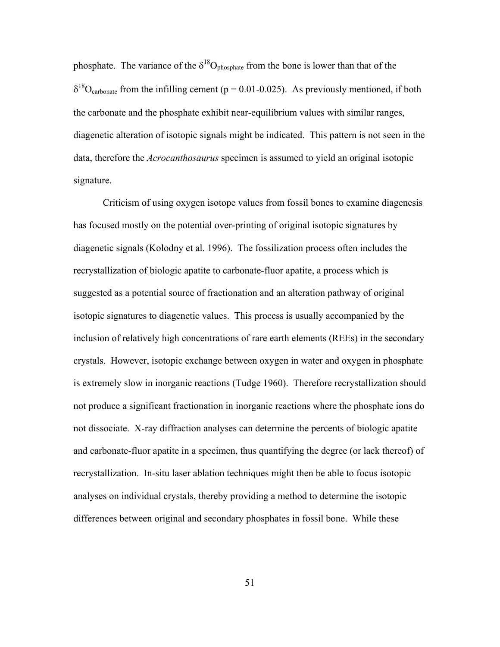phosphate. The variance of the  $\delta^{18}O_{\text{phosphate}}$  from the bone is lower than that of the  $\delta^{18}$ O<sub>carbonate</sub> from the infilling cement (p = 0.01-0.025). As previously mentioned, if both the carbonate and the phosphate exhibit near-equilibrium values with similar ranges, diagenetic alteration of isotopic signals might be indicated. This pattern is not seen in the data, therefore the *Acrocanthosaurus* specimen is assumed to yield an original isotopic signature.

 Criticism of using oxygen isotope values from fossil bones to examine diagenesis has focused mostly on the potential over-printing of original isotopic signatures by diagenetic signals (Kolodny et al. 1996). The fossilization process often includes the recrystallization of biologic apatite to carbonate-fluor apatite, a process which is suggested as a potential source of fractionation and an alteration pathway of original isotopic signatures to diagenetic values. This process is usually accompanied by the inclusion of relatively high concentrations of rare earth elements (REEs) in the secondary crystals. However, isotopic exchange between oxygen in water and oxygen in phosphate is extremely slow in inorganic reactions (Tudge 1960). Therefore recrystallization should not produce a significant fractionation in inorganic reactions where the phosphate ions do not dissociate. X-ray diffraction analyses can determine the percents of biologic apatite and carbonate-fluor apatite in a specimen, thus quantifying the degree (or lack thereof) of recrystallization. In-situ laser ablation techniques might then be able to focus isotopic analyses on individual crystals, thereby providing a method to determine the isotopic differences between original and secondary phosphates in fossil bone. While these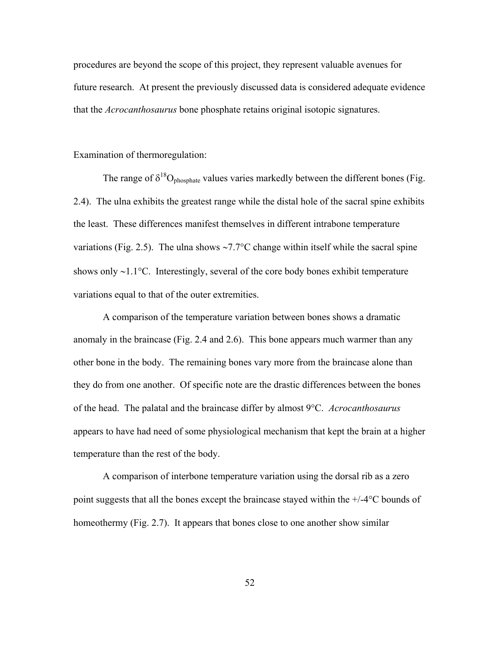procedures are beyond the scope of this project, they represent valuable avenues for future research. At present the previously discussed data is considered adequate evidence that the *Acrocanthosaurus* bone phosphate retains original isotopic signatures.

Examination of thermoregulation:

The range of  $\delta^{18}O_{\text{phosphate}}$  values varies markedly between the different bones (Fig. 2.4). The ulna exhibits the greatest range while the distal hole of the sacral spine exhibits the least. These differences manifest themselves in different intrabone temperature variations (Fig. 2.5). The ulna shows ∼7.7°C change within itself while the sacral spine shows only ∼1.1°C. Interestingly, several of the core body bones exhibit temperature variations equal to that of the outer extremities.

 A comparison of the temperature variation between bones shows a dramatic anomaly in the braincase (Fig. 2.4 and 2.6). This bone appears much warmer than any other bone in the body. The remaining bones vary more from the braincase alone than they do from one another. Of specific note are the drastic differences between the bones of the head. The palatal and the braincase differ by almost 9°C. *Acrocanthosaurus* appears to have had need of some physiological mechanism that kept the brain at a higher temperature than the rest of the body.

 A comparison of interbone temperature variation using the dorsal rib as a zero point suggests that all the bones except the braincase stayed within the +/-4°C bounds of homeothermy (Fig. 2.7). It appears that bones close to one another show similar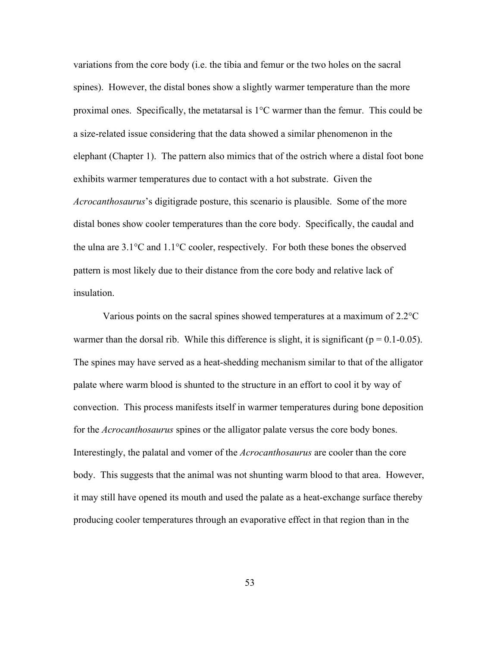variations from the core body (i.e. the tibia and femur or the two holes on the sacral spines). However, the distal bones show a slightly warmer temperature than the more proximal ones. Specifically, the metatarsal is 1°C warmer than the femur. This could be a size-related issue considering that the data showed a similar phenomenon in the elephant (Chapter 1). The pattern also mimics that of the ostrich where a distal foot bone exhibits warmer temperatures due to contact with a hot substrate. Given the *Acrocanthosaurus*'s digitigrade posture, this scenario is plausible. Some of the more distal bones show cooler temperatures than the core body. Specifically, the caudal and the ulna are 3.1°C and 1.1°C cooler, respectively. For both these bones the observed pattern is most likely due to their distance from the core body and relative lack of insulation.

Various points on the sacral spines showed temperatures at a maximum of 2.2°C warmer than the dorsal rib. While this difference is slight, it is significant ( $p = 0.1$ -0.05). The spines may have served as a heat-shedding mechanism similar to that of the alligator palate where warm blood is shunted to the structure in an effort to cool it by way of convection. This process manifests itself in warmer temperatures during bone deposition for the *Acrocanthosaurus* spines or the alligator palate versus the core body bones. Interestingly, the palatal and vomer of the *Acrocanthosaurus* are cooler than the core body. This suggests that the animal was not shunting warm blood to that area. However, it may still have opened its mouth and used the palate as a heat-exchange surface thereby producing cooler temperatures through an evaporative effect in that region than in the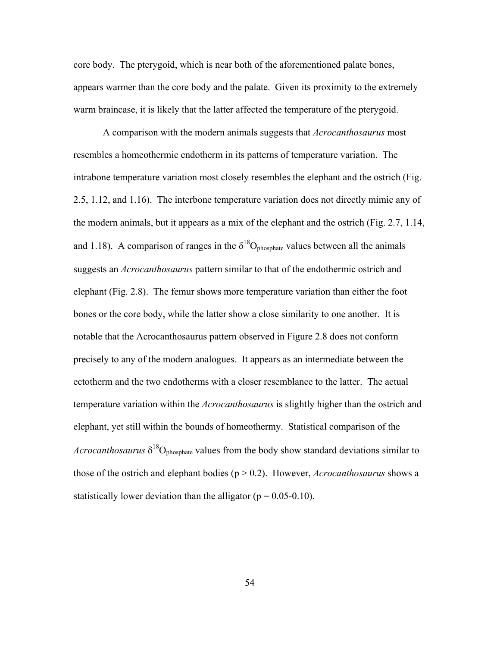core body. The pterygoid, which is near both of the aforementioned palate bones, appears warmer than the core body and the palate. Given its proximity to the extremely warm braincase, it is likely that the latter affected the temperature of the pterygoid.

 A comparison with the modern animals suggests that *Acrocanthosaurus* most resembles a homeothermic endotherm in its patterns of temperature variation. The intrabone temperature variation most closely resembles the elephant and the ostrich (Fig. 2.5, 1.12, and 1.16). The interbone temperature variation does not directly mimic any of the modern animals, but it appears as a mix of the elephant and the ostrich (Fig. 2.7, 1.14, and 1.18). A comparison of ranges in the  $\delta^{18}O_{\text{phosphate}}$  values between all the animals suggests an *Acrocanthosaurus* pattern similar to that of the endothermic ostrich and elephant (Fig. 2.8). The femur shows more temperature variation than either the foot bones or the core body, while the latter show a close similarity to one another. It is notable that the Acrocanthosaurus pattern observed in Figure 2.8 does not conform precisely to any of the modern analogues. It appears as an intermediate between the ectotherm and the two endotherms with a closer resemblance to the latter. The actual temperature variation within the *Acrocanthosaurus* is slightly higher than the ostrich and elephant, yet still within the bounds of homeothermy. Statistical comparison of the *Acrocanthosaurus*  $\delta^{18}O_{\text{phosphate}}$  values from the body show standard deviations similar to those of the ostrich and elephant bodies (p > 0.2). However, *Acrocanthosaurus* shows a statistically lower deviation than the alligator ( $p = 0.05 - 0.10$ ).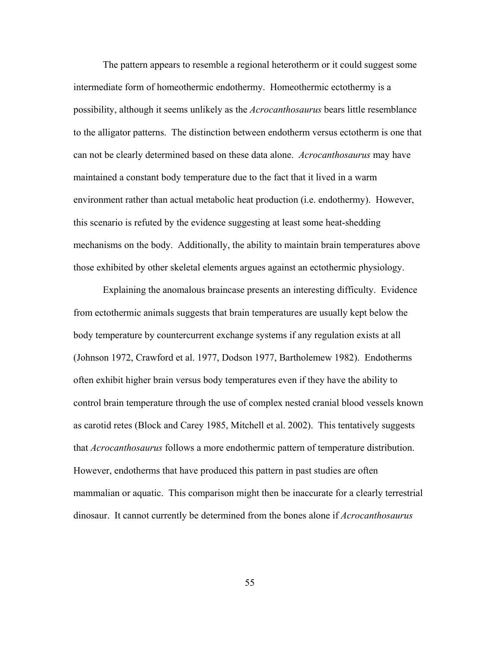The pattern appears to resemble a regional heterotherm or it could suggest some intermediate form of homeothermic endothermy. Homeothermic ectothermy is a possibility, although it seems unlikely as the *Acrocanthosaurus* bears little resemblance to the alligator patterns. The distinction between endotherm versus ectotherm is one that can not be clearly determined based on these data alone. *Acrocanthosaurus* may have maintained a constant body temperature due to the fact that it lived in a warm environment rather than actual metabolic heat production (i.e. endothermy). However, this scenario is refuted by the evidence suggesting at least some heat-shedding mechanisms on the body. Additionally, the ability to maintain brain temperatures above those exhibited by other skeletal elements argues against an ectothermic physiology.

Explaining the anomalous braincase presents an interesting difficulty. Evidence from ectothermic animals suggests that brain temperatures are usually kept below the body temperature by countercurrent exchange systems if any regulation exists at all (Johnson 1972, Crawford et al. 1977, Dodson 1977, Bartholemew 1982). Endotherms often exhibit higher brain versus body temperatures even if they have the ability to control brain temperature through the use of complex nested cranial blood vessels known as carotid retes (Block and Carey 1985, Mitchell et al. 2002). This tentatively suggests that *Acrocanthosaurus* follows a more endothermic pattern of temperature distribution. However, endotherms that have produced this pattern in past studies are often mammalian or aquatic. This comparison might then be inaccurate for a clearly terrestrial dinosaur. It cannot currently be determined from the bones alone if *Acrocanthosaurus*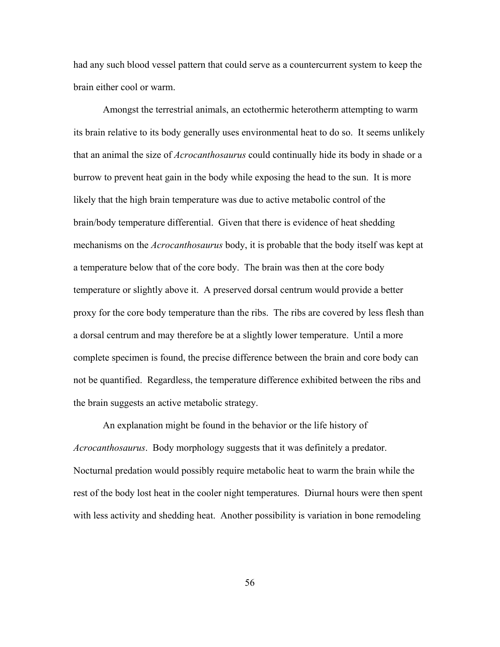had any such blood vessel pattern that could serve as a countercurrent system to keep the brain either cool or warm.

Amongst the terrestrial animals, an ectothermic heterotherm attempting to warm its brain relative to its body generally uses environmental heat to do so. It seems unlikely that an animal the size of *Acrocanthosaurus* could continually hide its body in shade or a burrow to prevent heat gain in the body while exposing the head to the sun. It is more likely that the high brain temperature was due to active metabolic control of the brain/body temperature differential. Given that there is evidence of heat shedding mechanisms on the *Acrocanthosaurus* body, it is probable that the body itself was kept at a temperature below that of the core body. The brain was then at the core body temperature or slightly above it. A preserved dorsal centrum would provide a better proxy for the core body temperature than the ribs. The ribs are covered by less flesh than a dorsal centrum and may therefore be at a slightly lower temperature. Until a more complete specimen is found, the precise difference between the brain and core body can not be quantified. Regardless, the temperature difference exhibited between the ribs and the brain suggests an active metabolic strategy.

An explanation might be found in the behavior or the life history of *Acrocanthosaurus*. Body morphology suggests that it was definitely a predator. Nocturnal predation would possibly require metabolic heat to warm the brain while the rest of the body lost heat in the cooler night temperatures. Diurnal hours were then spent with less activity and shedding heat. Another possibility is variation in bone remodeling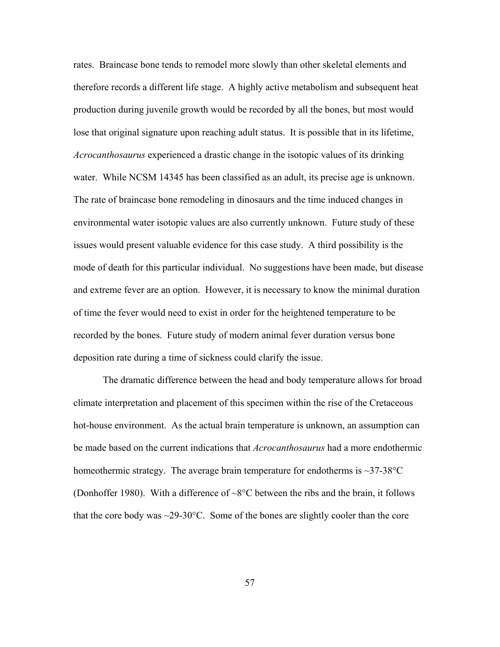rates. Braincase bone tends to remodel more slowly than other skeletal elements and therefore records a different life stage. A highly active metabolism and subsequent heat production during juvenile growth would be recorded by all the bones, but most would lose that original signature upon reaching adult status. It is possible that in its lifetime, *Acrocanthosaurus* experienced a drastic change in the isotopic values of its drinking water. While NCSM 14345 has been classified as an adult, its precise age is unknown. The rate of braincase bone remodeling in dinosaurs and the time induced changes in environmental water isotopic values are also currently unknown. Future study of these issues would present valuable evidence for this case study. A third possibility is the mode of death for this particular individual. No suggestions have been made, but disease and extreme fever are an option. However, it is necessary to know the minimal duration of time the fever would need to exist in order for the heightened temperature to be recorded by the bones. Future study of modern animal fever duration versus bone deposition rate during a time of sickness could clarify the issue.

The dramatic difference between the head and body temperature allows for broad climate interpretation and placement of this specimen within the rise of the Cretaceous hot-house environment. As the actual brain temperature is unknown, an assumption can be made based on the current indications that *Acrocanthosaurus* had a more endothermic homeothermic strategy. The average brain temperature for endotherms is  $\sim$ 37-38 $\degree$ C (Donhoffer 1980). With a difference of ~8°C between the ribs and the brain, it follows that the core body was  $\sim$ 29-30 $\degree$ C. Some of the bones are slightly cooler than the core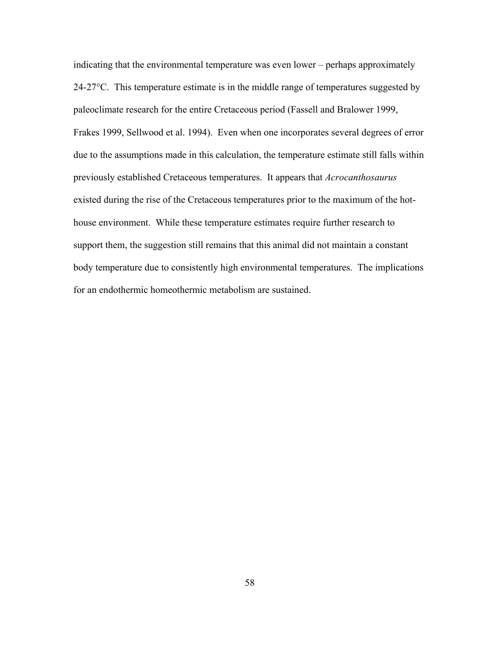indicating that the environmental temperature was even lower – perhaps approximately 24-27°C. This temperature estimate is in the middle range of temperatures suggested by paleoclimate research for the entire Cretaceous period (Fassell and Bralower 1999, Frakes 1999, Sellwood et al. 1994). Even when one incorporates several degrees of error due to the assumptions made in this calculation, the temperature estimate still falls within previously established Cretaceous temperatures. It appears that *Acrocanthosaurus* existed during the rise of the Cretaceous temperatures prior to the maximum of the hothouse environment. While these temperature estimates require further research to support them, the suggestion still remains that this animal did not maintain a constant body temperature due to consistently high environmental temperatures. The implications for an endothermic homeothermic metabolism are sustained.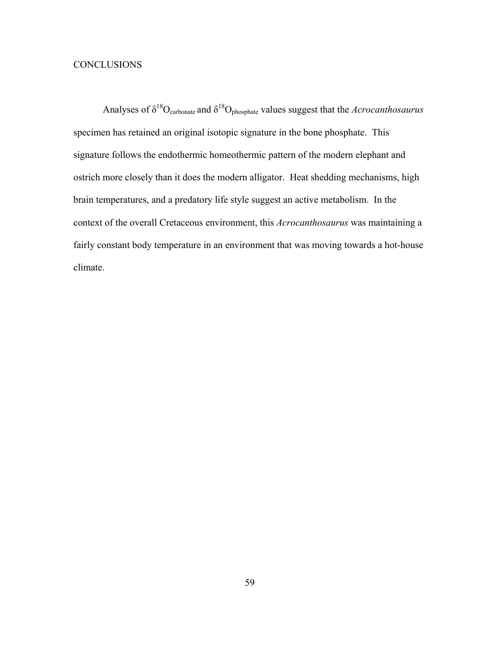# **CONCLUSIONS**

Analyses of  $\delta^{18}O_{\text{carbonate}}$  and  $\delta^{18}O_{\text{phosphate}}$  values suggest that the *Acrocanthosaurus* specimen has retained an original isotopic signature in the bone phosphate. This signature follows the endothermic homeothermic pattern of the modern elephant and ostrich more closely than it does the modern alligator. Heat shedding mechanisms, high brain temperatures, and a predatory life style suggest an active metabolism. In the context of the overall Cretaceous environment, this *Acrocanthosaurus* was maintaining a fairly constant body temperature in an environment that was moving towards a hot-house climate.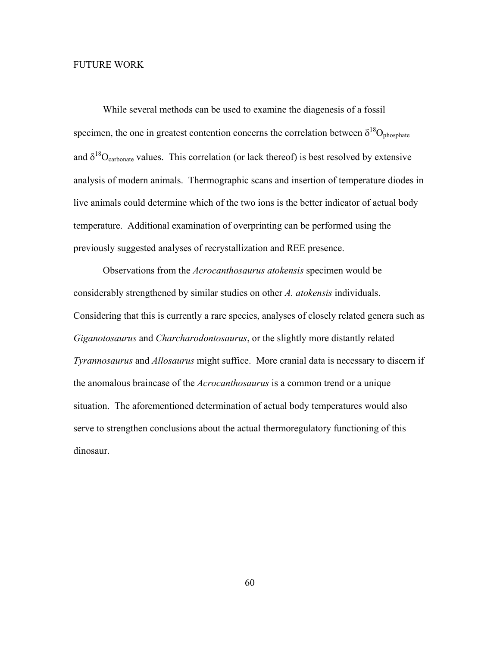## FUTURE WORK

 While several methods can be used to examine the diagenesis of a fossil specimen, the one in greatest contention concerns the correlation between  $\delta^{18}O_{\text{phosphate}}$ and  $\delta^{18}O_{\text{carbonate}}$  values. This correlation (or lack thereof) is best resolved by extensive analysis of modern animals. Thermographic scans and insertion of temperature diodes in live animals could determine which of the two ions is the better indicator of actual body temperature. Additional examination of overprinting can be performed using the previously suggested analyses of recrystallization and REE presence.

 Observations from the *Acrocanthosaurus atokensis* specimen would be considerably strengthened by similar studies on other *A. atokensis* individuals. Considering that this is currently a rare species, analyses of closely related genera such as *Giganotosaurus* and *Charcharodontosaurus*, or the slightly more distantly related *Tyrannosaurus* and *Allosaurus* might suffice. More cranial data is necessary to discern if the anomalous braincase of the *Acrocanthosaurus* is a common trend or a unique situation. The aforementioned determination of actual body temperatures would also serve to strengthen conclusions about the actual thermoregulatory functioning of this dinosaur.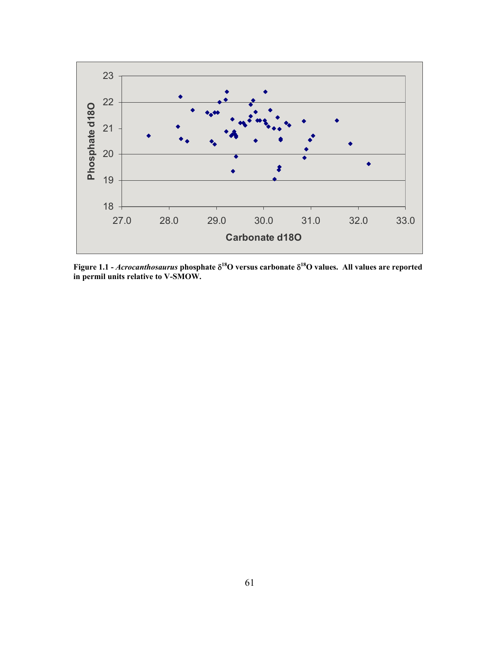

**Figure 1.1 -** *Acrocanthosaurus* **phosphate** δ**18O versus carbonate** δ**18O values. All values are reported in permil units relative to V-SMOW.**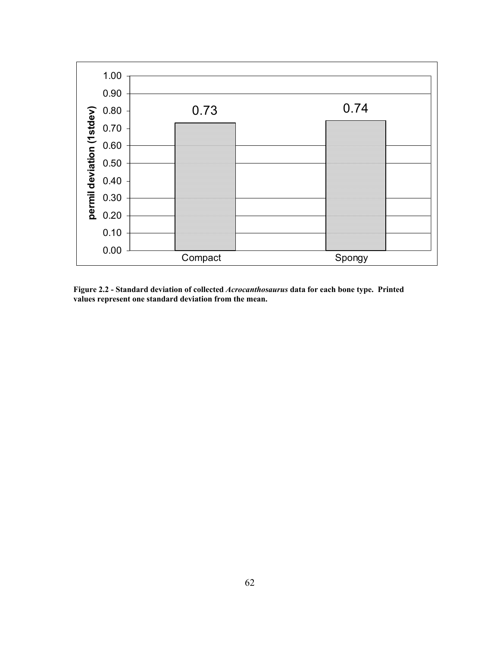

**Figure 2.2 - Standard deviation of collected** *Acrocanthosaurus* **data for each bone type. Printed values represent one standard deviation from the mean.**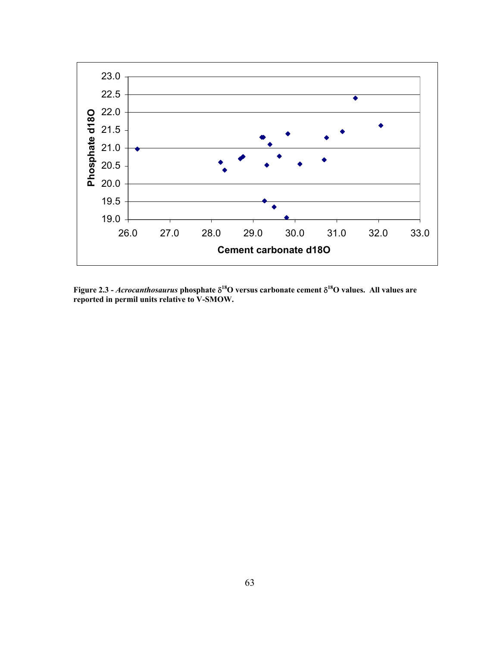

**Figure 2.3 -** *Acrocanthosaurus* **phosphate** δ**18O versus carbonate cement** δ**18O values. All values are reported in permil units relative to V-SMOW.**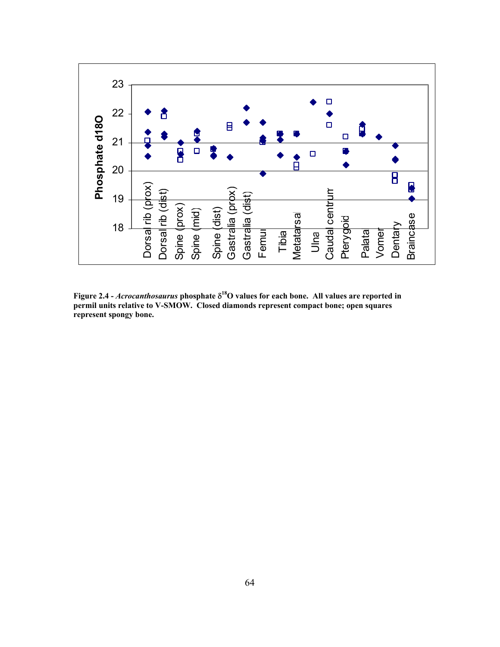

**Figure 2.4 -** *Acrocanthosaurus* **phosphate** δ**18O values for each bone. All values are reported in permil units relative to V-SMOW. Closed diamonds represent compact bone; open squares represent spongy bone.**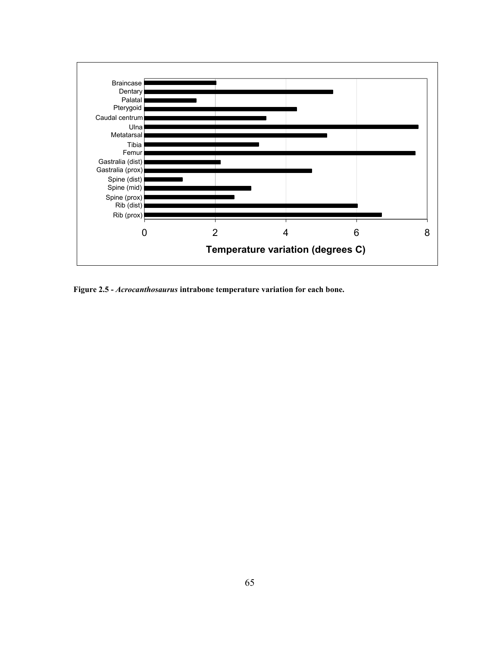

**Figure 2.5 -** *Acrocanthosaurus* **intrabone temperature variation for each bone.**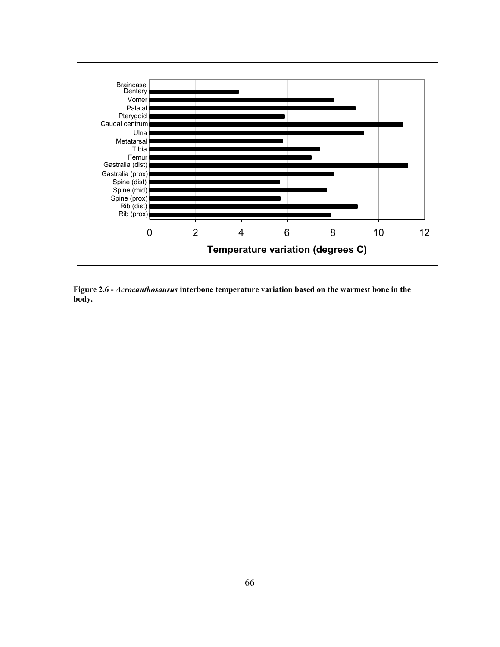

**Figure 2.6 -** *Acrocanthosaurus* **interbone temperature variation based on the warmest bone in the body.**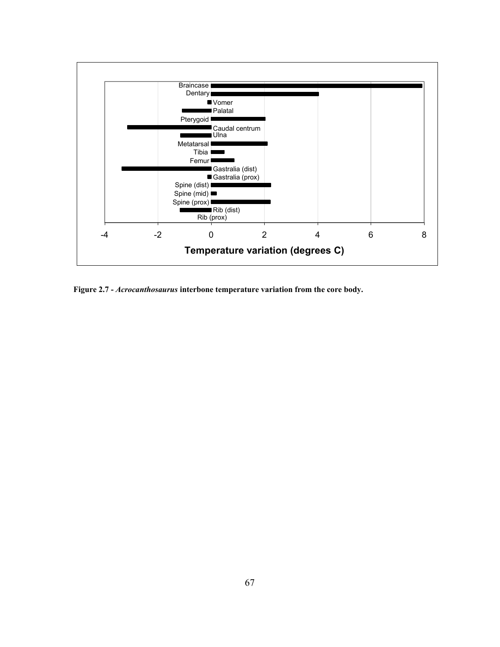

**Figure 2.7 -** *Acrocanthosaurus* **interbone temperature variation from the core body.**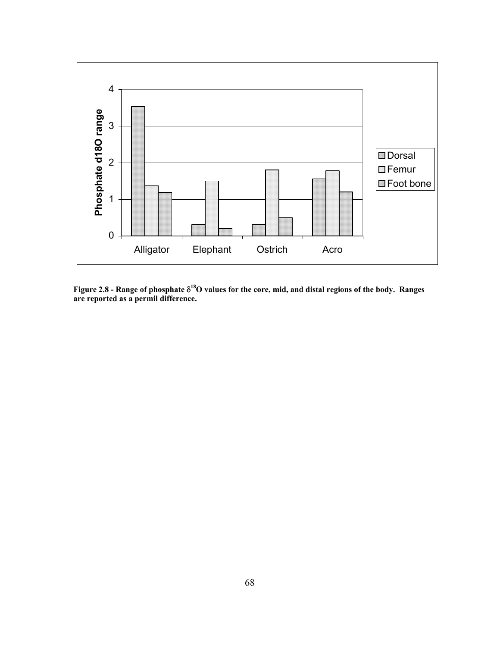

**Figure 2.8 - Range of phosphate** δ**18O values for the core, mid, and distal regions of the body. Ranges are reported as a permil difference.**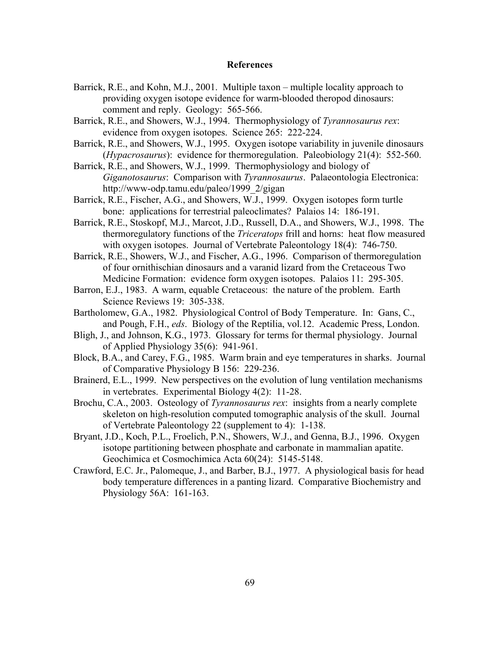#### **References**

- Barrick, R.E., and Kohn, M.J., 2001. Multiple taxon multiple locality approach to providing oxygen isotope evidence for warm-blooded theropod dinosaurs: comment and reply. Geology: 565-566.
- Barrick, R.E., and Showers, W.J., 1994. Thermophysiology of *Tyrannosaurus rex*: evidence from oxygen isotopes. Science 265: 222-224.
- Barrick, R.E., and Showers, W.J., 1995. Oxygen isotope variability in juvenile dinosaurs (*Hypacrosaurus*): evidence for thermoregulation. Paleobiology 21(4): 552-560.
- Barrick, R.E., and Showers, W.J., 1999. Thermophysiology and biology of *Giganotosaurus*: Comparison with *Tyrannosaurus*. Palaeontologia Electronica: http://www-odp.tamu.edu/paleo/1999\_2/gigan
- Barrick, R.E., Fischer, A.G., and Showers, W.J., 1999. Oxygen isotopes form turtle bone: applications for terrestrial paleoclimates? Palaios 14: 186-191.
- Barrick, R.E., Stoskopf, M.J., Marcot, J.D., Russell, D.A., and Showers, W.J., 1998. The thermoregulatory functions of the *Triceratops* frill and horns: heat flow measured with oxygen isotopes. Journal of Vertebrate Paleontology 18(4): 746-750.
- Barrick, R.E., Showers, W.J., and Fischer, A.G., 1996. Comparison of thermoregulation of four ornithischian dinosaurs and a varanid lizard from the Cretaceous Two Medicine Formation: evidence form oxygen isotopes. Palaios 11: 295-305.
- Barron, E.J., 1983. A warm, equable Cretaceous: the nature of the problem. Earth Science Reviews 19: 305-338.
- Bartholomew, G.A., 1982. Physiological Control of Body Temperature. In: Gans, C., and Pough, F.H., *eds*. Biology of the Reptilia, vol.12. Academic Press, London.
- Bligh, J., and Johnson, K.G., 1973. Glossary for terms for thermal physiology. Journal of Applied Physiology 35(6): 941-961.
- Block, B.A., and Carey, F.G., 1985. Warm brain and eye temperatures in sharks. Journal of Comparative Physiology B 156: 229-236.
- Brainerd, E.L., 1999. New perspectives on the evolution of lung ventilation mechanisms in vertebrates. Experimental Biology 4(2): 11-28.
- Brochu, C.A., 2003. Osteology of *Tyrannosaurus rex*: insights from a nearly complete skeleton on high-resolution computed tomographic analysis of the skull. Journal of Vertebrate Paleontology 22 (supplement to 4): 1-138.
- Bryant, J.D., Koch, P.L., Froelich, P.N., Showers, W.J., and Genna, B.J., 1996. Oxygen isotope partitioning between phosphate and carbonate in mammalian apatite. Geochimica et Cosmochimica Acta 60(24): 5145-5148.
- Crawford, E.C. Jr., Palomeque, J., and Barber, B.J., 1977. A physiological basis for head body temperature differences in a panting lizard. Comparative Biochemistry and Physiology 56A: 161-163.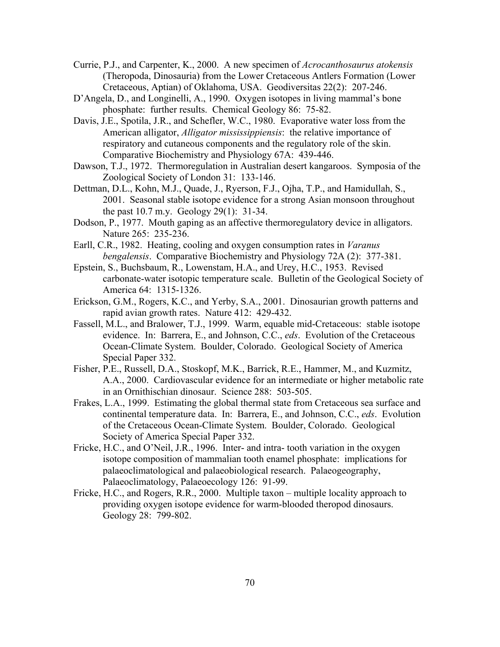- Currie, P.J., and Carpenter, K., 2000. A new specimen of *Acrocanthosaurus atokensis* (Theropoda, Dinosauria) from the Lower Cretaceous Antlers Formation (Lower Cretaceous, Aptian) of Oklahoma, USA. Geodiversitas 22(2): 207-246.
- D'Angela, D., and Longinelli, A., 1990. Oxygen isotopes in living mammal's bone phosphate: further results. Chemical Geology 86: 75-82.
- Davis, J.E., Spotila, J.R., and Schefler, W.C., 1980. Evaporative water loss from the American alligator, *Alligator mississippiensis*: the relative importance of respiratory and cutaneous components and the regulatory role of the skin. Comparative Biochemistry and Physiology 67A: 439-446.
- Dawson, T.J., 1972. Thermoregulation in Australian desert kangaroos. Symposia of the Zoological Society of London 31: 133-146.
- Dettman, D.L., Kohn, M.J., Quade, J., Ryerson, F.J., Ojha, T.P., and Hamidullah, S., 2001. Seasonal stable isotope evidence for a strong Asian monsoon throughout the past 10.7 m.y. Geology 29(1): 31-34.
- Dodson, P., 1977. Mouth gaping as an affective thermoregulatory device in alligators. Nature 265: 235-236.
- Earll, C.R., 1982. Heating, cooling and oxygen consumption rates in *Varanus bengalensis*. Comparative Biochemistry and Physiology 72A (2): 377-381.
- Epstein, S., Buchsbaum, R., Lowenstam, H.A., and Urey, H.C., 1953. Revised carbonate-water isotopic temperature scale. Bulletin of the Geological Society of America 64: 1315-1326.
- Erickson, G.M., Rogers, K.C., and Yerby, S.A., 2001. Dinosaurian growth patterns and rapid avian growth rates. Nature 412: 429-432.
- Fassell, M.L., and Bralower, T.J., 1999. Warm, equable mid-Cretaceous: stable isotope evidence. In: Barrera, E., and Johnson, C.C., *eds*. Evolution of the Cretaceous Ocean-Climate System. Boulder, Colorado. Geological Society of America Special Paper 332.
- Fisher, P.E., Russell, D.A., Stoskopf, M.K., Barrick, R.E., Hammer, M., and Kuzmitz, A.A., 2000. Cardiovascular evidence for an intermediate or higher metabolic rate in an Ornithischian dinosaur. Science 288: 503-505.
- Frakes, L.A., 1999. Estimating the global thermal state from Cretaceous sea surface and continental temperature data. In: Barrera, E., and Johnson, C.C., *eds*. Evolution of the Cretaceous Ocean-Climate System. Boulder, Colorado. Geological Society of America Special Paper 332.
- Fricke, H.C., and O'Neil, J.R., 1996. Inter- and intra- tooth variation in the oxygen isotope composition of mammalian tooth enamel phosphate: implications for palaeoclimatological and palaeobiological research. Palaeogeography, Palaeoclimatology, Palaeoecology 126: 91-99.
- Fricke, H.C., and Rogers, R.R., 2000. Multiple taxon multiple locality approach to providing oxygen isotope evidence for warm-blooded theropod dinosaurs. Geology 28: 799-802.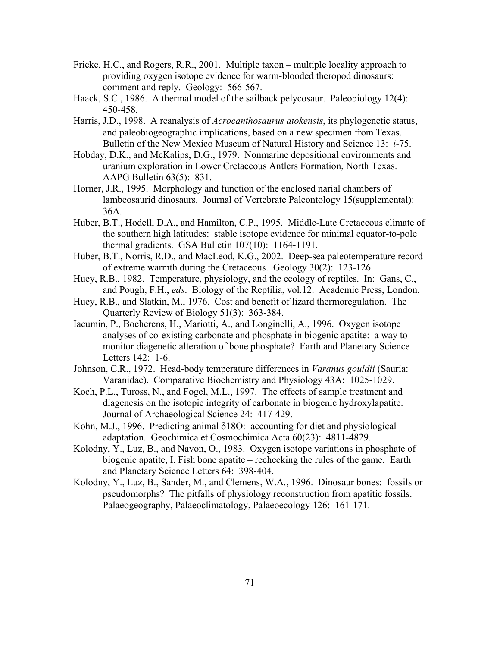- Fricke, H.C., and Rogers, R.R., 2001. Multiple taxon multiple locality approach to providing oxygen isotope evidence for warm-blooded theropod dinosaurs: comment and reply. Geology: 566-567.
- Haack, S.C., 1986. A thermal model of the sailback pelycosaur. Paleobiology 12(4): 450-458.
- Harris, J.D., 1998. A reanalysis of *Acrocanthosaurus atokensis*, its phylogenetic status, and paleobiogeographic implications, based on a new specimen from Texas. Bulletin of the New Mexico Museum of Natural History and Science 13: *i*-75.
- Hobday, D.K., and McKalips, D.G., 1979. Nonmarine depositional environments and uranium exploration in Lower Cretaceous Antlers Formation, North Texas. AAPG Bulletin 63(5): 831.
- Horner, J.R., 1995. Morphology and function of the enclosed narial chambers of lambeosaurid dinosaurs. Journal of Vertebrate Paleontology 15(supplemental): 36A.
- Huber, B.T., Hodell, D.A., and Hamilton, C.P., 1995. Middle-Late Cretaceous climate of the southern high latitudes: stable isotope evidence for minimal equator-to-pole thermal gradients. GSA Bulletin 107(10): 1164-1191.
- Huber, B.T., Norris, R.D., and MacLeod, K.G., 2002. Deep-sea paleotemperature record of extreme warmth during the Cretaceous. Geology 30(2): 123-126.
- Huey, R.B., 1982. Temperature, physiology, and the ecology of reptiles. In: Gans, C., and Pough, F.H., *eds*. Biology of the Reptilia, vol.12. Academic Press, London.
- Huey, R.B., and Slatkin, M., 1976. Cost and benefit of lizard thermoregulation. The Quarterly Review of Biology 51(3): 363-384.
- Iacumin, P., Bocherens, H., Mariotti, A., and Longinelli, A., 1996. Oxygen isotope analyses of co-existing carbonate and phosphate in biogenic apatite: a way to monitor diagenetic alteration of bone phosphate? Earth and Planetary Science Letters 142: 1-6.
- Johnson, C.R., 1972. Head-body temperature differences in *Varanus gouldii* (Sauria: Varanidae). Comparative Biochemistry and Physiology 43A: 1025-1029.
- Koch, P.L., Tuross, N., and Fogel, M.L., 1997. The effects of sample treatment and diagenesis on the isotopic integrity of carbonate in biogenic hydroxylapatite. Journal of Archaeological Science 24: 417-429.
- Kohn, M.J., 1996. Predicting animal δ18O: accounting for diet and physiological adaptation. Geochimica et Cosmochimica Acta 60(23): 4811-4829.
- Kolodny, Y., Luz, B., and Navon, O., 1983. Oxygen isotope variations in phosphate of biogenic apatite, I. Fish bone apatite – rechecking the rules of the game. Earth and Planetary Science Letters 64: 398-404.
- Kolodny, Y., Luz, B., Sander, M., and Clemens, W.A., 1996. Dinosaur bones: fossils or pseudomorphs? The pitfalls of physiology reconstruction from apatitic fossils. Palaeogeography, Palaeoclimatology, Palaeoecology 126: 161-171.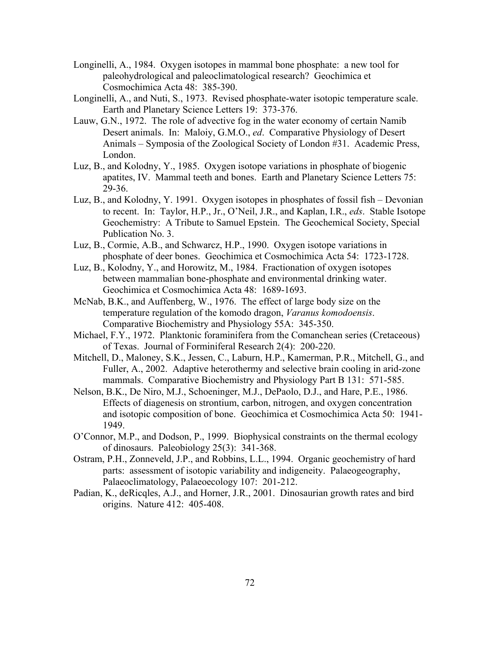- Longinelli, A., 1984. Oxygen isotopes in mammal bone phosphate: a new tool for paleohydrological and paleoclimatological research? Geochimica et Cosmochimica Acta 48: 385-390.
- Longinelli, A., and Nuti, S., 1973. Revised phosphate-water isotopic temperature scale. Earth and Planetary Science Letters 19: 373-376.
- Lauw, G.N., 1972. The role of advective fog in the water economy of certain Namib Desert animals. In: Maloiy, G.M.O., *ed*. Comparative Physiology of Desert Animals – Symposia of the Zoological Society of London #31. Academic Press, London.
- Luz, B., and Kolodny, Y., 1985. Oxygen isotope variations in phosphate of biogenic apatites, IV. Mammal teeth and bones. Earth and Planetary Science Letters 75: 29-36.
- Luz, B., and Kolodny, Y. 1991. Oxygen isotopes in phosphates of fossil fish Devonian to recent. In: Taylor, H.P., Jr., O'Neil, J.R., and Kaplan, I.R., *eds*. Stable Isotope Geochemistry: A Tribute to Samuel Epstein. The Geochemical Society, Special Publication No. 3.
- Luz, B., Cormie, A.B., and Schwarcz, H.P., 1990. Oxygen isotope variations in phosphate of deer bones. Geochimica et Cosmochimica Acta 54: 1723-1728.
- Luz, B., Kolodny, Y., and Horowitz, M., 1984. Fractionation of oxygen isotopes between mammalian bone-phosphate and environmental drinking water. Geochimica et Cosmochimica Acta 48: 1689-1693.
- McNab, B.K., and Auffenberg, W., 1976. The effect of large body size on the temperature regulation of the komodo dragon, *Varanus komodoensis*. Comparative Biochemistry and Physiology 55A: 345-350.
- Michael, F.Y., 1972. Planktonic foraminifera from the Comanchean series (Cretaceous) of Texas. Journal of Forminiferal Research 2(4): 200-220.
- Mitchell, D., Maloney, S.K., Jessen, C., Laburn, H.P., Kamerman, P.R., Mitchell, G., and Fuller, A., 2002. Adaptive heterothermy and selective brain cooling in arid-zone mammals. Comparative Biochemistry and Physiology Part B 131: 571-585.
- Nelson, B.K., De Niro, M.J., Schoeninger, M.J., DePaolo, D.J., and Hare, P.E., 1986. Effects of diagenesis on strontium, carbon, nitrogen, and oxygen concentration and isotopic composition of bone. Geochimica et Cosmochimica Acta 50: 1941- 1949.
- O'Connor, M.P., and Dodson, P., 1999. Biophysical constraints on the thermal ecology of dinosaurs. Paleobiology 25(3): 341-368.
- Ostram, P.H., Zonneveld, J.P., and Robbins, L.L., 1994. Organic geochemistry of hard parts: assessment of isotopic variability and indigeneity. Palaeogeography, Palaeoclimatology, Palaeoecology 107: 201-212.
- Padian, K., deRicqles, A.J., and Horner, J.R., 2001. Dinosaurian growth rates and bird origins. Nature 412: 405-408.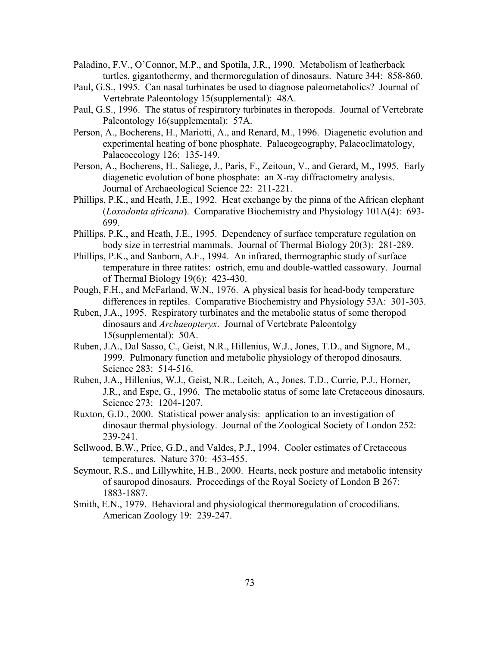- Paladino, F.V., O'Connor, M.P., and Spotila, J.R., 1990. Metabolism of leatherback turtles, gigantothermy, and thermoregulation of dinosaurs. Nature 344: 858-860.
- Paul, G.S., 1995. Can nasal turbinates be used to diagnose paleometabolics? Journal of Vertebrate Paleontology 15(supplemental): 48A.
- Paul, G.S., 1996. The status of respiratory turbinates in theropods. Journal of Vertebrate Paleontology 16(supplemental): 57A.
- Person, A., Bocherens, H., Mariotti, A., and Renard, M., 1996. Diagenetic evolution and experimental heating of bone phosphate. Palaeogeography, Palaeoclimatology, Palaeoecology 126: 135-149.
- Person, A., Bocherens, H., Saliege, J., Paris, F., Zeitoun, V., and Gerard, M., 1995. Early diagenetic evolution of bone phosphate: an X-ray diffractometry analysis. Journal of Archaeological Science 22: 211-221.
- Phillips, P.K., and Heath, J.E., 1992. Heat exchange by the pinna of the African elephant (*Loxodonta africana*). Comparative Biochemistry and Physiology 101A(4): 693- 699.
- Phillips, P.K., and Heath, J.E., 1995. Dependency of surface temperature regulation on body size in terrestrial mammals. Journal of Thermal Biology 20(3): 281-289.
- Phillips, P.K., and Sanborn, A.F., 1994. An infrared, thermographic study of surface temperature in three ratites: ostrich, emu and double-wattled cassowary. Journal of Thermal Biology 19(6): 423-430.
- Pough, F.H., and McFarland, W.N., 1976. A physical basis for head-body temperature differences in reptiles. Comparative Biochemistry and Physiology 53A: 301-303.
- Ruben, J.A., 1995. Respiratory turbinates and the metabolic status of some theropod dinosaurs and *Archaeopteryx*. Journal of Vertebrate Paleontolgy 15(supplemental): 50A.
- Ruben, J.A., Dal Sasso, C., Geist, N.R., Hillenius, W.J., Jones, T.D., and Signore, M., 1999. Pulmonary function and metabolic physiology of theropod dinosaurs. Science 283: 514-516.
- Ruben, J.A., Hillenius, W.J., Geist, N.R., Leitch, A., Jones, T.D., Currie, P.J., Horner, J.R., and Espe, G., 1996. The metabolic status of some late Cretaceous dinosaurs. Science 273: 1204-1207.
- Ruxton, G.D., 2000. Statistical power analysis: application to an investigation of dinosaur thermal physiology. Journal of the Zoological Society of London 252: 239-241.
- Sellwood, B.W., Price, G.D., and Valdes, P.J., 1994. Cooler estimates of Cretaceous temperatures. Nature 370: 453-455.
- Seymour, R.S., and Lillywhite, H.B., 2000. Hearts, neck posture and metabolic intensity of sauropod dinosaurs. Proceedings of the Royal Society of London B 267: 1883-1887.
- Smith, E.N., 1979. Behavioral and physiological thermoregulation of crocodilians. American Zoology 19: 239-247.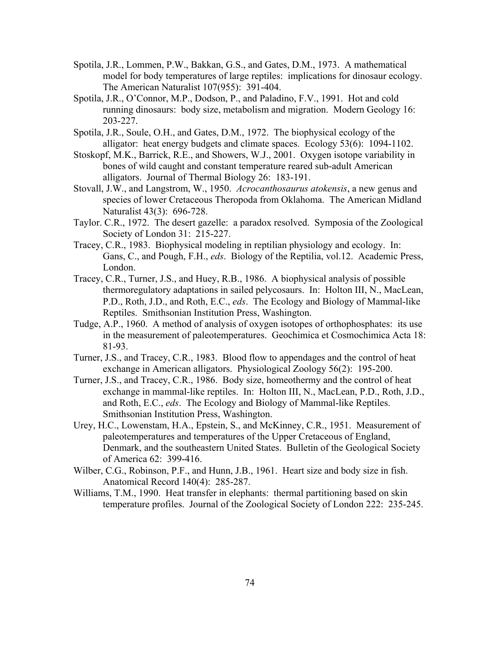- Spotila, J.R., Lommen, P.W., Bakkan, G.S., and Gates, D.M., 1973. A mathematical model for body temperatures of large reptiles: implications for dinosaur ecology. The American Naturalist 107(955): 391-404.
- Spotila, J.R., O'Connor, M.P., Dodson, P., and Paladino, F.V., 1991. Hot and cold running dinosaurs: body size, metabolism and migration. Modern Geology 16: 203-227.
- Spotila, J.R., Soule, O.H., and Gates, D.M., 1972. The biophysical ecology of the alligator: heat energy budgets and climate spaces. Ecology 53(6): 1094-1102.
- Stoskopf, M.K., Barrick, R.E., and Showers, W.J., 2001. Oxygen isotope variability in bones of wild caught and constant temperature reared sub-adult American alligators. Journal of Thermal Biology 26: 183-191.
- Stovall, J.W., and Langstrom, W., 1950. *Acrocanthosaurus atokensis*, a new genus and species of lower Cretaceous Theropoda from Oklahoma. The American Midland Naturalist 43(3): 696-728.
- Taylor. C.R., 1972. The desert gazelle: a paradox resolved. Symposia of the Zoological Society of London 31: 215-227.
- Tracey, C.R., 1983. Biophysical modeling in reptilian physiology and ecology. In: Gans, C., and Pough, F.H., *eds*. Biology of the Reptilia, vol.12. Academic Press, London.
- Tracey, C.R., Turner, J.S., and Huey, R.B., 1986. A biophysical analysis of possible thermoregulatory adaptations in sailed pelycosaurs. In: Holton III, N., MacLean, P.D., Roth, J.D., and Roth, E.C., *eds*. The Ecology and Biology of Mammal-like Reptiles. Smithsonian Institution Press, Washington.
- Tudge, A.P., 1960. A method of analysis of oxygen isotopes of orthophosphates: its use in the measurement of paleotemperatures. Geochimica et Cosmochimica Acta 18: 81-93.
- Turner, J.S., and Tracey, C.R., 1983. Blood flow to appendages and the control of heat exchange in American alligators. Physiological Zoology 56(2): 195-200.
- Turner, J.S., and Tracey, C.R., 1986. Body size, homeothermy and the control of heat exchange in mammal-like reptiles. In: Holton III, N., MacLean, P.D., Roth, J.D., and Roth, E.C., *eds*. The Ecology and Biology of Mammal-like Reptiles. Smithsonian Institution Press, Washington.
- Urey, H.C., Lowenstam, H.A., Epstein, S., and McKinney, C.R., 1951. Measurement of paleotemperatures and temperatures of the Upper Cretaceous of England, Denmark, and the southeastern United States. Bulletin of the Geological Society of America 62: 399-416.
- Wilber, C.G., Robinson, P.F., and Hunn, J.B., 1961. Heart size and body size in fish. Anatomical Record 140(4): 285-287.
- Williams, T.M., 1990. Heat transfer in elephants: thermal partitioning based on skin temperature profiles. Journal of the Zoological Society of London 222: 235-245.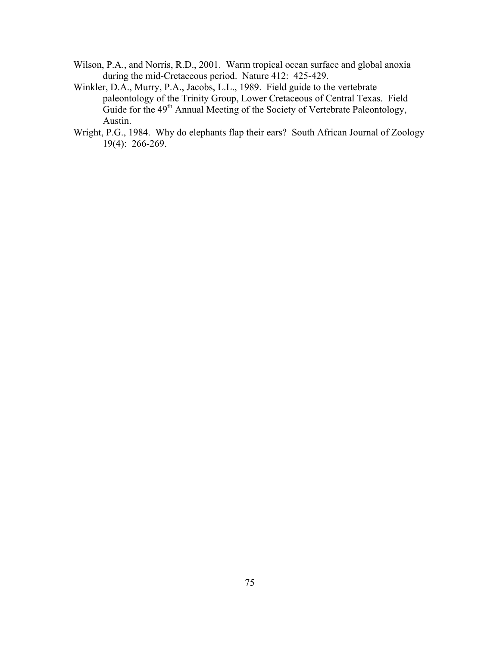- Wilson, P.A., and Norris, R.D., 2001. Warm tropical ocean surface and global anoxia during the mid-Cretaceous period. Nature 412: 425-429.
- Winkler, D.A., Murry, P.A., Jacobs, L.L., 1989. Field guide to the vertebrate paleontology of the Trinity Group, Lower Cretaceous of Central Texas. Field Guide for the  $49<sup>th</sup>$  Annual Meeting of the Society of Vertebrate Paleontology, Austin.
- Wright, P.G., 1984. Why do elephants flap their ears? South African Journal of Zoology 19(4): 266-269.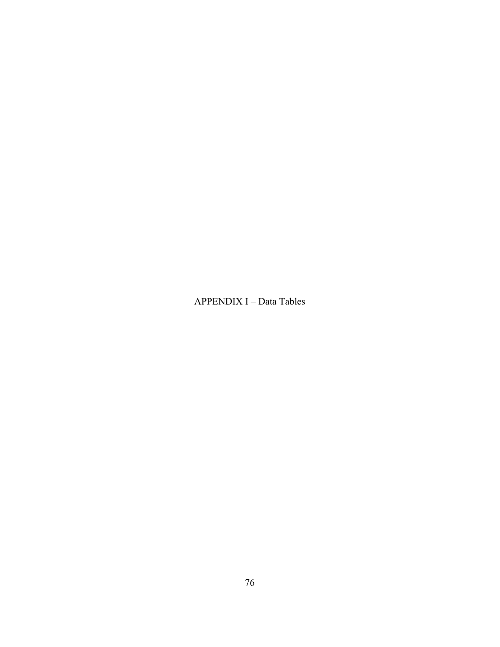APPENDIX I – Data Tables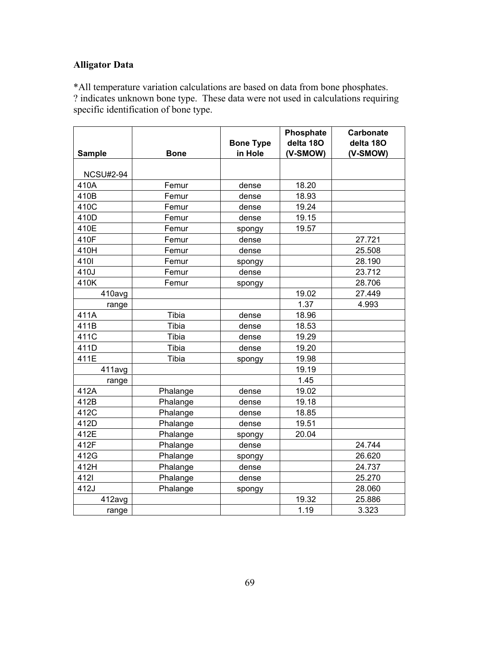### **Alligator Data**

\*All temperature variation calculations are based on data from bone phosphates. ? indicates unknown bone type. These data were not used in calculations requiring specific identification of bone type.

|                  |             |                             | Phosphate             | <b>Carbonate</b> |
|------------------|-------------|-----------------------------|-----------------------|------------------|
|                  |             | <b>Bone Type</b><br>in Hole | delta 18O<br>(V-SMOW) | delta 180        |
| <b>Sample</b>    | <b>Bone</b> |                             |                       | (V-SMOW)         |
| <b>NCSU#2-94</b> |             |                             |                       |                  |
| 410A             | Femur       | dense                       | 18.20                 |                  |
| 410B             | Femur       | dense                       | 18.93                 |                  |
| 410C             | Femur       | dense                       | 19.24                 |                  |
| 410D             | Femur       | dense                       | 19.15                 |                  |
| 410E             | Femur       | spongy                      | 19.57                 |                  |
| 410F             | Femur       | dense                       |                       | 27.721           |
| 410H             | Femur       | dense                       |                       | 25.508           |
| 4101             | Femur       | spongy                      |                       | 28.190           |
| 410J             | Femur       | dense                       |                       | 23.712           |
| 410K             | Femur       | spongy                      |                       | 28.706           |
| 410avg           |             |                             | 19.02                 | 27.449           |
| range            |             |                             | 1.37                  | 4.993            |
| 411A             | Tibia       | dense                       | 18.96                 |                  |
| 411B             | Tibia       | dense                       | 18.53                 |                  |
| 411C             | Tibia       | dense                       | 19.29                 |                  |
| 411D             | Tibia       | dense                       | 19.20                 |                  |
| 411E             | Tibia       | spongy                      | 19.98                 |                  |
| 411avg           |             |                             | 19.19                 |                  |
| range            |             |                             | 1.45                  |                  |
| 412A             | Phalange    | dense                       | 19.02                 |                  |
| 412B             | Phalange    | dense                       | 19.18                 |                  |
| 412C             | Phalange    | dense                       | 18.85                 |                  |
| 412D             | Phalange    | dense                       | 19.51                 |                  |
| 412E             | Phalange    | spongy                      | 20.04                 |                  |
| 412F             | Phalange    | dense                       |                       | 24.744           |
| 412G             | Phalange    | spongy                      |                       | 26.620           |
| 412H             | Phalange    | dense                       |                       | 24.737           |
| 4121             | Phalange    | dense                       |                       | 25.270           |
| 412J             | Phalange    | spongy                      |                       | 28.060           |
| 412avg           |             |                             | 19.32                 | 25.886           |
| range            |             |                             | 1.19                  | 3.323            |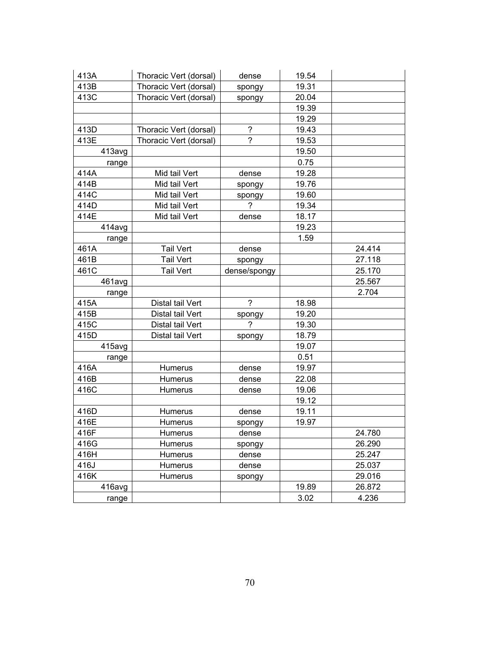| 413A   | Thoracic Vert (dorsal) | dense          | 19.54 |        |
|--------|------------------------|----------------|-------|--------|
| 413B   | Thoracic Vert (dorsal) | spongy         | 19.31 |        |
| 413C   | Thoracic Vert (dorsal) | spongy         | 20.04 |        |
|        |                        |                | 19.39 |        |
|        |                        |                | 19.29 |        |
| 413D   | Thoracic Vert (dorsal) | $\tilde{?}$    | 19.43 |        |
| 413E   | Thoracic Vert (dorsal) | ?              | 19.53 |        |
| 413avg |                        |                | 19.50 |        |
| range  |                        |                | 0.75  |        |
| 414A   | Mid tail Vert          | dense          | 19.28 |        |
| 414B   | Mid tail Vert          | spongy         | 19.76 |        |
| 414C   | Mid tail Vert          | spongy         | 19.60 |        |
| 414D   | Mid tail Vert          | $\gamma$       | 19.34 |        |
| 414E   | Mid tail Vert          | dense          | 18.17 |        |
| 414avg |                        |                | 19.23 |        |
| range  |                        |                | 1.59  |        |
| 461A   | <b>Tail Vert</b>       | dense          |       | 24.414 |
| 461B   | <b>Tail Vert</b>       | spongy         |       | 27.118 |
| 461C   | <b>Tail Vert</b>       | dense/spongy   |       | 25.170 |
| 461avg |                        |                |       | 25.567 |
| range  |                        |                |       | 2.704  |
| 415A   | Distal tail Vert       | $\overline{?}$ | 18.98 |        |
| 415B   | Distal tail Vert       | spongy         | 19.20 |        |
| 415C   | Distal tail Vert       | $\overline{?}$ | 19.30 |        |
| 415D   | Distal tail Vert       | spongy         | 18.79 |        |
| 415avg |                        |                | 19.07 |        |
| range  |                        |                | 0.51  |        |
| 416A   | Humerus                | dense          | 19.97 |        |
| 416B   | Humerus                | dense          | 22.08 |        |
| 416C   | Humerus                | dense          | 19.06 |        |
|        |                        |                | 19.12 |        |
| 416D   | Humerus                | dense          | 19.11 |        |
| 416E   | Humerus                | spongy         | 19.97 |        |
| 416F   | Humerus                | dense          |       | 24.780 |
| 416G   | Humerus                | spongy         |       | 26.290 |
| 416H   | Humerus                | dense          |       | 25.247 |
| 416J   | Humerus                | dense          |       | 25.037 |
| 416K   | <b>Humerus</b>         | spongy         |       | 29.016 |
| 416avg |                        |                | 19.89 | 26.872 |
| range  |                        |                | 3.02  | 4.236  |
|        |                        |                |       |        |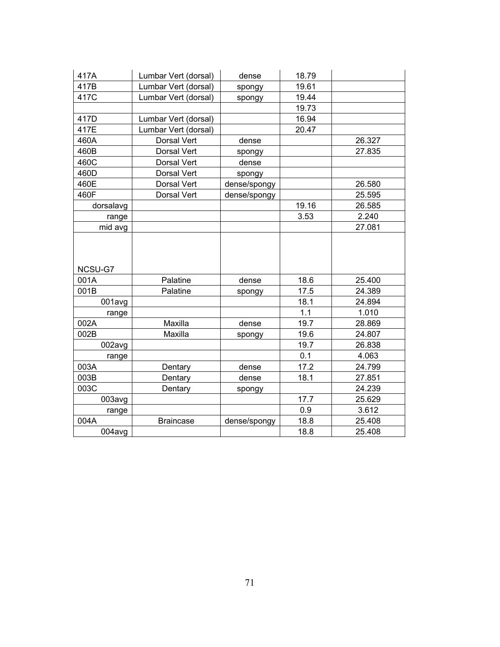| 417A      | Lumbar Vert (dorsal) | dense        | 18.79 |        |
|-----------|----------------------|--------------|-------|--------|
| 417B      | Lumbar Vert (dorsal) | spongy       | 19.61 |        |
| 417C      | Lumbar Vert (dorsal) | spongy       | 19.44 |        |
|           |                      |              | 19.73 |        |
| 417D      | Lumbar Vert (dorsal) |              | 16.94 |        |
| 417E      | Lumbar Vert (dorsal) |              | 20.47 |        |
| 460A      | Dorsal Vert          | dense        |       | 26.327 |
| 460B      | Dorsal Vert          | spongy       |       | 27.835 |
| 460C      | Dorsal Vert          | dense        |       |        |
| 460D      | Dorsal Vert          | spongy       |       |        |
| 460E      | Dorsal Vert          | dense/spongy |       | 26.580 |
| 460F      | Dorsal Vert          | dense/spongy |       | 25.595 |
| dorsalavg |                      |              | 19.16 | 26.585 |
| range     |                      |              | 3.53  | 2.240  |
| mid avg   |                      |              |       | 27.081 |
|           |                      |              |       |        |
|           |                      |              |       |        |
|           |                      |              |       |        |
| NCSU-G7   |                      |              |       |        |
| 001A      | Palatine             | dense        | 18.6  | 25.400 |
| 001B      | Palatine             | spongy       | 17.5  | 24.389 |
| 001avg    |                      |              | 18.1  | 24.894 |
| range     |                      |              | 1.1   | 1.010  |
| 002A      | Maxilla              | dense        | 19.7  | 28.869 |
| 002B      | Maxilla              | spongy       | 19.6  | 24.807 |
| 002avg    |                      |              | 19.7  | 26.838 |
| range     |                      |              | 0.1   | 4.063  |
| 003A      | Dentary              | dense        | 17.2  | 24.799 |
| 003B      | Dentary              | dense        | 18.1  | 27.851 |
| 003C      | Dentary              | spongy       |       | 24.239 |
| 003avg    |                      |              | 17.7  | 25.629 |
| range     |                      |              | 0.9   | 3.612  |
| 004A      | <b>Braincase</b>     | dense/spongy | 18.8  | 25.408 |
| 004avg    |                      |              | 18.8  | 25.408 |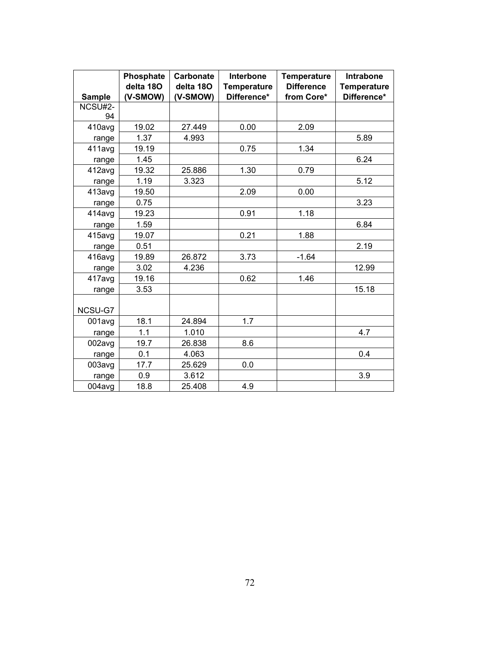| <b>Sample</b> | Phosphate<br>delta 180<br>(V-SMOW) | Carbonate<br>delta 18O<br>(V-SMOW) | Interbone<br><b>Temperature</b><br>Difference* | <b>Temperature</b><br><b>Difference</b><br>from Core* | <b>Intrabone</b><br><b>Temperature</b><br>Difference* |
|---------------|------------------------------------|------------------------------------|------------------------------------------------|-------------------------------------------------------|-------------------------------------------------------|
| NCSU#2-       |                                    |                                    |                                                |                                                       |                                                       |
| 94            |                                    |                                    |                                                |                                                       |                                                       |
| 410avg        | 19.02                              | 27.449                             | 0.00                                           | 2.09                                                  |                                                       |
| range         | 1.37                               | 4.993                              |                                                |                                                       | 5.89                                                  |
| 411avg        | 19.19                              |                                    | 0.75                                           | 1.34                                                  |                                                       |
| range         | 1.45                               |                                    |                                                |                                                       | 6.24                                                  |
| 412avg        | 19.32                              | 25.886                             | 1.30                                           | 0.79                                                  |                                                       |
| range         | 1.19                               | 3.323                              |                                                |                                                       | 5.12                                                  |
| 413avg        | 19.50                              |                                    | 2.09                                           | 0.00                                                  |                                                       |
| range         | 0.75                               |                                    |                                                |                                                       | 3.23                                                  |
| 414avg        | 19.23                              |                                    | 0.91                                           | 1.18                                                  |                                                       |
| range         | 1.59                               |                                    |                                                |                                                       | 6.84                                                  |
| 415avg        | 19.07                              |                                    | 0.21                                           | 1.88                                                  |                                                       |
| range         | 0.51                               |                                    |                                                |                                                       | 2.19                                                  |
| 416avg        | 19.89                              | 26.872                             | 3.73                                           | $-1.64$                                               |                                                       |
| range         | 3.02                               | 4.236                              |                                                |                                                       | 12.99                                                 |
| 417avg        | 19.16                              |                                    | 0.62                                           | 1.46                                                  |                                                       |
| range         | 3.53                               |                                    |                                                |                                                       | 15.18                                                 |
| NCSU-G7       |                                    |                                    |                                                |                                                       |                                                       |
| 001avg        | 18.1                               | 24.894                             | 1.7                                            |                                                       |                                                       |
| range         | 1.1                                | 1.010                              |                                                |                                                       | 4.7                                                   |
| 002avg        | 19.7                               | 26.838                             | 8.6                                            |                                                       |                                                       |
| range         | 0.1                                | 4.063                              |                                                |                                                       | 0.4                                                   |
| 003avg        | 17.7                               | 25.629                             | 0.0                                            |                                                       |                                                       |
| range         | 0.9                                | 3.612                              |                                                |                                                       | 3.9                                                   |
| 004avg        | 18.8                               | 25.408                             | 4.9                                            |                                                       |                                                       |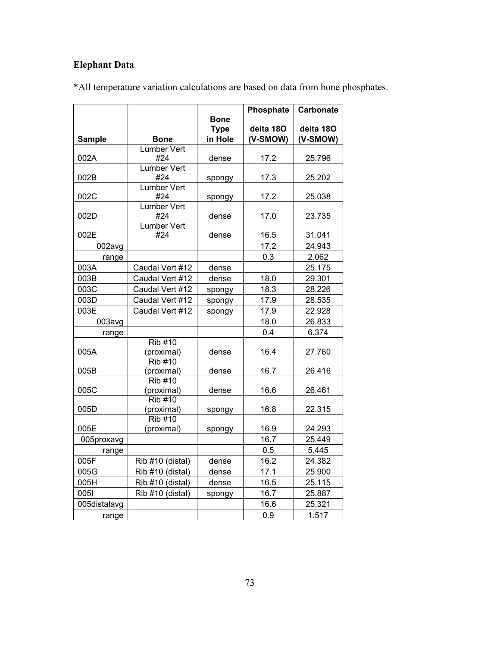# **Elephant Data**

|               |                              | Bone                   | Phosphate             | <b>Carbonate</b>      |
|---------------|------------------------------|------------------------|-----------------------|-----------------------|
| <b>Sample</b> | <b>Bone</b>                  | <b>Type</b><br>in Hole | delta 18O<br>(V-SMOW) | delta 18O<br>(V-SMOW) |
|               | <b>Lumber Vert</b>           |                        |                       |                       |
| 002A          | #24                          | dense                  | 17.2                  | 25.796                |
| 002B          | <b>Lumber Vert</b><br>#24    | spongy                 | 17.3                  | 25.202                |
| 002C          | <b>Lumber Vert</b><br>#24    | spongy                 | 17.2                  | 25.038                |
| 002D          | <b>Lumber Vert</b><br>#24    | dense                  | 17.0                  | 23.735                |
| 002E          | <b>Lumber Vert</b><br>#24    | dense                  | 16.5                  | 31.041                |
| 002avg        |                              |                        | 17.2                  | 24.943                |
| range         |                              |                        | 0.3                   | 2.062                 |
| 003A          | Caudal Vert #12              | dense                  |                       | 25.175                |
| 003B          | Caudal Vert #12              | dense                  | 18.0                  | 29.301                |
| 003C          | Caudal Vert #12              | spongy                 | 18.3                  | 28.226                |
| 003D          | Caudal Vert #12              | spongy                 | 17.9                  | 28.535                |
| 003E          | Caudal Vert #12              | spongy                 | 17.9                  | 22.928                |
| 003avg        |                              |                        | 18.0                  | 26.833                |
| range         |                              |                        | 0.4                   | 6.374                 |
| 005A          | <b>Rib #10</b><br>(proximal) | dense                  | 16.4                  | 27.760                |
| 005B          | <b>Rib #10</b><br>(proximal) | dense                  | 16.7                  | 26.416                |
| 005C          | <b>Rib #10</b><br>(proximal) | dense                  | 16.6                  | 26.461                |
| 005D          | <b>Rib #10</b><br>(proximal) | spongy                 | 16.8                  | 22.315                |
| 005E          | <b>Rib #10</b><br>(proximal) | spongy                 | 16.9                  | 24.293                |
| 005proxavg    |                              |                        | 16.7                  | 25.449                |
| range         |                              |                        | 0.5                   | 5.445                 |
| 005F          | Rib #10 (distal)             | dense                  | 16.2                  | 24.382                |
| 005G          | Rib #10 (distal)             | dense                  | 17.1                  | 25.900                |
| 005H          | Rib #10 (distal)             | dense                  | 16.5                  | 25.115                |
| 0051          | Rib #10 (distal)             | spongy                 | 16.7                  | 25.887                |
| 005distalavg  |                              |                        | 16.6                  | 25.321                |
| range         |                              |                        | 0.9                   | 1.517                 |

\*All temperature variation calculations are based on data from bone phosphates.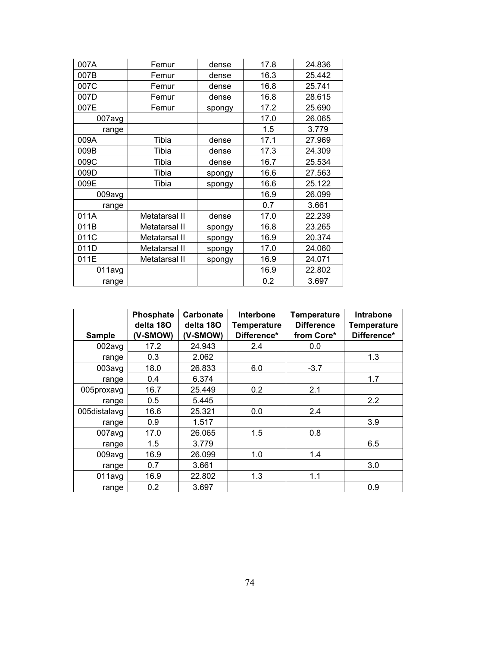| 007A   | Femur         |                | 17.8 | 24.836 |
|--------|---------------|----------------|------|--------|
| 007B   | Femur         | dense<br>dense | 16.3 | 25.442 |
| 007C   | Femur         | dense          | 16.8 | 25.741 |
| 007D   | Femur         | dense          | 16.8 | 28.615 |
| 007E   | Femur         | spongy         | 17.2 | 25.690 |
| 007avg |               |                | 17.0 | 26.065 |
| range  |               |                | 1.5  | 3.779  |
| 009A   | Tibia         | dense          | 17.1 | 27.969 |
| 009B   | Tibia         | dense          | 17.3 | 24.309 |
| 009C   | Tibia         | dense          | 16.7 | 25.534 |
| 009D   | Tibia         | spongy         | 16.6 | 27.563 |
| 009E   | Tibia         | spongy         | 16.6 | 25.122 |
| 009avg |               |                | 16.9 | 26.099 |
| range  |               |                | 0.7  | 3.661  |
| 011A   | Metatarsal II | dense          | 17.0 | 22.239 |
| 011B   | Metatarsal II | spongy         | 16.8 | 23.265 |
| 011C   | Metatarsal II | spongy         | 16.9 | 20.374 |
| 011D   | Metatarsal II | spongy         | 17.0 | 24.060 |
| 011E   | Metatarsal II | spongy         | 16.9 | 24.071 |
| 011avg |               |                | 16.9 | 22.802 |
| range  |               |                | 0.2  | 3.697  |

| <b>Sample</b> | Phosphate<br>delta 180<br>(V-SMOW) | <b>Carbonate</b><br>delta 180<br>(V-SMOW) | <b>Interbone</b><br><b>Temperature</b><br>Difference* | <b>Temperature</b><br><b>Difference</b><br>from Core* | Intrabone<br><b>Temperature</b><br>Difference* |
|---------------|------------------------------------|-------------------------------------------|-------------------------------------------------------|-------------------------------------------------------|------------------------------------------------|
| 002avg        | 17.2                               | 24.943                                    | 2.4                                                   | 0.0                                                   |                                                |
| range         | 0.3                                | 2.062                                     |                                                       |                                                       | 1.3                                            |
| 003avg        | 18.0                               | 26.833                                    | 6.0                                                   | $-3.7$                                                |                                                |
| range         | 0.4                                | 6.374                                     |                                                       |                                                       | 1.7                                            |
| 005proxavg    | 16.7                               | 25.449                                    | 0.2                                                   | 2.1                                                   |                                                |
| range         | 0.5                                | 5.445                                     |                                                       |                                                       | 2.2                                            |
| 005distalavg  | 16.6                               | 25.321                                    | 0.0                                                   | 2.4                                                   |                                                |
| range         | 0.9                                | 1.517                                     |                                                       |                                                       | 3.9                                            |
| 007avg        | 17.0                               | 26.065                                    | 1.5                                                   | 0.8                                                   |                                                |
| range         | 1.5                                | 3.779                                     |                                                       |                                                       | 6.5                                            |
| 009avg        | 16.9                               | 26.099                                    | 1.0                                                   | 1.4                                                   |                                                |
| range         | 0.7                                | 3.661                                     |                                                       |                                                       | 3.0                                            |
| 011avg        | 16.9                               | 22.802                                    | 1.3                                                   | 1.1                                                   |                                                |
| range         | 0.2                                | 3.697                                     |                                                       |                                                       | 0.9                                            |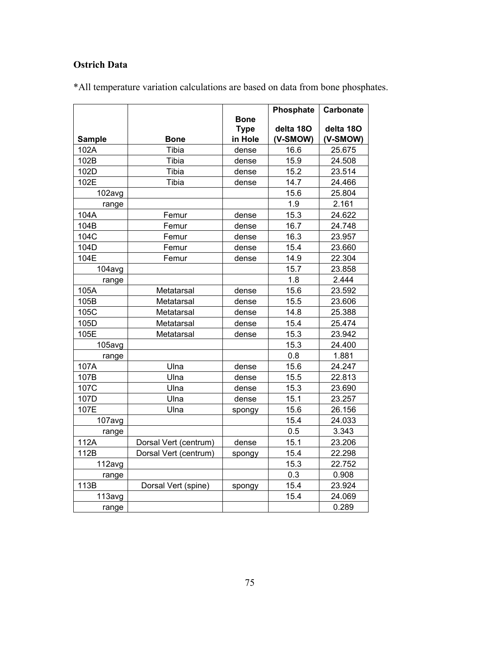# **Ostrich Data**

|               |                       |                                       | Phosphate             | <b>Carbonate</b>      |
|---------------|-----------------------|---------------------------------------|-----------------------|-----------------------|
| <b>Sample</b> | <b>Bone</b>           | <b>Bone</b><br><b>Type</b><br>in Hole | delta 180<br>(V-SMOW) | delta 18O<br>(V-SMOW) |
| 102A          | Tibia                 | dense                                 | 16.6                  | 25.675                |
| 102B          | Tibia                 | dense                                 | 15.9                  | 24.508                |
| 102D          | Tibia                 | dense                                 | 15.2                  | 23.514                |
| 102E          | Tibia                 | dense                                 | 14.7                  | 24.466                |
| 102avg        |                       |                                       | 15.6                  | 25.804                |
| range         |                       |                                       | 1.9                   | 2.161                 |
| 104A          | Femur                 | dense                                 | 15.3                  | 24.622                |
| 104B          | Femur                 | dense                                 | 16.7                  | 24.748                |
| 104C          | Femur                 | dense                                 | 16.3                  | 23.957                |
| 104D          | Femur                 | dense                                 | 15.4                  | 23.660                |
| 104E          | Femur                 | dense                                 | 14.9                  | 22.304                |
| 104avg        |                       |                                       | 15.7                  | 23.858                |
| range         |                       |                                       | 1.8                   | 2.444                 |
| 105A          | Metatarsal            | dense                                 | 15.6                  | 23.592                |
| 105B          | Metatarsal            | dense                                 | 15.5                  | 23.606                |
| 105C          | Metatarsal            | dense                                 | 14.8                  | 25.388                |
| 105D          | Metatarsal            | dense                                 | 15.4                  | 25.474                |
| 105E          | Metatarsal            | dense                                 | 15.3                  | 23.942                |
| 105avg        |                       |                                       | 15.3                  | 24.400                |
| range         |                       |                                       | 0.8                   | 1.881                 |
| 107A          | Ulna                  | dense                                 | 15.6                  | 24.247                |
| 107B          | Ulna                  | dense                                 | 15.5                  | 22.813                |
| 107C          | Ulna                  | dense                                 | 15.3                  | 23.690                |
| 107D          | Ulna                  | dense                                 | 15.1                  | 23.257                |
| 107E          | Ulna                  | spongy                                | 15.6                  | 26.156                |
| 107avg        |                       |                                       | 15.4                  | 24.033                |
| range         |                       |                                       | 0.5                   | 3.343                 |
| 112A          | Dorsal Vert (centrum) | dense                                 | 15.1                  | 23.206                |
| 112B          | Dorsal Vert (centrum) | spongy                                | 15.4                  | 22.298                |
| 112avg        |                       |                                       | 15.3                  | 22.752                |
| range         |                       |                                       | 0.3                   | 0.908                 |
| 113B          | Dorsal Vert (spine)   | spongy                                | 15.4                  | 23.924                |
| 113avg        |                       |                                       | 15.4                  | 24.069                |
| range         |                       |                                       |                       | 0.289                 |

\*All temperature variation calculations are based on data from bone phosphates.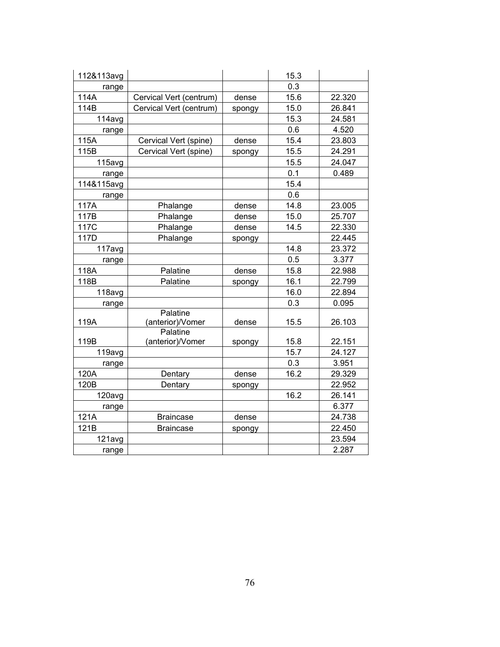| 112&113avg |                              |        | 15.3 |        |
|------------|------------------------------|--------|------|--------|
| range      |                              |        | 0.3  |        |
| 114A       | Cervical Vert (centrum)      | dense  | 15.6 | 22.320 |
| 114B       | Cervical Vert (centrum)      | spongy | 15.0 | 26.841 |
| 114avg     |                              |        | 15.3 | 24.581 |
| range      |                              |        | 0.6  | 4.520  |
| 115A       | Cervical Vert (spine)        | dense  | 15.4 | 23.803 |
| 115B       | Cervical Vert (spine)        | spongy | 15.5 | 24.291 |
| 115avg     |                              |        | 15.5 | 24.047 |
| range      |                              |        | 0.1  | 0.489  |
| 114&115avg |                              |        | 15.4 |        |
| range      |                              |        | 0.6  |        |
| 117A       | Phalange                     | dense  | 14.8 | 23.005 |
| 117B       | Phalange                     | dense  | 15.0 | 25.707 |
| 117C       | Phalange                     | dense  | 14.5 | 22.330 |
| 117D       | Phalange                     | spongy |      | 22.445 |
| 117avg     |                              |        | 14.8 | 23.372 |
| range      |                              |        | 0.5  | 3.377  |
| 118A       | Palatine                     | dense  | 15.8 | 22.988 |
| 118B       | Palatine                     | spongy | 16.1 | 22.799 |
| 118avg     |                              |        | 16.0 | 22.894 |
| range      |                              |        | 0.3  | 0.095  |
| 119A       | Palatine<br>(anterior)/Vomer | dense  | 15.5 | 26.103 |
| 119B       | Palatine<br>(anterior)/Vomer | spongy | 15.8 | 22.151 |
| 119avg     |                              |        | 15.7 | 24.127 |
| range      |                              |        | 0.3  | 3.951  |
| 120A       | Dentary                      | dense  | 16.2 | 29.329 |
| 120B       | Dentary                      | spongy |      | 22.952 |
| 120avg     |                              |        | 16.2 | 26.141 |
| range      |                              |        |      | 6.377  |
| 121A       | <b>Braincase</b>             | dense  |      | 24.738 |
| 121B       | <b>Braincase</b>             | spongy |      | 22.450 |
| 121avg     |                              |        |      | 23.594 |
| range      |                              |        |      | 2.287  |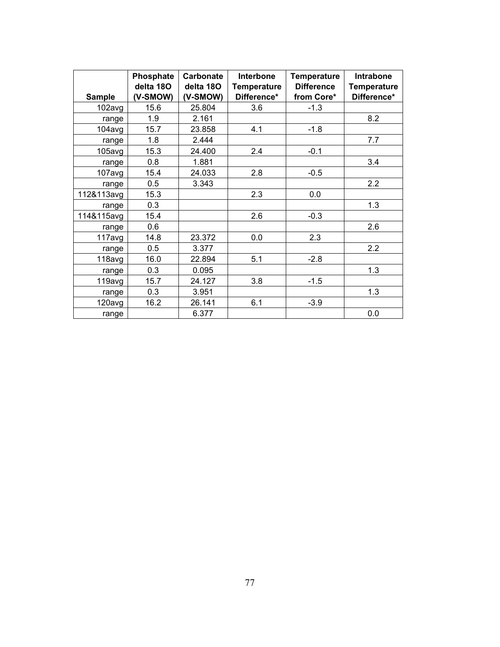|               | Phosphate | <b>Carbonate</b> | <b>Interbone</b>   | <b>Temperature</b> | Intrabone          |
|---------------|-----------|------------------|--------------------|--------------------|--------------------|
|               | delta 180 | delta 180        | <b>Temperature</b> | <b>Difference</b>  | <b>Temperature</b> |
| <b>Sample</b> | (V-SMOW)  | (V-SMOW)         | Difference*        | from Core*         | Difference*        |
| 102avg        | 15.6      | 25.804           | 3.6                | $-1.3$             |                    |
| range         | 1.9       | 2.161            |                    |                    | 8.2                |
| 104avg        | 15.7      | 23.858           | 4.1                | $-1.8$             |                    |
| range         | 1.8       | 2.444            |                    |                    | 7.7                |
| 105avg        | 15.3      | 24.400           | 2.4                | $-0.1$             |                    |
| range         | 0.8       | 1.881            |                    |                    | 3.4                |
| 107avg        | 15.4      | 24.033           | 2.8                | $-0.5$             |                    |
| range         | 0.5       | 3.343            |                    |                    | 2.2                |
| 112&113avg    | 15.3      |                  | 2.3                | 0.0                |                    |
| range         | 0.3       |                  |                    |                    | 1.3                |
| 114&115avg    | 15.4      |                  | 2.6                | $-0.3$             |                    |
| range         | 0.6       |                  |                    |                    | 2.6                |
| 117avg        | 14.8      | 23.372           | 0.0                | 2.3                |                    |
| range         | 0.5       | 3.377            |                    |                    | 2.2                |
| 118avg        | 16.0      | 22.894           | 5.1                | $-2.8$             |                    |
| range         | 0.3       | 0.095            |                    |                    | 1.3                |
| 119avg        | 15.7      | 24.127           | 3.8                | $-1.5$             |                    |
| range         | 0.3       | 3.951            |                    |                    | 1.3                |
| 120avg        | 16.2      | 26.141           | 6.1                | $-3.9$             |                    |
| range         |           | 6.377            |                    |                    | 0.0                |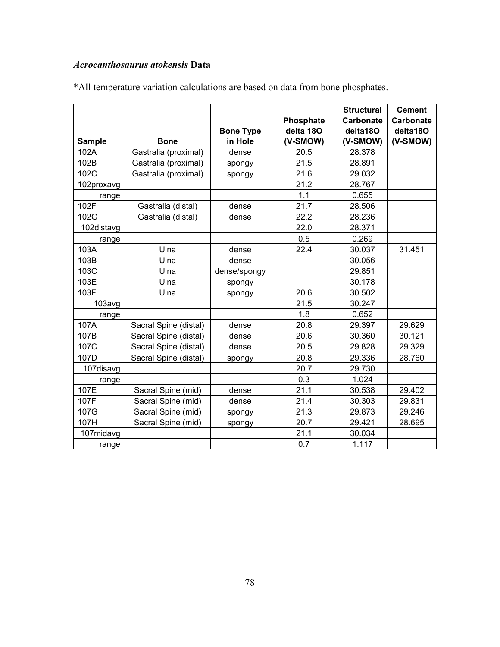# *Acrocanthosaurus atokensis* **Data**

|               |                       | <b>Bone Type</b> | Phosphate<br>delta 180 | <b>Structural</b><br>Carbonate<br>delta18O | <b>Cement</b><br><b>Carbonate</b><br>delta18O |
|---------------|-----------------------|------------------|------------------------|--------------------------------------------|-----------------------------------------------|
| <b>Sample</b> | <b>Bone</b>           | in Hole          | (V-SMOW)               | (V-SMOW)                                   | (V-SMOW)                                      |
| 102A          | Gastralia (proximal)  | dense            | 20.5                   | 28.378                                     |                                               |
| 102B          | Gastralia (proximal)  | spongy           | 21.5                   | 28.891                                     |                                               |
| 102C          | Gastralia (proximal)  | spongy           | 21.6                   | 29.032                                     |                                               |
| 102proxavg    |                       |                  | 21.2                   | 28.767                                     |                                               |
| range         |                       |                  | 1.1                    | 0.655                                      |                                               |
| 102F          | Gastralia (distal)    | dense            | 21.7                   | 28.506                                     |                                               |
| 102G          | Gastralia (distal)    | dense            | 22.2                   | 28.236                                     |                                               |
| 102distavg    |                       |                  | 22.0                   | 28.371                                     |                                               |
| range         |                       |                  | 0.5                    | 0.269                                      |                                               |
| 103A          | Ulna                  | dense            | 22.4                   | 30.037                                     | 31.451                                        |
| 103B          | Ulna                  | dense            |                        | 30.056                                     |                                               |
| 103C          | Ulna                  | dense/spongy     |                        | 29.851                                     |                                               |
| 103E          | Ulna                  | spongy           |                        | 30.178                                     |                                               |
| 103F          | Ulna                  | spongy           | 20.6                   | 30.502                                     |                                               |
| 103avg        |                       |                  | 21.5                   | 30.247                                     |                                               |
| range         |                       |                  | 1.8                    | 0.652                                      |                                               |
| 107A          | Sacral Spine (distal) | dense            | 20.8                   | 29.397                                     | 29.629                                        |
| 107B          | Sacral Spine (distal) | dense            | 20.6                   | 30.360                                     | 30.121                                        |
| 107C          | Sacral Spine (distal) | dense            | 20.5                   | 29.828                                     | 29.329                                        |
| 107D          | Sacral Spine (distal) | spongy           | 20.8                   | 29.336                                     | 28.760                                        |
| 107disavg     |                       |                  | 20.7                   | 29.730                                     |                                               |
| range         |                       |                  | 0.3                    | 1.024                                      |                                               |
| 107E          | Sacral Spine (mid)    | dense            | 21.1                   | 30.538                                     | 29.402                                        |
| 107F          | Sacral Spine (mid)    | dense            | 21.4                   | 30.303                                     | 29.831                                        |
| 107G          | Sacral Spine (mid)    | spongy           | 21.3                   | 29.873                                     | 29.246                                        |
| 107H          | Sacral Spine (mid)    | spongy           | 20.7                   | 29.421                                     | 28.695                                        |
| 107midavg     |                       |                  | 21.1                   | 30.034                                     |                                               |
| range         |                       |                  | 0.7                    | 1.117                                      |                                               |

\*All temperature variation calculations are based on data from bone phosphates.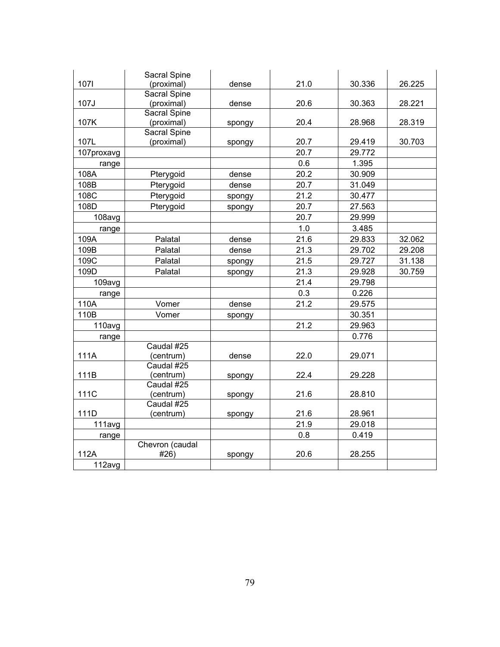|            | Sacral Spine        |        |      |        |        |
|------------|---------------------|--------|------|--------|--------|
| 1071       | (proximal)          | dense  | 21.0 | 30.336 | 26.225 |
|            | <b>Sacral Spine</b> |        |      |        |        |
| 107J       | (proximal)          | dense  | 20.6 | 30.363 | 28.221 |
|            | Sacral Spine        |        |      |        |        |
| 107K       | (proximal)          | spongy | 20.4 | 28.968 | 28.319 |
|            | Sacral Spine        |        |      |        |        |
| 107L       | (proximal)          | spongy | 20.7 | 29.419 | 30.703 |
| 107proxavg |                     |        | 20.7 | 29.772 |        |
| range      |                     |        | 0.6  | 1.395  |        |
| 108A       | Pterygoid           | dense  | 20.2 | 30.909 |        |
| 108B       | Pterygoid           | dense  | 20.7 | 31.049 |        |
| 108C       | Pterygoid           | spongy | 21.2 | 30.477 |        |
| 108D       | Pterygoid           | spongy | 20.7 | 27.563 |        |
| 108avg     |                     |        | 20.7 | 29.999 |        |
| range      |                     |        | 1.0  | 3.485  |        |
| 109A       | Palatal             | dense  | 21.6 | 29.833 | 32.062 |
| 109B       | Palatal             | dense  | 21.3 | 29.702 | 29.208 |
| 109C       | Palatal             | spongy | 21.5 | 29.727 | 31.138 |
| 109D       | Palatal             | spongy | 21.3 | 29.928 | 30.759 |
| 109avg     |                     |        | 21.4 | 29.798 |        |
| range      |                     |        | 0.3  | 0.226  |        |
| 110A       | Vomer               | dense  | 21.2 | 29.575 |        |
| 110B       | Vomer               | spongy |      | 30.351 |        |
| 110avg     |                     |        | 21.2 | 29.963 |        |
| range      |                     |        |      | 0.776  |        |
|            | Caudal #25          |        |      |        |        |
| 111A       | (centrum)           | dense  | 22.0 | 29.071 |        |
|            | Caudal #25          |        |      |        |        |
| 111B       | (centrum)           | spongy | 22.4 | 29.228 |        |
|            | Caudal #25          |        |      |        |        |
| 111C       | (centrum)           | spongy | 21.6 | 28.810 |        |
|            | Caudal #25          |        |      |        |        |
| 111D       | (centrum)           | spongy | 21.6 | 28.961 |        |
| 111avg     |                     |        | 21.9 | 29.018 |        |
| range      |                     |        | 0.8  | 0.419  |        |
|            | Chevron (caudal     |        |      |        |        |
| 112A       | #26)                | spongy | 20.6 | 28.255 |        |
| 112avg     |                     |        |      |        |        |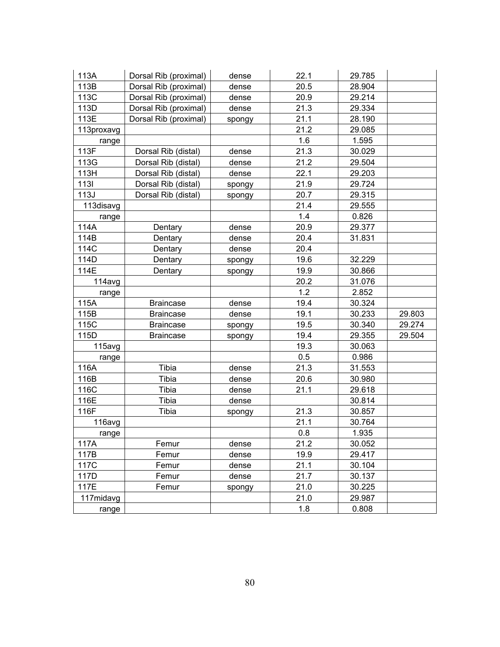| 113A       | Dorsal Rib (proximal) | dense  | 22.1 | 29.785 |        |
|------------|-----------------------|--------|------|--------|--------|
| 113B       | Dorsal Rib (proximal) | dense  | 20.5 | 28.904 |        |
| 113C       | Dorsal Rib (proximal) | dense  | 20.9 | 29.214 |        |
| 113D       | Dorsal Rib (proximal) | dense  | 21.3 | 29.334 |        |
| 113E       | Dorsal Rib (proximal) | spongy | 21.1 | 28.190 |        |
| 113proxavg |                       |        | 21.2 | 29.085 |        |
| range      |                       |        | 1.6  | 1.595  |        |
| 113F       | Dorsal Rib (distal)   | dense  | 21.3 | 30.029 |        |
| 113G       | Dorsal Rib (distal)   | dense  | 21.2 | 29.504 |        |
| 113H       | Dorsal Rib (distal)   | dense  | 22.1 | 29.203 |        |
| 1131       | Dorsal Rib (distal)   | spongy | 21.9 | 29.724 |        |
| 113J       | Dorsal Rib (distal)   | spongy | 20.7 | 29.315 |        |
| 113disavg  |                       |        | 21.4 | 29.555 |        |
| range      |                       |        | 1.4  | 0.826  |        |
| 114A       | Dentary               | dense  | 20.9 | 29.377 |        |
| 114B       | Dentary               | dense  | 20.4 | 31.831 |        |
| 114C       | Dentary               | dense  | 20.4 |        |        |
| 114D       | Dentary               | spongy | 19.6 | 32.229 |        |
| 114E       | Dentary               | spongy | 19.9 | 30.866 |        |
| 114avg     |                       |        | 20.2 | 31.076 |        |
| range      |                       |        | 1.2  | 2.852  |        |
| 115A       | <b>Braincase</b>      | dense  | 19.4 | 30.324 |        |
| 115B       | <b>Braincase</b>      | dense  | 19.1 | 30.233 | 29.803 |
| 115C       | <b>Braincase</b>      | spongy | 19.5 | 30.340 | 29.274 |
| 115D       | <b>Braincase</b>      | spongy | 19.4 | 29.355 | 29.504 |
| 115avg     |                       |        | 19.3 | 30.063 |        |
| range      |                       |        | 0.5  | 0.986  |        |
| 116A       | Tibia                 | dense  | 21.3 | 31.553 |        |
| 116B       | Tibia                 | dense  | 20.6 | 30.980 |        |
| 116C       | Tibia                 | dense  | 21.1 | 29.618 |        |
| 116E       | Tibia                 | dense  |      | 30.814 |        |
| 116F       | Tibia                 | spongy | 21.3 | 30.857 |        |
| 116avg     |                       |        | 21.1 | 30.764 |        |
| range      |                       |        | 0.8  | 1.935  |        |
| 117A       | Femur                 | dense  | 21.2 | 30.052 |        |
| 117B       | Femur                 | dense  | 19.9 | 29.417 |        |
| 117C       | Femur                 | dense  | 21.1 | 30.104 |        |
| 117D       | Femur                 | dense  | 21.7 | 30.137 |        |
| 117E       | Femur                 | spongy | 21.0 | 30.225 |        |
| 117midavg  |                       |        | 21.0 | 29.987 |        |
| range      |                       |        | 1.8  | 0.808  |        |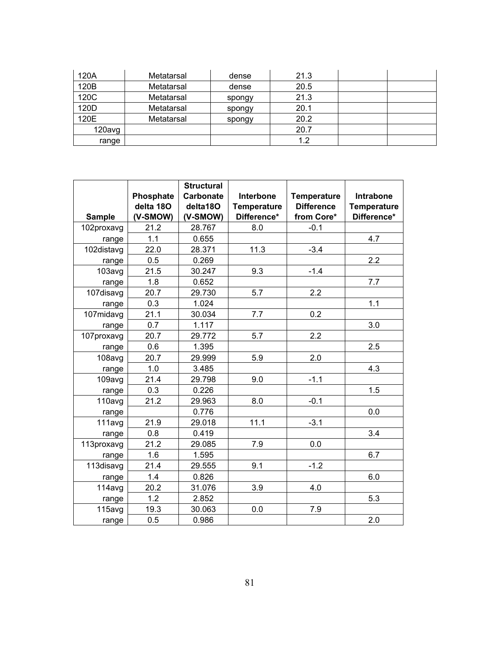| 120A   | Metatarsal | dense  | 21.3 |  |
|--------|------------|--------|------|--|
| 120B   | Metatarsal | dense  | 20.5 |  |
| 120C   | Metatarsal | spongy | 21.3 |  |
| 120D   | Metatarsal | spongy | 20.1 |  |
| 120E   | Metatarsal | spongy | 20.2 |  |
| 120avg |            |        | 20.7 |  |
| range  |            |        | 1.2  |  |

|               | Phosphate             | <b>Structural</b><br><b>Carbonate</b> | Interbone                         | <b>Temperature</b>              | Intrabone                         |
|---------------|-----------------------|---------------------------------------|-----------------------------------|---------------------------------|-----------------------------------|
| <b>Sample</b> | delta 180<br>(V-SMOW) | delta180<br>(V-SMOW)                  | <b>Temperature</b><br>Difference* | <b>Difference</b><br>from Core* | <b>Temperature</b><br>Difference* |
| 102proxavg    | 21.2                  | 28.767                                | 8.0                               | $-0.1$                          |                                   |
| range         | 1.1                   | 0.655                                 |                                   |                                 | 4.7                               |
| 102distavg    | 22.0                  | 28.371                                | 11.3                              | $-3.4$                          |                                   |
| range         | 0.5                   | 0.269                                 |                                   |                                 | 2.2                               |
| 103avg        | 21.5                  | 30.247                                | 9.3                               | $-1.4$                          |                                   |
| range         | 1.8                   | 0.652                                 |                                   |                                 | 7.7                               |
| 107disavg     | 20.7                  | 29.730                                | 5.7                               | 2.2                             |                                   |
| range         | 0.3                   | 1.024                                 |                                   |                                 | 1.1                               |
| 107midavg     | 21.1                  | 30.034                                | 7.7                               | 0.2                             |                                   |
| range         | 0.7                   | 1.117                                 |                                   |                                 | 3.0                               |
| 107proxavg    | 20.7                  | 29.772                                | 5.7                               | 2.2                             |                                   |
| range         | 0.6                   | 1.395                                 |                                   |                                 | 2.5                               |
| 108avg        | 20.7                  | 29.999                                | 5.9                               | 2.0                             |                                   |
| range         | 1.0                   | 3.485                                 |                                   |                                 | 4.3                               |
| 109avg        | 21.4                  | 29.798                                | 9.0                               | $-1.1$                          |                                   |
| range         | 0.3                   | 0.226                                 |                                   |                                 | 1.5                               |
| 110avg        | 21.2                  | 29.963                                | 8.0                               | $-0.1$                          |                                   |
| range         |                       | 0.776                                 |                                   |                                 | 0.0                               |
| 111avg        | 21.9                  | 29.018                                | 11.1                              | $-3.1$                          |                                   |
| range         | 0.8                   | 0.419                                 |                                   |                                 | 3.4                               |
| 113proxavg    | 21.2                  | 29.085                                | 7.9                               | 0.0                             |                                   |
| range         | 1.6                   | 1.595                                 |                                   |                                 | 6.7                               |
| 113disavg     | 21.4                  | 29.555                                | 9.1                               | $-1.2$                          |                                   |
| range         | 1.4                   | 0.826                                 |                                   |                                 | 6.0                               |
| 114avg        | 20.2                  | 31.076                                | 3.9                               | 4.0                             |                                   |
| range         | 1.2                   | 2.852                                 |                                   |                                 | 5.3                               |
| 115avg        | 19.3                  | 30.063                                | 0.0                               | 7.9                             |                                   |
| range         | 0.5                   | 0.986                                 |                                   |                                 | 2.0                               |